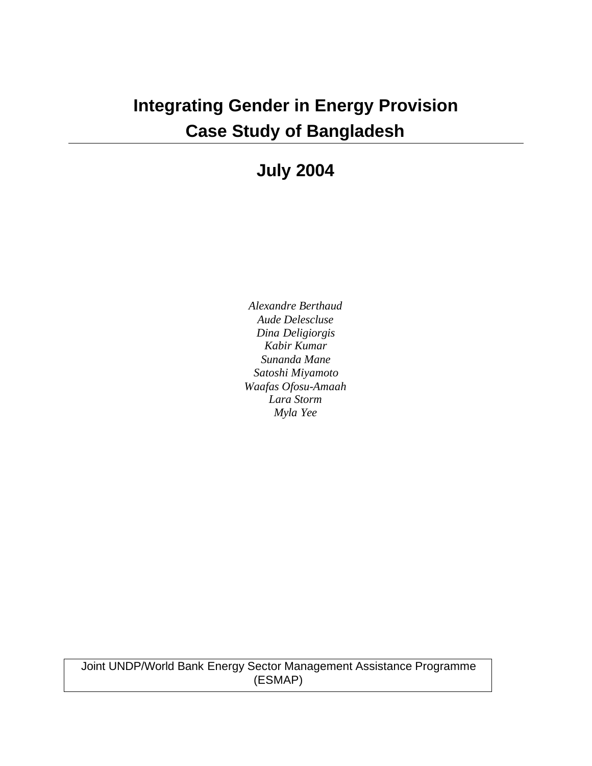# **Integrating Gender in Energy Provision Case Study of Bangladesh**

## **July 2004**

*Alexandre Berthaud Aude Delescluse Dina Deligiorgis Kabir Kumar Sunanda Mane Satoshi Miyamoto Waafas Ofosu-Amaah Lara Storm Myla Yee*

Joint UNDP/World Bank Energy Sector Management Assistance Programme (ESMAP)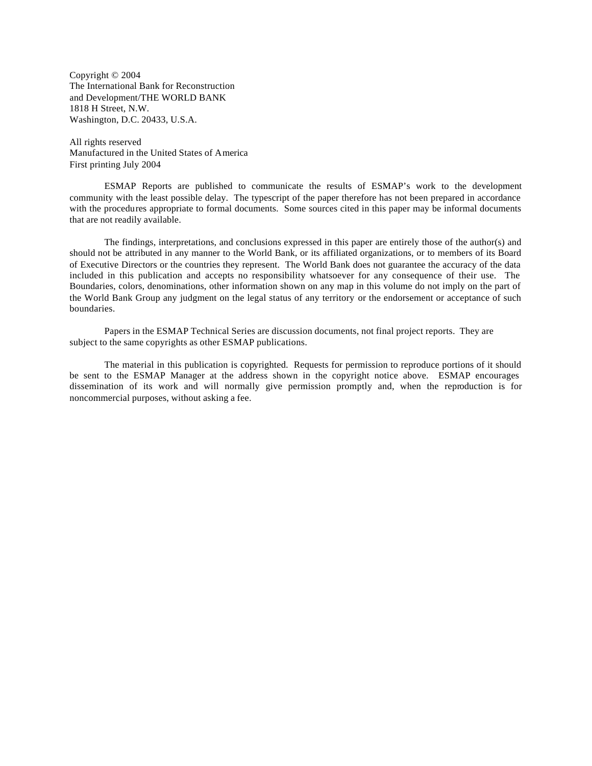Copyright © 2004 The International Bank for Reconstruction and Development/THE WORLD BANK 1818 H Street, N.W. Washington, D.C. 20433, U.S.A.

All rights reserved Manufactured in the United States of America First printing July 2004

ESMAP Reports are published to communicate the results of ESMAP's work to the development community with the least possible delay. The typescript of the paper therefore has not been prepared in accordance with the procedures appropriate to formal documents. Some sources cited in this paper may be informal documents that are not readily available.

The findings, interpretations, and conclusions expressed in this paper are entirely those of the author(s) and should not be attributed in any manner to the World Bank, or its affiliated organizations, or to members of its Board of Executive Directors or the countries they represent. The World Bank does not guarantee the accuracy of the data included in this publication and accepts no responsibility whatsoever for any consequence of their use. The Boundaries, colors, denominations, other information shown on any map in this volume do not imply on the part of the World Bank Group any judgment on the legal status of any territory or the endorsement or acceptance of such boundaries.

Papers in the ESMAP Technical Series are discussion documents, not final project reports. They are subject to the same copyrights as other ESMAP publications.

The material in this publication is copyrighted. Requests for permission to reproduce portions of it should be sent to the ESMAP Manager at the address shown in the copyright notice above. ESMAP encourages dissemination of its work and will normally give permission promptly and, when the reproduction is for noncommercial purposes, without asking a fee.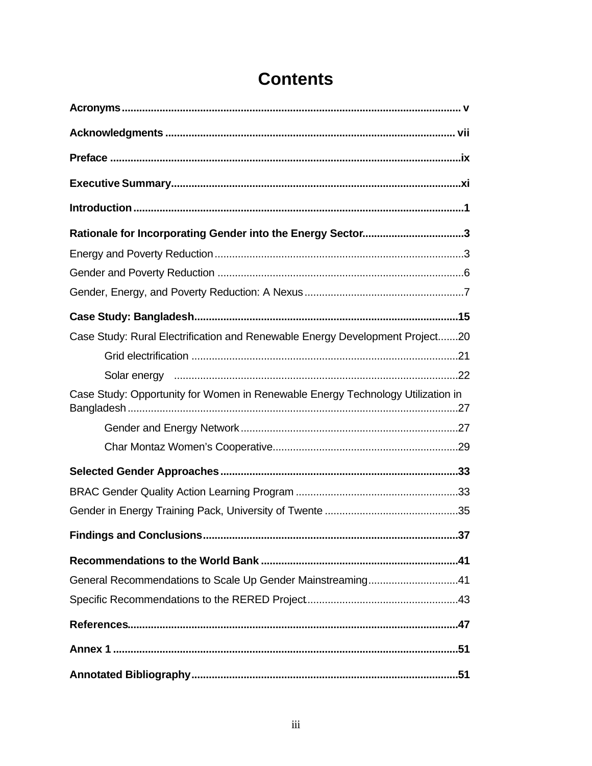| Rationale for Incorporating Gender into the Energy Sector3                      |
|---------------------------------------------------------------------------------|
|                                                                                 |
|                                                                                 |
|                                                                                 |
|                                                                                 |
| Case Study: Rural Electrification and Renewable Energy Development Project20    |
|                                                                                 |
|                                                                                 |
| Case Study: Opportunity for Women in Renewable Energy Technology Utilization in |
|                                                                                 |
|                                                                                 |
|                                                                                 |
|                                                                                 |
|                                                                                 |
| <b>Findings and Conclusions</b><br>37                                           |
|                                                                                 |
| General Recommendations to Scale Up Gender Mainstreaming41                      |
|                                                                                 |
|                                                                                 |
|                                                                                 |
|                                                                                 |

## **Contents**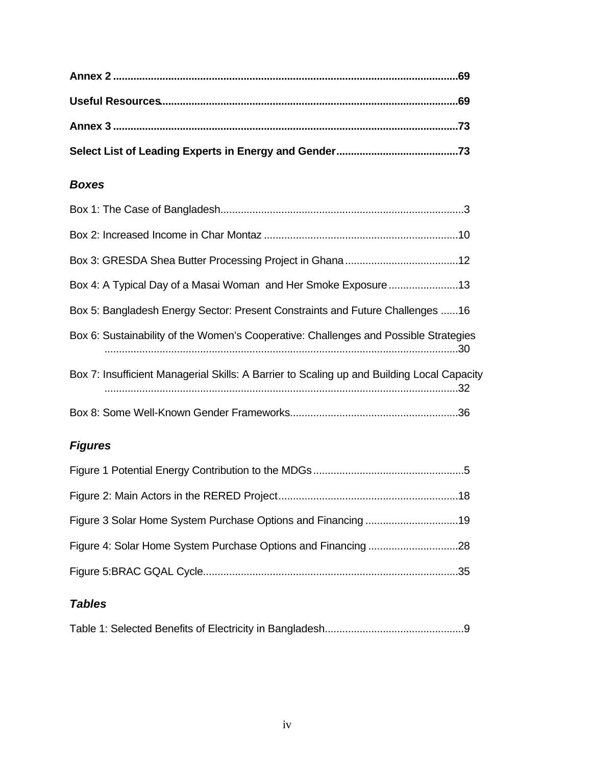#### *Boxes*

| Box 4: A Typical Day of a Masai Woman and Her Smoke Exposure13                             |
|--------------------------------------------------------------------------------------------|
| Box 5: Bangladesh Energy Sector: Present Constraints and Future Challenges 16              |
| Box 6: Sustainability of the Women's Cooperative: Challenges and Possible Strategies       |
| Box 7: Insufficient Managerial Skills: A Barrier to Scaling up and Building Local Capacity |
|                                                                                            |

#### *Figures*

### *Tables*

|--|--|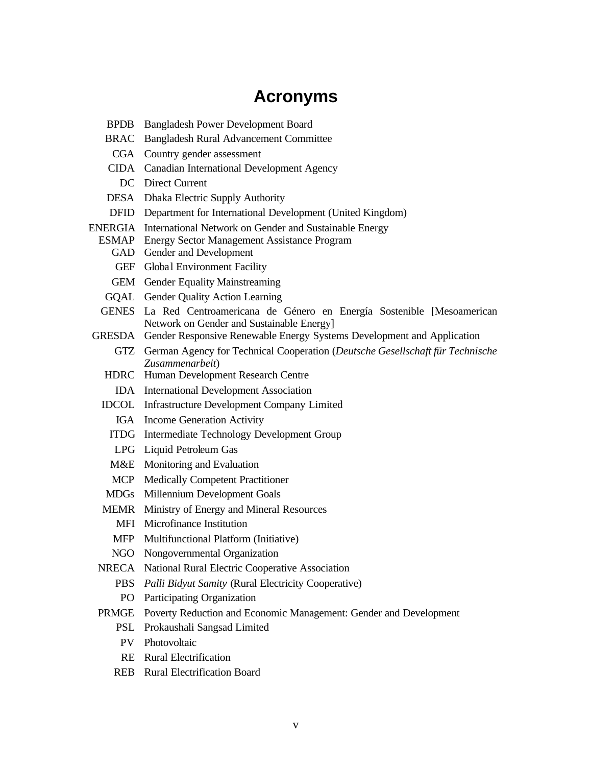## **Acronyms**

- BPDB Bangladesh Power Development Board
- BRAC Bangladesh Rural Advancement Committee
- CGA Country gender assessment
- CIDA Canadian International Development Agency
	- DC Direct Current
- DESA Dhaka Electric Supply Authority
- DFID Department for International Development (United Kingdom)
- ENERGIA International Network on Gender and Sustainable Energy
	- ESMAP Energy Sector Management Assistance Program
		- GAD Gender and Development
		- GEF Global Environment Facility
		- GEM Gender Equality Mainstreaming
		- GQAL Gender Quality Action Learning
	- GENES La Red Centroamericana de Género en Energía Sostenible [Mesoamerican Network on Gender and Sustainable Energy]
- GRESDA Gender Responsive Renewable Energy Systems Development and Application
	- GTZ German Agency for Technical Cooperation (*Deutsche Gesellschaft für Technische Zusammenarbeit*)
	- HDRC Human Development Research Centre
		- IDA International Development Association
	- IDCOL Infrastructure Development Company Limited
		- IGA Income Generation Activity
		- ITDG Intermediate Technology Development Group
		- LPG Liquid Petroleum Gas
		- M&E Monitoring and Evaluation
		- MCP Medically Competent Practitioner
	- MDGs Millennium Development Goals
	- MEMR Ministry of Energy and Mineral Resources
		- MFI Microfinance Institution
		- MFP Multifunctional Platform (Initiative)
		- NGO Nongovernmental Organization
- NRECA National Rural Electric Cooperative Association
	- PBS *Palli Bidyut Samity* (Rural Electricity Cooperative)
	- PO Participating Organization
- PRMGE Poverty Reduction and Economic Management: Gender and Development
	- PSL Prokaushali Sangsad Limited
	- PV Photovoltaic
	- RE Rural Electrification
	- REB Rural Electrification Board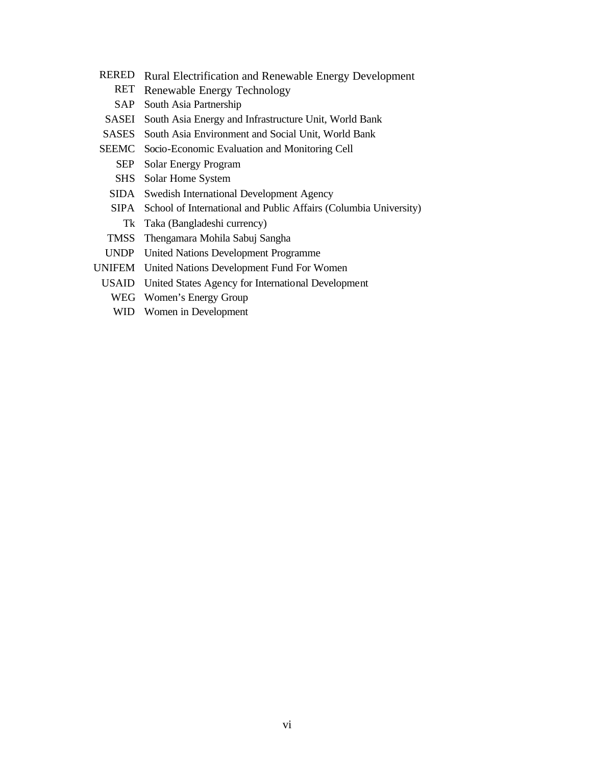- RERED Rural Electrification and Renewable Energy Development
	- RET Renewable Energy Technology
	- SAP South Asia Partnership
- SASEI South Asia Energy and Infrastructure Unit, World Bank
- SASES South Asia Environment and Social Unit, World Bank
- SEEMC Socio-Economic Evaluation and Monitoring Cell
	- SEP Solar Energy Program
	- SHS Solar Home System
	- SIDA Swedish International Development Agency
	- SIPA School of International and Public Affairs (Columbia University) Tk Taka (Bangladeshi currency)
	- TMSS Thengamara Mohila Sabuj Sangha
- UNDP United Nations Development Programme
- UNIFEM United Nations Development Fund For Women
- USAID United States Agency for International Development
	- WEG Women's Energy Group
	- WID Women in Development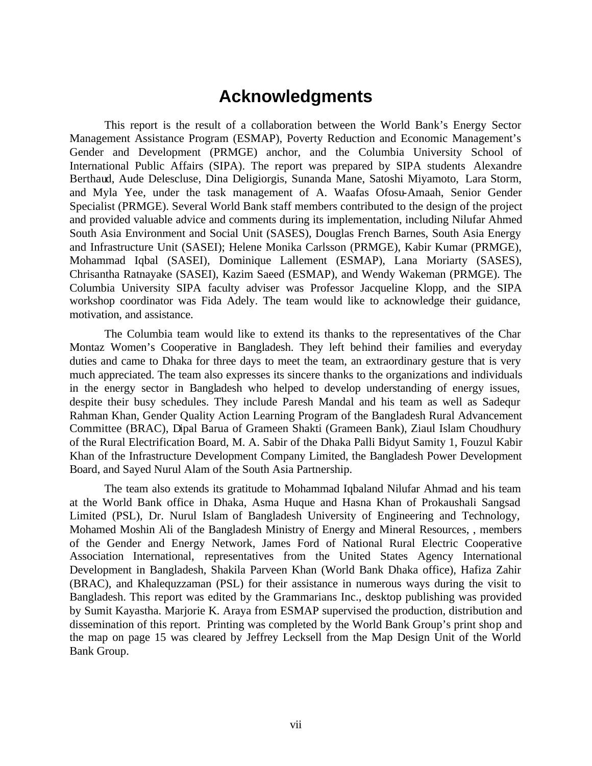### **Acknowledgments**

This report is the result of a collaboration between the World Bank's Energy Sector Management Assistance Program (ESMAP), Poverty Reduction and Economic Management's Gender and Development (PRMGE) anchor, and the Columbia University School of International Public Affairs (SIPA). The report was prepared by SIPA students Alexandre Berthaud, Aude Delescluse, Dina Deligiorgis, Sunanda Mane, Satoshi Miyamoto, Lara Storm, and Myla Yee, under the task management of A. Waafas Ofosu-Amaah, Senior Gender Specialist (PRMGE). Several World Bank staff members contributed to the design of the project and provided valuable advice and comments during its implementation, including Nilufar Ahmed South Asia Environment and Social Unit (SASES), Douglas French Barnes, South Asia Energy and Infrastructure Unit (SASEI); Helene Monika Carlsson (PRMGE), Kabir Kumar (PRMGE), Mohammad Iqbal (SASEI), Dominique Lallement (ESMAP), Lana Moriarty (SASES), Chrisantha Ratnayake (SASEI), Kazim Saeed (ESMAP), and Wendy Wakeman (PRMGE). The Columbia University SIPA faculty adviser was Professor Jacqueline Klopp, and the SIPA workshop coordinator was Fida Adely. The team would like to acknowledge their guidance, motivation, and assistance.

The Columbia team would like to extend its thanks to the representatives of the Char Montaz Women's Cooperative in Bangladesh. They left behind their families and everyday duties and came to Dhaka for three days to meet the team, an extraordinary gesture that is very much appreciated. The team also expresses its sincere thanks to the organizations and individuals in the energy sector in Bangladesh who helped to develop understanding of energy issues, despite their busy schedules. They include Paresh Mandal and his team as well as Sadequr Rahman Khan, Gender Quality Action Learning Program of the Bangladesh Rural Advancement Committee (BRAC), Dipal Barua of Grameen Shakti (Grameen Bank), Ziaul Islam Choudhury of the Rural Electrification Board, M. A. Sabir of the Dhaka Palli Bidyut Samity 1, Fouzul Kabir Khan of the Infrastructure Development Company Limited, the Bangladesh Power Development Board, and Sayed Nurul Alam of the South Asia Partnership.

The team also extends its gratitude to Mohammad Iqbaland Nilufar Ahmad and his team at the World Bank office in Dhaka, Asma Huque and Hasna Khan of Prokaushali Sangsad Limited (PSL), Dr. Nurul Islam of Bangladesh University of Engineering and Technology, Mohamed Moshin Ali of the Bangladesh Ministry of Energy and Mineral Resources, , members of the Gender and Energy Network, James Ford of National Rural Electric Cooperative Association International, representatives from the United States Agency International Development in Bangladesh, Shakila Parveen Khan (World Bank Dhaka office), Hafiza Zahir (BRAC), and Khalequzzaman (PSL) for their assistance in numerous ways during the visit to Bangladesh. This report was edited by the Grammarians Inc., desktop publishing was provided by Sumit Kayastha. Marjorie K. Araya from ESMAP supervised the production, distribution and dissemination of this report. Printing was completed by the World Bank Group's print shop and the map on page 15 was cleared by Jeffrey Lecksell from the Map Design Unit of the World Bank Group.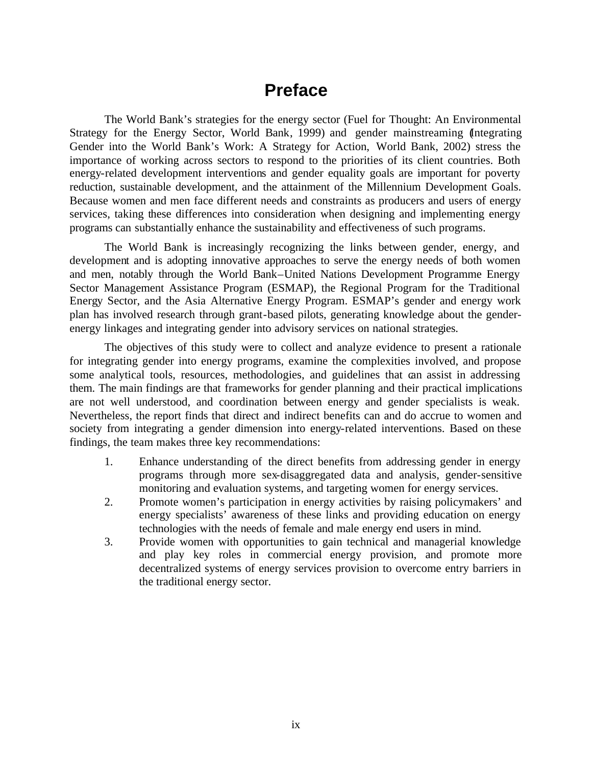## **Preface**

The World Bank's strategies for the energy sector (Fuel for Thought: An Environmental Strategy for the Energy Sector, World Bank, 1999) and gender mainstreaming (Integrating Gender into the World Bank's Work: A Strategy for Action, World Bank, 2002) stress the importance of working across sectors to respond to the priorities of its client countries. Both energy-related development interventions and gender equality goals are important for poverty reduction, sustainable development, and the attainment of the Millennium Development Goals. Because women and men face different needs and constraints as producers and users of energy services, taking these differences into consideration when designing and implementing energy programs can substantially enhance the sustainability and effectiveness of such programs.

The World Bank is increasingly recognizing the links between gender, energy, and development and is adopting innovative approaches to serve the energy needs of both women and men, notably through the World Bank–United Nations Development Programme Energy Sector Management Assistance Program (ESMAP), the Regional Program for the Traditional Energy Sector, and the Asia Alternative Energy Program. ESMAP's gender and energy work plan has involved research through grant-based pilots, generating knowledge about the genderenergy linkages and integrating gender into advisory services on national strategies.

The objectives of this study were to collect and analyze evidence to present a rationale for integrating gender into energy programs, examine the complexities involved, and propose some analytical tools, resources, methodologies, and guidelines that can assist in addressing them. The main findings are that frameworks for gender planning and their practical implications are not well understood, and coordination between energy and gender specialists is weak. Nevertheless, the report finds that direct and indirect benefits can and do accrue to women and society from integrating a gender dimension into energy-related interventions. Based on these findings, the team makes three key recommendations:

- 1. Enhance understanding of the direct benefits from addressing gender in energy programs through more sex-disaggregated data and analysis, gender-sensitive monitoring and evaluation systems, and targeting women for energy services.
- 2. Promote women's participation in energy activities by raising policymakers' and energy specialists' awareness of these links and providing education on energy technologies with the needs of female and male energy end users in mind.
- 3. Provide women with opportunities to gain technical and managerial knowledge and play key roles in commercial energy provision, and promote more decentralized systems of energy services provision to overcome entry barriers in the traditional energy sector.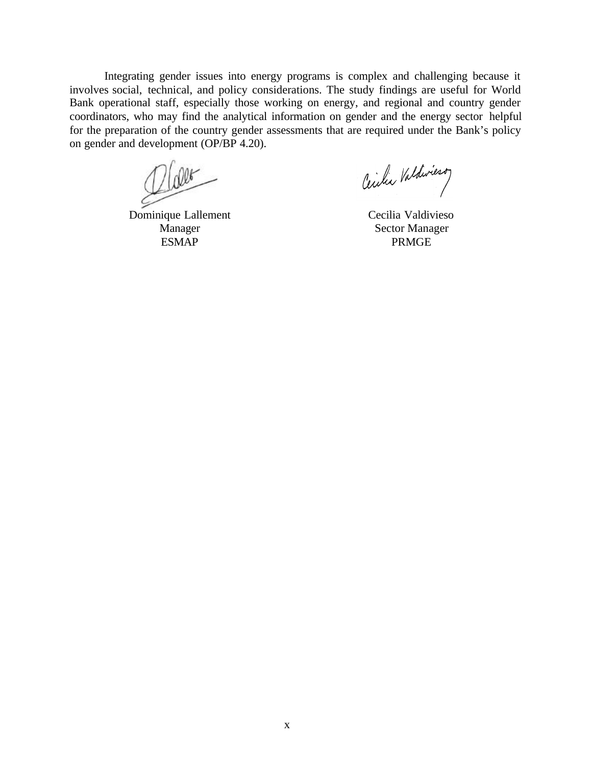Integrating gender issues into energy programs is complex and challenging because it involves social, technical, and policy considerations. The study findings are useful for World Bank operational staff, especially those working on energy, and regional and country gender coordinators, who may find the analytical information on gender and the energy sector helpful for the preparation of the country gender assessments that are required under the Bank's policy on gender and development (OP/BP 4.20).

alet

Dominique Lallement Manager ESMAP

Cecilia Valdiviero

Cecilia Valdivieso Sector Manager PRMGE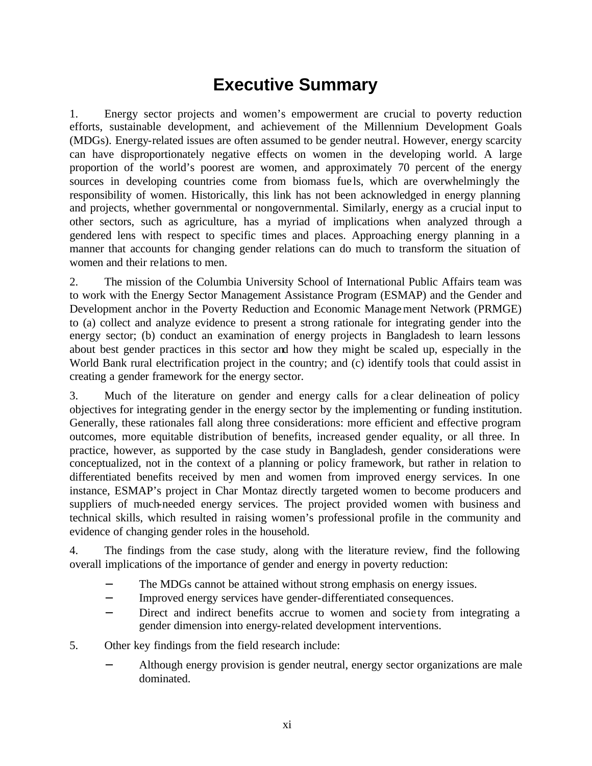## **Executive Summary**

1. Energy sector projects and women's empowerment are crucial to poverty reduction efforts, sustainable development, and achievement of the Millennium Development Goals (MDGs). Energy-related issues are often assumed to be gender neutral. However, energy scarcity can have disproportionately negative effects on women in the developing world. A large proportion of the world's poorest are women, and approximately 70 percent of the energy sources in developing countries come from biomass fue ls, which are overwhelmingly the responsibility of women. Historically, this link has not been acknowledged in energy planning and projects, whether governmental or nongovernmental. Similarly, energy as a crucial input to other sectors, such as agriculture, has a myriad of implications when analyzed through a gendered lens with respect to specific times and places. Approaching energy planning in a manner that accounts for changing gender relations can do much to transform the situation of women and their relations to men.

2. The mission of the Columbia University School of International Public Affairs team was to work with the Energy Sector Management Assistance Program (ESMAP) and the Gender and Development anchor in the Poverty Reduction and Economic Management Network (PRMGE) to (a) collect and analyze evidence to present a strong rationale for integrating gender into the energy sector; (b) conduct an examination of energy projects in Bangladesh to learn lessons about best gender practices in this sector and how they might be scaled up, especially in the World Bank rural electrification project in the country; and (c) identify tools that could assist in creating a gender framework for the energy sector.

3. Much of the literature on gender and energy calls for a clear delineation of policy objectives for integrating gender in the energy sector by the implementing or funding institution. Generally, these rationales fall along three considerations: more efficient and effective program outcomes, more equitable distribution of benefits, increased gender equality, or all three. In practice, however, as supported by the case study in Bangladesh, gender considerations were conceptualized, not in the context of a planning or policy framework, but rather in relation to differentiated benefits received by men and women from improved energy services. In one instance, ESMAP's project in Char Montaz directly targeted women to become producers and suppliers of much-needed energy services. The project provided women with business and technical skills, which resulted in raising women's professional profile in the community and evidence of changing gender roles in the household.

4. The findings from the case study, along with the literature review, find the following overall implications of the importance of gender and energy in poverty reduction:

- The MDGs cannot be attained without strong emphasis on energy issues.
- − Improved energy services have gender-differentiated consequences.
- − Direct and indirect benefits accrue to women and socie ty from integrating a gender dimension into energy-related development interventions.
- 5. Other key findings from the field research include:
	- − Although energy provision is gender neutral, energy sector organizations are male dominated.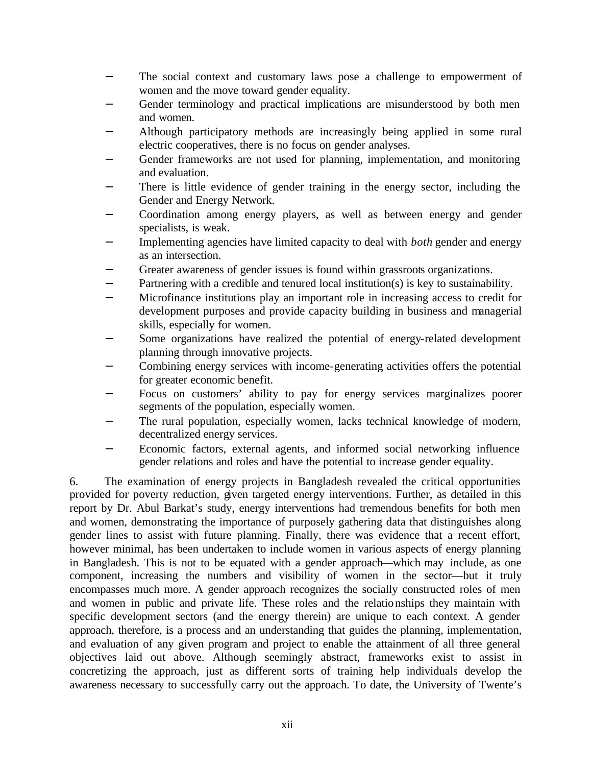- The social context and customary laws pose a challenge to empowerment of women and the move toward gender equality.
- Gender terminology and practical implications are misunderstood by both men and women.
- Although participatory methods are increasingly being applied in some rural electric cooperatives, there is no focus on gender analyses.
- Gender frameworks are not used for planning, implementation, and monitoring and evaluation.
- There is little evidence of gender training in the energy sector, including the Gender and Energy Network.
- − Coordination among energy players, as well as between energy and gender specialists, is weak.
- − Implementing agencies have limited capacity to deal with *both* gender and energy as an intersection.
- Greater awareness of gender issues is found within grassroots organizations.
- Partnering with a credible and tenured local institution(s) is key to sustainability.
- − Microfinance institutions play an important role in increasing access to credit for development purposes and provide capacity building in business and managerial skills, especially for women.
- Some organizations have realized the potential of energy-related development planning through innovative projects.
- Combining energy services with income-generating activities offers the potential for greater economic benefit.
- − Focus on customers' ability to pay for energy services marginalizes poorer segments of the population, especially women.
- The rural population, especially women, lacks technical knowledge of modern, decentralized energy services.
- Economic factors, external agents, and informed social networking influence gender relations and roles and have the potential to increase gender equality.

6. The examination of energy projects in Bangladesh revealed the critical opportunities provided for poverty reduction, given targeted energy interventions. Further, as detailed in this report by Dr. Abul Barkat's study, energy interventions had tremendous benefits for both men and women, demonstrating the importance of purposely gathering data that distinguishes along gender lines to assist with future planning. Finally, there was evidence that a recent effort, however minimal, has been undertaken to include women in various aspects of energy planning in Bangladesh. This is not to be equated with a gender approach—which may include, as one component, increasing the numbers and visibility of women in the sector—but it truly encompasses much more. A gender approach recognizes the socially constructed roles of men and women in public and private life. These roles and the relationships they maintain with specific development sectors (and the energy therein) are unique to each context. A gender approach, therefore, is a process and an understanding that guides the planning, implementation, and evaluation of any given program and project to enable the attainment of all three general objectives laid out above. Although seemingly abstract, frameworks exist to assist in concretizing the approach, just as different sorts of training help individuals develop the awareness necessary to successfully carry out the approach. To date, the University of Twente's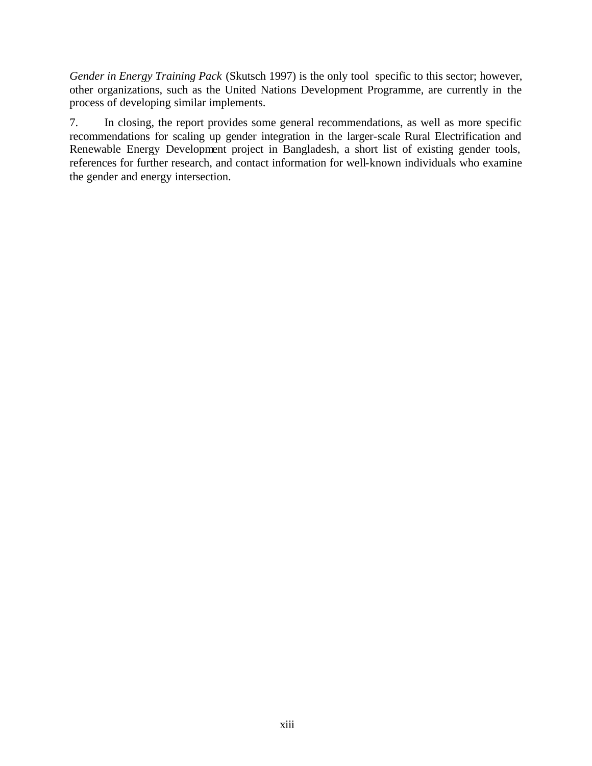*Gender in Energy Training Pack* (Skutsch 1997) is the only tool specific to this sector; however, other organizations, such as the United Nations Development Programme, are currently in the process of developing similar implements.

7. In closing, the report provides some general recommendations, as well as more specific recommendations for scaling up gender integration in the larger-scale Rural Electrification and Renewable Energy Development project in Bangladesh, a short list of existing gender tools, references for further research, and contact information for well-known individuals who examine the gender and energy intersection.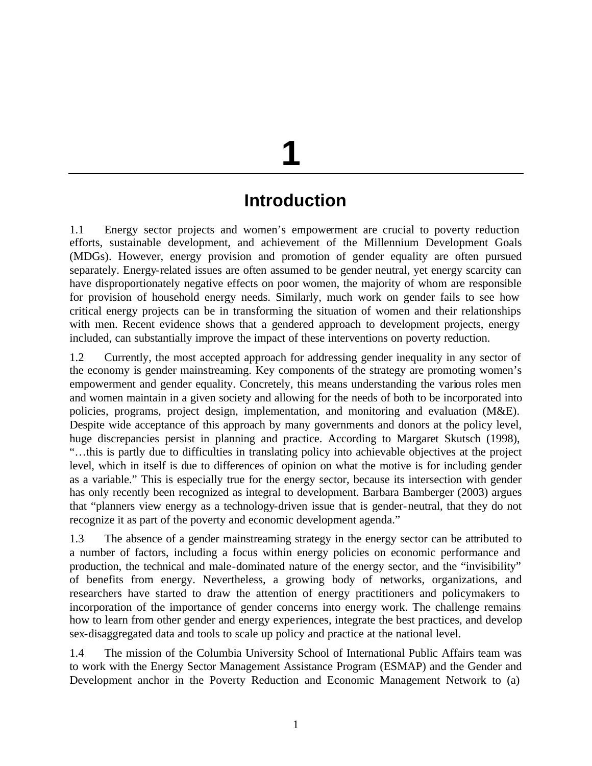# **1**

## **Introduction**

1.1 Energy sector projects and women's empowerment are crucial to poverty reduction efforts, sustainable development, and achievement of the Millennium Development Goals (MDGs). However, energy provision and promotion of gender equality are often pursued separately. Energy-related issues are often assumed to be gender neutral, yet energy scarcity can have disproportionately negative effects on poor women, the majority of whom are responsible for provision of household energy needs. Similarly, much work on gender fails to see how critical energy projects can be in transforming the situation of women and their relationships with men. Recent evidence shows that a gendered approach to development projects, energy included, can substantially improve the impact of these interventions on poverty reduction.

1.2 Currently, the most accepted approach for addressing gender inequality in any sector of the economy is gender mainstreaming. Key components of the strategy are promoting women's empowerment and gender equality. Concretely, this means understanding the various roles men and women maintain in a given society and allowing for the needs of both to be incorporated into policies, programs, project design, implementation, and monitoring and evaluation (M&E). Despite wide acceptance of this approach by many governments and donors at the policy level, huge discrepancies persist in planning and practice. According to Margaret Skutsch (1998), "…this is partly due to difficulties in translating policy into achievable objectives at the project level, which in itself is due to differences of opinion on what the motive is for including gender as a variable." This is especially true for the energy sector, because its intersection with gender has only recently been recognized as integral to development. Barbara Bamberger (2003) argues that "planners view energy as a technology-driven issue that is gender-neutral, that they do not recognize it as part of the poverty and economic development agenda."

1.3 The absence of a gender mainstreaming strategy in the energy sector can be attributed to a number of factors, including a focus within energy policies on economic performance and production, the technical and male-dominated nature of the energy sector, and the "invisibility" of benefits from energy. Nevertheless, a growing body of networks, organizations, and researchers have started to draw the attention of energy practitioners and policymakers to incorporation of the importance of gender concerns into energy work. The challenge remains how to learn from other gender and energy experiences, integrate the best practices, and develop sex-disaggregated data and tools to scale up policy and practice at the national level.

1.4 The mission of the Columbia University School of International Public Affairs team was to work with the Energy Sector Management Assistance Program (ESMAP) and the Gender and Development anchor in the Poverty Reduction and Economic Management Network to (a)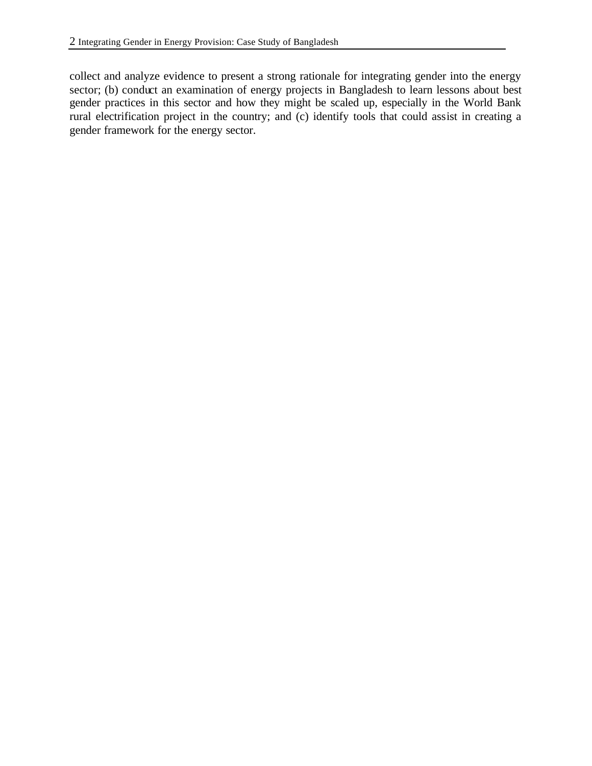collect and analyze evidence to present a strong rationale for integrating gender into the energy sector; (b) conduct an examination of energy projects in Bangladesh to learn lessons about best gender practices in this sector and how they might be scaled up, especially in the World Bank rural electrification project in the country; and (c) identify tools that could assist in creating a gender framework for the energy sector.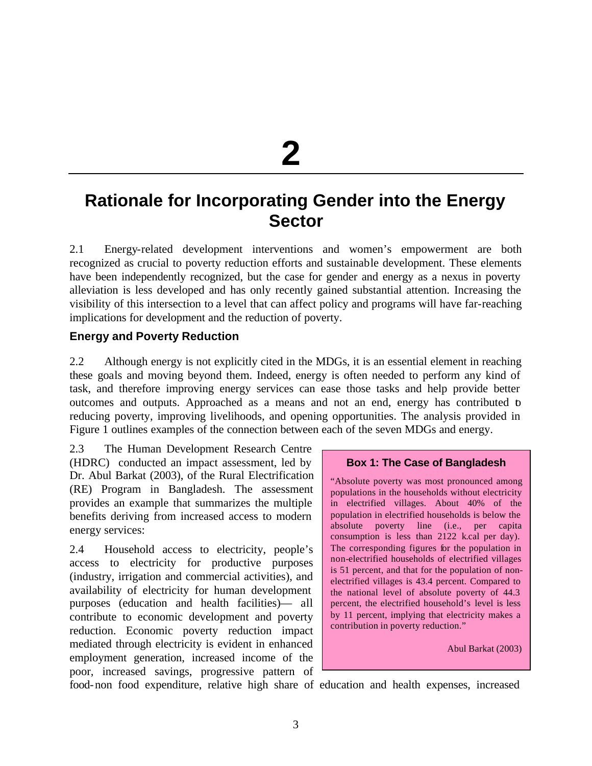**2**

## **Rationale for Incorporating Gender into the Energy Sector**

2.1 Energy-related development interventions and women's empowerment are both recognized as crucial to poverty reduction efforts and sustainable development. These elements have been independently recognized, but the case for gender and energy as a nexus in poverty alleviation is less developed and has only recently gained substantial attention. Increasing the visibility of this intersection to a level that can affect policy and programs will have far-reaching implications for development and the reduction of poverty.

#### **Energy and Poverty Reduction**

2.2 Although energy is not explicitly cited in the MDGs, it is an essential element in reaching these goals and moving beyond them. Indeed, energy is often needed to perform any kind of task, and therefore improving energy services can ease those tasks and help provide better outcomes and outputs. Approached as a means and not an end, energy has contributed to reducing poverty, improving livelihoods, and opening opportunities. The analysis provided in Figure 1 outlines examples of the connection between each of the seven MDGs and energy.

2.3 The Human Development Research Centre (HDRC) conducted an impact assessment, led by Dr. Abul Barkat (2003), of the Rural Electrification (RE) Program in Bangladesh. The assessment provides an example that summarizes the multiple benefits deriving from increased access to modern energy services:

2.4 Household access to electricity, people's access to electricity for productive purposes (industry, irrigation and commercial activities), and availability of electricity for human development purposes (education and health facilities)— all contribute to economic development and poverty reduction. Economic poverty reduction impact mediated through electricity is evident in enhanced employment generation, increased income of the poor, increased savings, progressive pattern of

#### **Box 1: The Case of Bangladesh**

"Absolute poverty was most pronounced among populations in the households without electricity in electrified villages. About 40% of the population in electrified households is below the absolute poverty line (i.e., per capita consumption is less than 2122 k.cal per day). The corresponding figures for the population in non-electrified households of electrified villages is 51 percent, and that for the population of nonelectrified villages is 43.4 percent. Compared to the national level of absolute poverty of 44.3 percent, the electrified household's level is less by 11 percent, implying that electricity makes a contribution in poverty reduction."

Abul Barkat (2003)

food-non food expenditure, relative high share of education and health expenses, increased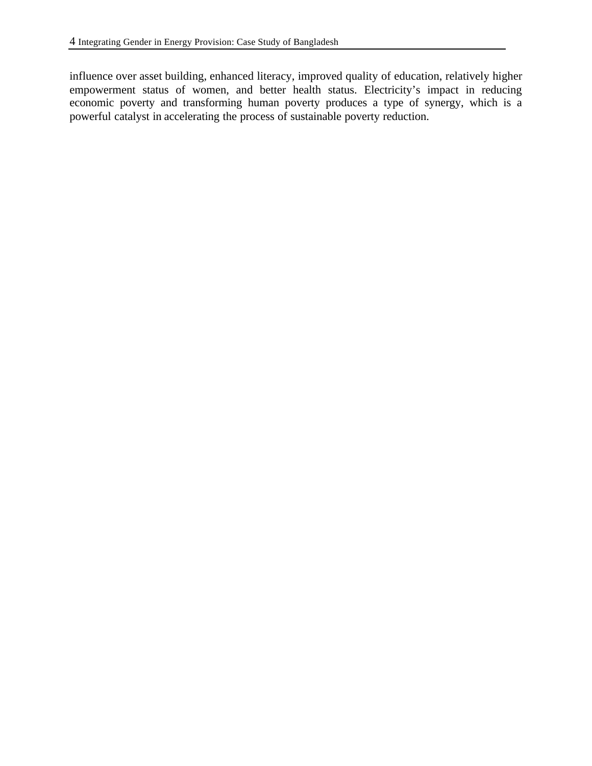influence over asset building, enhanced literacy, improved quality of education, relatively higher empowerment status of women, and better health status. Electricity's impact in reducing economic poverty and transforming human poverty produces a type of synergy, which is a powerful catalyst in accelerating the process of sustainable poverty reduction.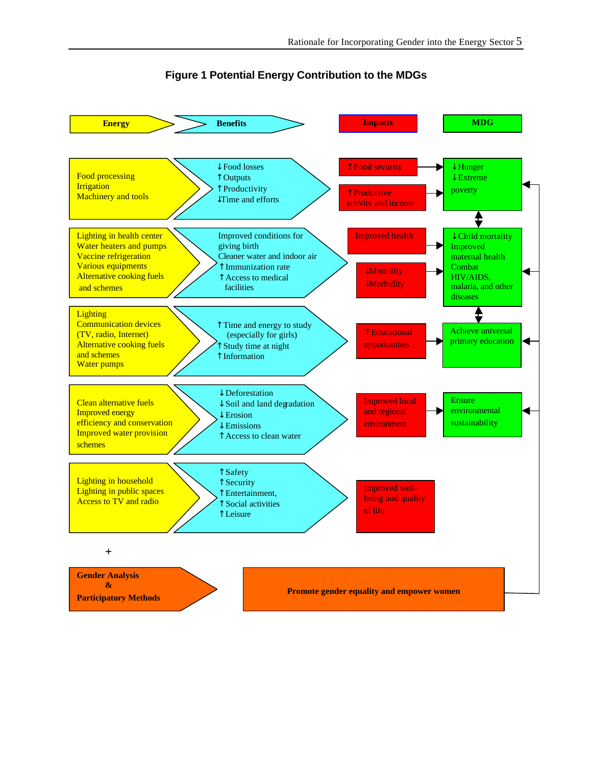

#### **Figure 1 Potential Energy Contribution to the MDGs**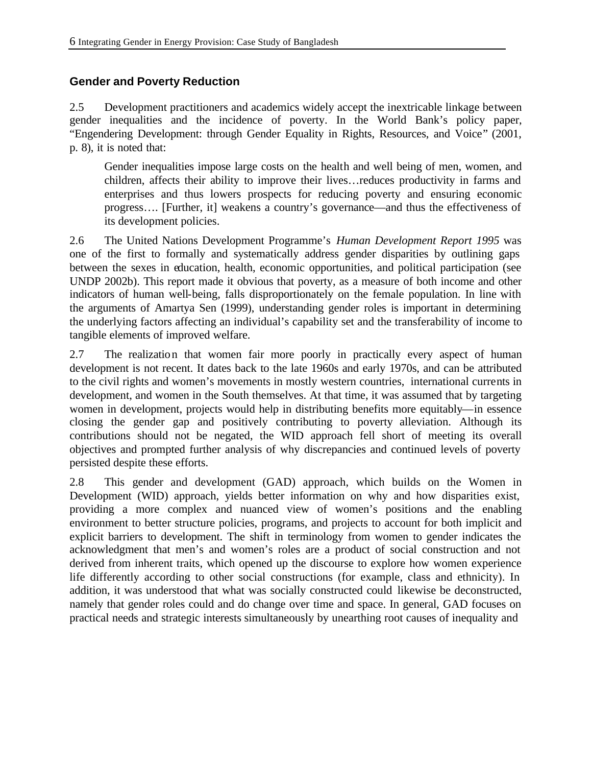#### **Gender and Poverty Reduction**

2.5 Development practitioners and academics widely accept the inextricable linkage between gender inequalities and the incidence of poverty. In the World Bank's policy paper, "Engendering Development: through Gender Equality in Rights, Resources, and Voice" (2001, p. 8), it is noted that:

Gender inequalities impose large costs on the health and well being of men, women, and children, affects their ability to improve their lives…reduces productivity in farms and enterprises and thus lowers prospects for reducing poverty and ensuring economic progress…. [Further, it] weakens a country's governance—and thus the effectiveness of its development policies.

2.6 The United Nations Development Programme's *Human Development Report 1995* was one of the first to formally and systematically address gender disparities by outlining gaps between the sexes in education, health, economic opportunities, and political participation (see UNDP 2002b). This report made it obvious that poverty, as a measure of both income and other indicators of human well-being, falls disproportionately on the female population. In line with the arguments of Amartya Sen (1999), understanding gender roles is important in determining the underlying factors affecting an individual's capability set and the transferability of income to tangible elements of improved welfare.

2.7 The realization that women fair more poorly in practically every aspect of human development is not recent. It dates back to the late 1960s and early 1970s, and can be attributed to the civil rights and women's movements in mostly western countries, international currents in development, and women in the South themselves. At that time, it was assumed that by targeting women in development, projects would help in distributing benefits more equitably—in essence closing the gender gap and positively contributing to poverty alleviation. Although its contributions should not be negated, the WID approach fell short of meeting its overall objectives and prompted further analysis of why discrepancies and continued levels of poverty persisted despite these efforts.

2.8 This gender and development (GAD) approach, which builds on the Women in Development (WID) approach, yields better information on why and how disparities exist, providing a more complex and nuanced view of women's positions and the enabling environment to better structure policies, programs, and projects to account for both implicit and explicit barriers to development. The shift in terminology from women to gender indicates the acknowledgment that men's and women's roles are a product of social construction and not derived from inherent traits, which opened up the discourse to explore how women experience life differently according to other social constructions (for example, class and ethnicity). In addition, it was understood that what was socially constructed could likewise be deconstructed, namely that gender roles could and do change over time and space. In general, GAD focuses on practical needs and strategic interests simultaneously by unearthing root causes of inequality and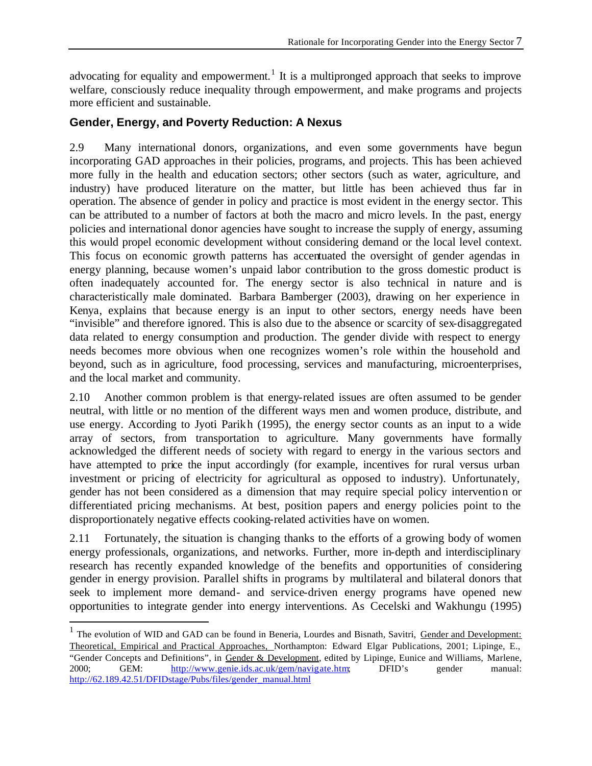advocating for equality and empowerment.<sup>1</sup> It is a multipronged approach that seeks to improve welfare, consciously reduce inequality through empowerment, and make programs and projects more efficient and sustainable.

#### **Gender, Energy, and Poverty Reduction: A Nexus**

2.9 Many international donors, organizations, and even some governments have begun incorporating GAD approaches in their policies, programs, and projects. This has been achieved more fully in the health and education sectors; other sectors (such as water, agriculture, and industry) have produced literature on the matter, but little has been achieved thus far in operation. The absence of gender in policy and practice is most evident in the energy sector. This can be attributed to a number of factors at both the macro and micro levels. In the past, energy policies and international donor agencies have sought to increase the supply of energy, assuming this would propel economic development without considering demand or the local level context. This focus on economic growth patterns has accentuated the oversight of gender agendas in energy planning, because women's unpaid labor contribution to the gross domestic product is often inadequately accounted for. The energy sector is also technical in nature and is characteristically male dominated. Barbara Bamberger (2003), drawing on her experience in Kenya, explains that because energy is an input to other sectors, energy needs have been "invisible" and therefore ignored. This is also due to the absence or scarcity of sex-disaggregated data related to energy consumption and production. The gender divide with respect to energy needs becomes more obvious when one recognizes women's role within the household and beyond, such as in agriculture, food processing, services and manufacturing, microenterprises, and the local market and community.

2.10 Another common problem is that energy-related issues are often assumed to be gender neutral, with little or no mention of the different ways men and women produce, distribute, and use energy. According to Jyoti Parikh (1995), the energy sector counts as an input to a wide array of sectors, from transportation to agriculture. Many governments have formally acknowledged the different needs of society with regard to energy in the various sectors and have attempted to price the input accordingly (for example, incentives for rural versus urban investment or pricing of electricity for agricultural as opposed to industry). Unfortunately, gender has not been considered as a dimension that may require special policy intervention or differentiated pricing mechanisms. At best, position papers and energy policies point to the disproportionately negative effects cooking-related activities have on women.

2.11 Fortunately, the situation is changing thanks to the efforts of a growing body of women energy professionals, organizations, and networks. Further, more in-depth and interdisciplinary research has recently expanded knowledge of the benefits and opportunities of considering gender in energy provision. Parallel shifts in programs by multilateral and bilateral donors that seek to implement more demand- and service-driven energy programs have opened new opportunities to integrate gender into energy interventions. As Cecelski and Wakhungu (1995)

 $\overline{a}$ 

<sup>&</sup>lt;sup>1</sup> The evolution of WID and GAD can be found in Beneria, Lourdes and Bisnath, Savitri, Gender and Development: Theoretical, Empirical and Practical Approaches, Northampton: Edward Elgar Publications, 2001; Lipinge, E., "Gender Concepts and Definitions", in Gender & Development, edited by Lipinge, Eunice and Williams, Marlene, 2000; GEM: http://www.genie.ids.ac.uk/gem/navigate.htm; DFID's gender manual: http://62.189.42.51/DFIDstage/Pubs/files/gender\_manual.html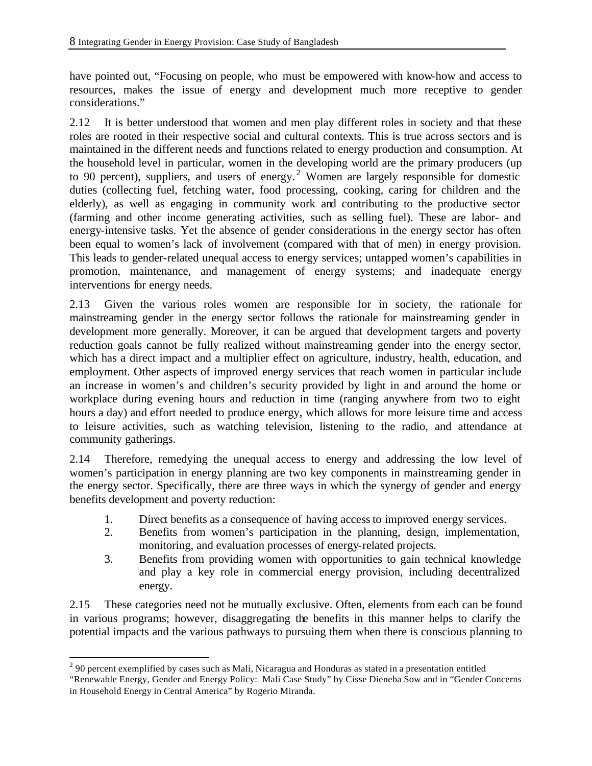have pointed out, "Focusing on people, who must be empowered with know-how and access to resources, makes the issue of energy and development much more receptive to gender considerations."

2.12 It is better understood that women and men play different roles in society and that these roles are rooted in their respective social and cultural contexts. This is true across sectors and is maintained in the different needs and functions related to energy production and consumption. At the household level in particular, women in the developing world are the primary producers (up to 90 percent), suppliers, and users of energy.<sup>2</sup> Women are largely responsible for domestic duties (collecting fuel, fetching water, food processing, cooking, caring for children and the elderly), as well as engaging in community work and contributing to the productive sector (farming and other income generating activities, such as selling fuel). These are labor- and energy-intensive tasks. Yet the absence of gender considerations in the energy sector has often been equal to women's lack of involvement (compared with that of men) in energy provision. This leads to gender-related unequal access to energy services; untapped women's capabilities in promotion, maintenance, and management of energy systems; and inadequate energy interventions for energy needs.

2.13 Given the various roles women are responsible for in society, the rationale for mainstreaming gender in the energy sector follows the rationale for mainstreaming gender in development more generally. Moreover, it can be argued that development targets and poverty reduction goals cannot be fully realized without mainstreaming gender into the energy sector, which has a direct impact and a multiplier effect on agriculture, industry, health, education, and employment. Other aspects of improved energy services that reach women in particular include an increase in women's and children's security provided by light in and around the home or workplace during evening hours and reduction in time (ranging anywhere from two to eight hours a day) and effort needed to produce energy, which allows for more leisure time and access to leisure activities, such as watching television, listening to the radio, and attendance at community gatherings.

2.14 Therefore, remedying the unequal access to energy and addressing the low level of women's participation in energy planning are two key components in mainstreaming gender in the energy sector. Specifically, there are three ways in which the synergy of gender and energy benefits development and poverty reduction:

- 1. Direct benefits as a consequence of having accessto improved energy services.
- 2. Benefits from women's participation in the planning, design, implementation, monitoring, and evaluation processes of energy-related projects.
- 3. Benefits from providing women with opportunities to gain technical knowledge and play a key role in commercial energy provision, including decentralized energy.

2.15 These categories need not be mutually exclusive. Often, elements from each can be found in various programs; however, disaggregating the benefits in this manner helps to clarify the potential impacts and the various pathways to pursuing them when there is conscious planning to

 $\overline{a}$  $2^{2}$  90 percent exemplified by cases such as Mali, Nicaragua and Honduras as stated in a presentation entitled

<sup>&</sup>quot;Renewable Energy, Gender and Energy Policy: Mali Case Study" by Cisse Dieneba Sow and in "Gender Concerns in Household Energy in Central America" by Rogerio Miranda.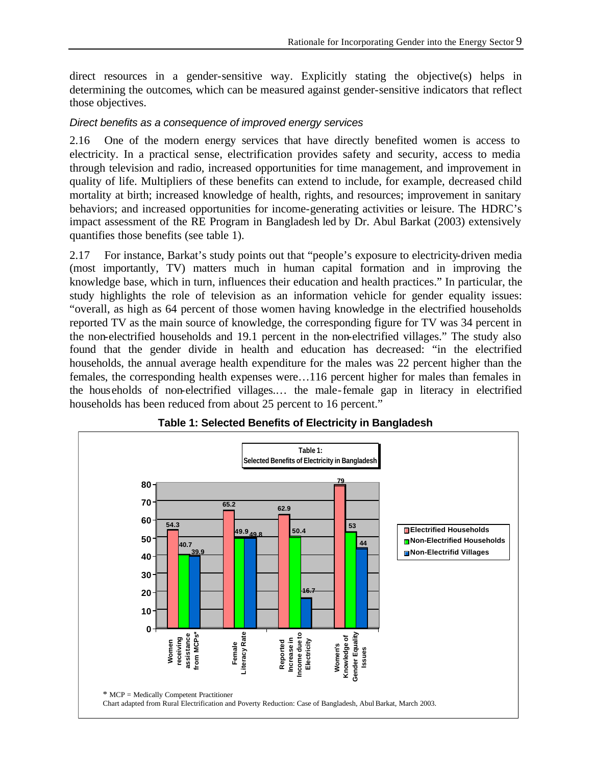direct resources in a gender-sensitive way. Explicitly stating the objective(s) helps in determining the outcomes, which can be measured against gender-sensitive indicators that reflect those objectives.

#### *Direct benefits as a consequence of improved energy services*

2.16 One of the modern energy services that have directly benefited women is access to electricity. In a practical sense, electrification provides safety and security, access to media through television and radio, increased opportunities for time management, and improvement in quality of life. Multipliers of these benefits can extend to include, for example, decreased child mortality at birth; increased knowledge of health, rights, and resources; improvement in sanitary behaviors; and increased opportunities for income-generating activities or leisure. The HDRC's impact assessment of the RE Program in Bangladesh led by Dr. Abul Barkat (2003) extensively quantifies those benefits (see table 1).

2.17 For instance, Barkat's study points out that "people's exposure to electricity-driven media (most importantly, TV) matters much in human capital formation and in improving the knowledge base, which in turn, influences their education and health practices." In particular, the study highlights the role of television as an information vehicle for gender equality issues: "overall, as high as 64 percent of those women having knowledge in the electrified households reported TV as the main source of knowledge, the corresponding figure for TV was 34 percent in the non-electrified households and 19.1 percent in the non-electrified villages." The study also found that the gender divide in health and education has decreased: "in the electrified households, the annual average health expenditure for the males was 22 percent higher than the females, the corresponding health expenses were…116 percent higher for males than females in the households of non-electrified villages.… the male-female gap in literacy in electrified households has been reduced from about 25 percent to 16 percent."



**Table 1: Selected Benefits of Electricity in Bangladesh**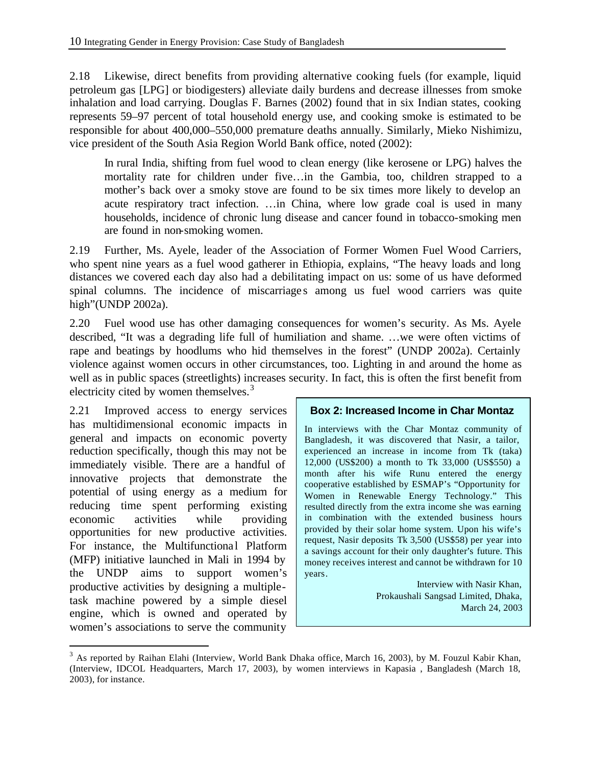2.18 Likewise, direct benefits from providing alternative cooking fuels (for example, liquid petroleum gas [LPG] or biodigesters) alleviate daily burdens and decrease illnesses from smoke inhalation and load carrying. Douglas F. Barnes (2002) found that in six Indian states, cooking represents 59–97 percent of total household energy use, and cooking smoke is estimated to be responsible for about 400,000–550,000 premature deaths annually. Similarly, Mieko Nishimizu, vice president of the South Asia Region World Bank office, noted (2002):

In rural India, shifting from fuel wood to clean energy (like kerosene or LPG) halves the mortality rate for children under five…in the Gambia, too, children strapped to a mother's back over a smoky stove are found to be six times more likely to develop an acute respiratory tract infection. …in China, where low grade coal is used in many households, incidence of chronic lung disease and cancer found in tobacco-smoking men are found in non-smoking women.

2.19 Further, Ms. Ayele, leader of the Association of Former Women Fuel Wood Carriers, who spent nine years as a fuel wood gatherer in Ethiopia, explains, "The heavy loads and long distances we covered each day also had a debilitating impact on us: some of us have deformed spinal columns. The incidence of miscarriages among us fuel wood carriers was quite high"(UNDP 2002a).

2.20 Fuel wood use has other damaging consequences for women's security. As Ms. Ayele described, "It was a degrading life full of humiliation and shame. …we were often victims of rape and beatings by hoodlums who hid themselves in the forest" (UNDP 2002a). Certainly violence against women occurs in other circumstances, too. Lighting in and around the home as well as in public spaces (streetlights) increases security. In fact, this is often the first benefit from electricity cited by women themselves.<sup>3</sup>

2.21 Improved access to energy services has multidimensional economic impacts in general and impacts on economic poverty reduction specifically, though this may not be immediately visible. There are a handful of innovative projects that demonstrate the potential of using energy as a medium for reducing time spent performing existing economic activities while providing opportunities for new productive activities. For instance, the Multifunctional Platform (MFP) initiative launched in Mali in 1994 by the UNDP aims to support women's productive activities by designing a multipletask machine powered by a simple diesel engine, which is owned and operated by women's associations to serve the community

 $\overline{a}$ 

#### **Box 2: Increased Income in Char Montaz**

In interviews with the Char Montaz community of Bangladesh, it was discovered that Nasir, a tailor, experienced an increase in income from Tk (taka) 12,000 (US\$200) a month to Tk 33,000 (US\$550) a month after his wife Runu entered the energy cooperative established by ESMAP's "Opportunity for Women in Renewable Energy Technology." This resulted directly from the extra income she was earning in combination with the extended business hours provided by their solar home system. Upon his wife's request, Nasir deposits Tk 3,500 (US\$58) per year into a savings account for their only daughter's future. This money receives interest and cannot be withdrawn for 10 years.

> Interview with Nasir Khan, Prokaushali Sangsad Limited, Dhaka, March 24, 2003

<sup>&</sup>lt;sup>3</sup> As reported by Raihan Elahi (Interview, World Bank Dhaka office, March 16, 2003), by M. Fouzul Kabir Khan, (Interview, IDCOL Headquarters, March 17, 2003), by women interviews in Kapasia , Bangladesh (March 18, 2003), for instance.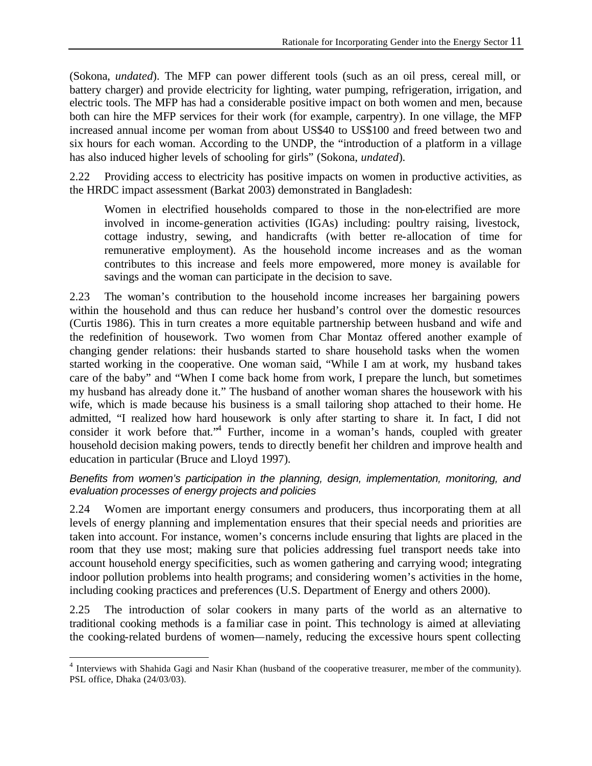(Sokona, *undated*). The MFP can power different tools (such as an oil press, cereal mill, or battery charger) and provide electricity for lighting, water pumping, refrigeration, irrigation, and electric tools. The MFP has had a considerable positive impact on both women and men, because both can hire the MFP services for their work (for example, carpentry). In one village, the MFP increased annual income per woman from about US\$40 to US\$100 and freed between two and six hours for each woman. According to the UNDP, the "introduction of a platform in a village has also induced higher levels of schooling for girls" (Sokona, *undated*).

2.22 Providing access to electricity has positive impacts on women in productive activities, as the HRDC impact assessment (Barkat 2003) demonstrated in Bangladesh:

Women in electrified households compared to those in the non-electrified are more involved in income-generation activities (IGAs) including: poultry raising, livestock, cottage industry, sewing, and handicrafts (with better re-allocation of time for remunerative employment). As the household income increases and as the woman contributes to this increase and feels more empowered, more money is available for savings and the woman can participate in the decision to save.

2.23 The woman's contribution to the household income increases her bargaining powers within the household and thus can reduce her husband's control over the domestic resources (Curtis 1986). This in turn creates a more equitable partnership between husband and wife and the redefinition of housework. Two women from Char Montaz offered another example of changing gender relations: their husbands started to share household tasks when the women started working in the cooperative. One woman said, "While I am at work, my husband takes care of the baby" and "When I come back home from work, I prepare the lunch, but sometimes my husband has already done it." The husband of another woman shares the housework with his wife, which is made because his business is a small tailoring shop attached to their home. He admitted, "I realized how hard housework is only after starting to share it. In fact, I did not consider it work before that.<sup>4</sup> Further, income in a woman's hands, coupled with greater household decision making powers, tends to directly benefit her children and improve health and education in particular (Bruce and Lloyd 1997).

#### *Benefits from women's participation in the planning, design, implementation, monitoring, and evaluation processes of energy projects and policies*

2.24 Women are important energy consumers and producers, thus incorporating them at all levels of energy planning and implementation ensures that their special needs and priorities are taken into account. For instance, women's concerns include ensuring that lights are placed in the room that they use most; making sure that policies addressing fuel transport needs take into account household energy specificities, such as women gathering and carrying wood; integrating indoor pollution problems into health programs; and considering women's activities in the home, including cooking practices and preferences (U.S. Department of Energy and others 2000).

2.25 The introduction of solar cookers in many parts of the world as an alternative to traditional cooking methods is a familiar case in point. This technology is aimed at alleviating the cooking-related burdens of women—namely, reducing the excessive hours spent collecting

 $\overline{a}$ 

<sup>&</sup>lt;sup>4</sup> Interviews with Shahida Gagi and Nasir Khan (husband of the cooperative treasurer, me mber of the community). PSL office, Dhaka (24/03/03).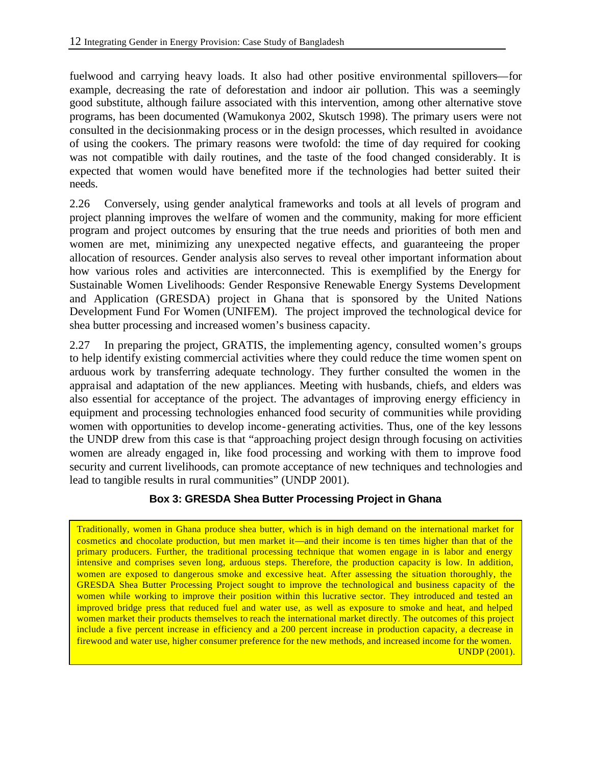fuelwood and carrying heavy loads. It also had other positive environmental spillovers—for example, decreasing the rate of deforestation and indoor air pollution. This was a seemingly good substitute, although failure associated with this intervention, among other alternative stove programs, has been documented (Wamukonya 2002, Skutsch 1998). The primary users were not consulted in the decisionmaking process or in the design processes, which resulted in avoidance of using the cookers. The primary reasons were twofold: the time of day required for cooking was not compatible with daily routines, and the taste of the food changed considerably. It is expected that women would have benefited more if the technologies had better suited their needs.

2.26 Conversely, using gender analytical frameworks and tools at all levels of program and project planning improves the welfare of women and the community, making for more efficient program and project outcomes by ensuring that the true needs and priorities of both men and women are met, minimizing any unexpected negative effects, and guaranteeing the proper allocation of resources. Gender analysis also serves to reveal other important information about how various roles and activities are interconnected. This is exemplified by the Energy for Sustainable Women Livelihoods: Gender Responsive Renewable Energy Systems Development and Application (GRESDA) project in Ghana that is sponsored by the United Nations Development Fund For Women (UNIFEM). The project improved the technological device for shea butter processing and increased women's business capacity.

2.27 In preparing the project, GRATIS, the implementing agency, consulted women's groups to help identify existing commercial activities where they could reduce the time women spent on arduous work by transferring adequate technology. They further consulted the women in the appraisal and adaptation of the new appliances. Meeting with husbands, chiefs, and elders was also essential for acceptance of the project. The advantages of improving energy efficiency in equipment and processing technologies enhanced food security of communities while providing women with opportunities to develop income-generating activities. Thus, one of the key lessons the UNDP drew from this case is that "approaching project design through focusing on activities women are already engaged in, like food processing and working with them to improve food security and current livelihoods, can promote acceptance of new techniques and technologies and lead to tangible results in rural communities" (UNDP 2001).

#### **Box 3: GRESDA Shea Butter Processing Project in Ghana**

Traditionally, women in Ghana produce shea butter, which is in high demand on the international market for cosmetics and chocolate production, but men market it—and their income is ten times higher than that of the primary producers. Further, the traditional processing technique that women engage in is labor and energy intensive and comprises seven long, arduous steps. Therefore, the production capacity is low. In addition, women are exposed to dangerous smoke and excessive heat. After assessing the situation thoroughly, the GRESDA Shea Butter Processing Project sought to improve the technological and business capacity of the women while working to improve their position within this lucrative sector. They introduced and tested an improved bridge press that reduced fuel and water use, as well as exposure to smoke and heat, and helped women market their products themselves to reach the international market directly. The outcomes of this project include a five percent increase in efficiency and a 200 percent increase in production capacity, a decrease in firewood and water use, higher consumer preference for the new methods, and increased income for the women. UNDP (2001).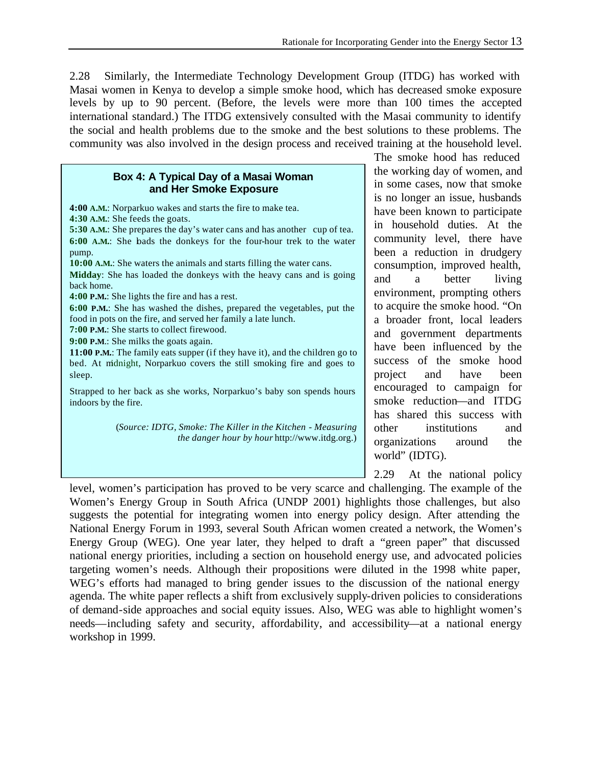2.28 Similarly, the Intermediate Technology Development Group (ITDG) has worked with Masai women in Kenya to develop a simple smoke hood, which has decreased smoke exposure levels by up to 90 percent. (Before, the levels were more than 100 times the accepted international standard.) The ITDG extensively consulted with the Masai community to identify the social and health problems due to the smoke and the best solutions to these problems. The community was also involved in the design process and received training at the household level.

#### **Box 4: A Typical Day of a Masai Woman and Her Smoke Exposure**

**4:00 A.M.**: Norparkuo wakes and starts the fire to make tea. **4:30 A.M.**: She feeds the goats. **5:30 A.M.**: She prepares the day's water cans and has another cup of tea. **6:00 A.M.**: She loads the donkeys for the four-hour trek to the water pump. **10:00 A.M.**: She waters the animals and starts filling the water cans. **Midday**: She has loaded the donkeys with the heavy cans and is going back home. **4:00 P.M.**: She lights the fire and has a rest. **6:00 P.M.**: She has washed the dishes, prepared the vegetables, put the food in pots on the fire, and served her family a late lunch. **7:00 P.M.**: She starts to collect firewood. **9:00 P.M**.: She milks the goats again. **11:00 P.M.**: The family eats supper (if they have it), and the children go to bed. At midnight, Norparkuo covers the still smoking fire and goes to sleep. Strapped to her back as she works, Norparkuo's baby son spends hours indoors by the fire. (*Source: IDTG, Smoke: The Killer in the Kitchen - Measuring the danger hour by hour* http://www.itdg.org.)

The smoke hood has reduced the working day of women, and in some cases, now that smoke is no longer an issue, husbands have been known to participate in household duties. At the community level, there have been a reduction in drudgery consumption, improved health, and a better living environment, prompting others to acquire the smoke hood. "On a broader front, local leaders and government departments have been influenced by the success of the smoke hood project and have been encouraged to campaign for smoke reduction—and ITDG has shared this success with other institutions and organizations around the world" (IDTG).

2.29 At the national policy

level, women's participation has proved to be very scarce and challenging. The example of the Women's Energy Group in South Africa (UNDP 2001) highlights those challenges, but also suggests the potential for integrating women into energy policy design. After attending the National Energy Forum in 1993, several South African women created a network, the Women's Energy Group (WEG). One year later, they helped to draft a "green paper" that discussed national energy priorities, including a section on household energy use, and advocated policies targeting women's needs. Although their propositions were diluted in the 1998 white paper, WEG's efforts had managed to bring gender issues to the discussion of the national energy agenda. The white paper reflects a shift from exclusively supply-driven policies to considerations of demand-side approaches and social equity issues. Also, WEG was able to highlight women's needs—including safety and security, affordability, and accessibility—at a national energy workshop in 1999.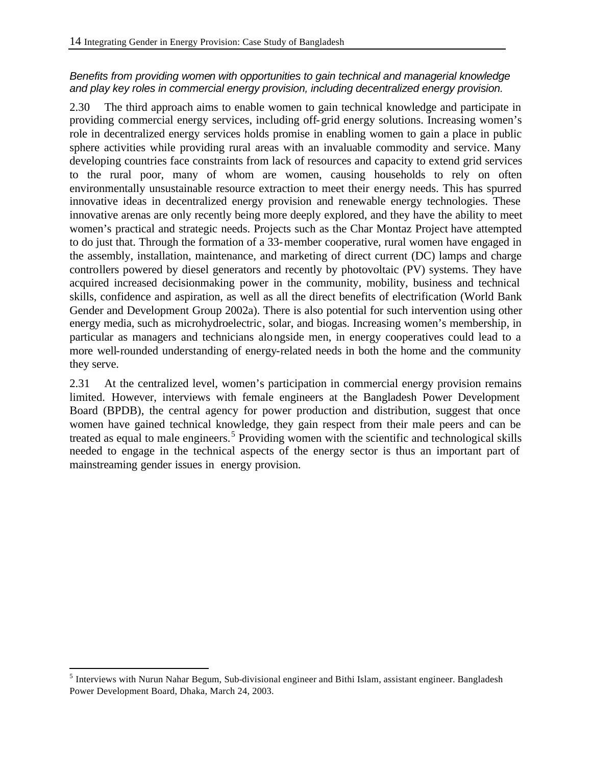#### *Benefits from providing women with opportunities to gain technical and managerial knowledge and play key roles in commercial energy provision, including decentralized energy provision.*

2.30 The third approach aims to enable women to gain technical knowledge and participate in providing commercial energy services, including off-grid energy solutions. Increasing women's role in decentralized energy services holds promise in enabling women to gain a place in public sphere activities while providing rural areas with an invaluable commodity and service. Many developing countries face constraints from lack of resources and capacity to extend grid services to the rural poor, many of whom are women, causing households to rely on often environmentally unsustainable resource extraction to meet their energy needs. This has spurred innovative ideas in decentralized energy provision and renewable energy technologies. These innovative arenas are only recently being more deeply explored, and they have the ability to meet women's practical and strategic needs. Projects such as the Char Montaz Project have attempted to do just that. Through the formation of a 33-member cooperative, rural women have engaged in the assembly, installation, maintenance, and marketing of direct current (DC) lamps and charge controllers powered by diesel generators and recently by photovoltaic (PV) systems. They have acquired increased decisionmaking power in the community, mobility, business and technical skills, confidence and aspiration, as well as all the direct benefits of electrification (World Bank Gender and Development Group 2002a). There is also potential for such intervention using other energy media, such as microhydroelectric, solar, and biogas. Increasing women's membership, in particular as managers and technicians alongside men, in energy cooperatives could lead to a more well-rounded understanding of energy-related needs in both the home and the community they serve.

2.31 At the centralized level, women's participation in commercial energy provision remains limited. However, interviews with female engineers at the Bangladesh Power Development Board (BPDB), the central agency for power production and distribution, suggest that once women have gained technical knowledge, they gain respect from their male peers and can be treated as equal to male engineers.<sup>5</sup> Providing women with the scientific and technological skills needed to engage in the technical aspects of the energy sector is thus an important part of mainstreaming gender issues in energy provision.

 $\overline{a}$ 

<sup>&</sup>lt;sup>5</sup> Interviews with Nurun Nahar Begum, Sub-divisional engineer and Bithi Islam, assistant engineer. Bangladesh Power Development Board, Dhaka, March 24, 2003.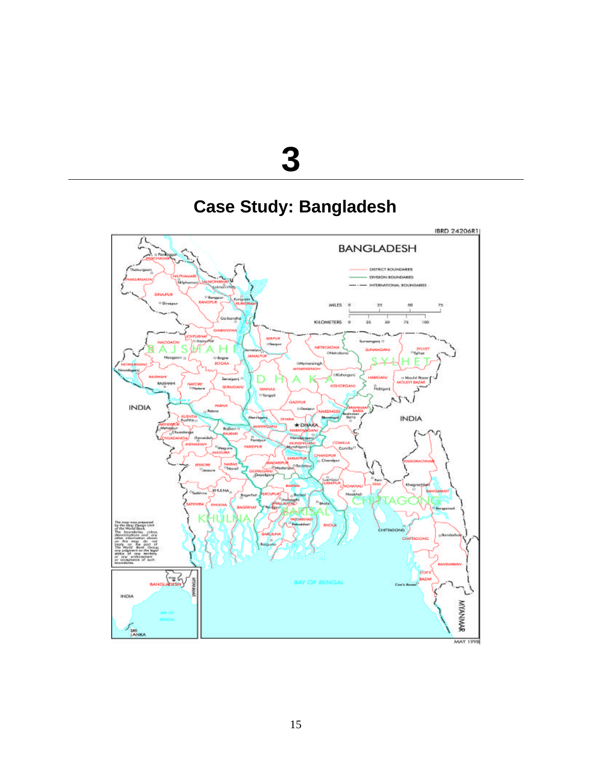# 

# **Case Study: Bangladesh**

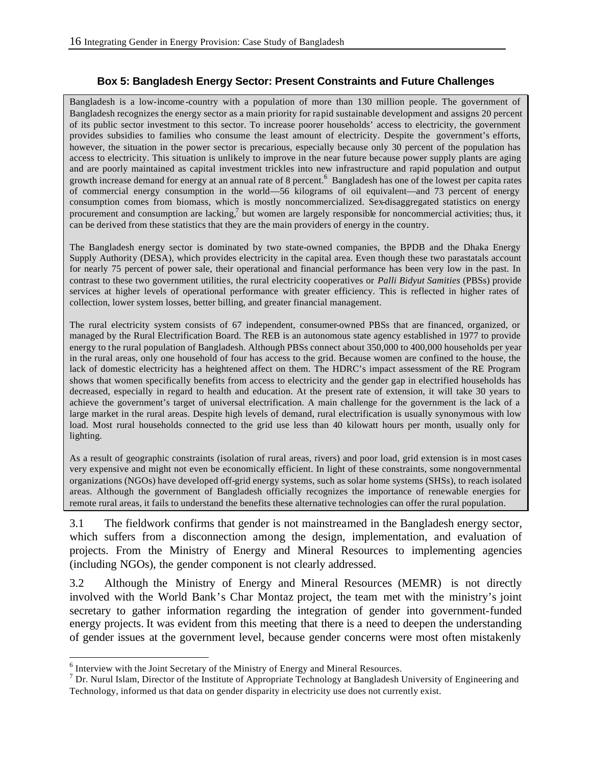#### **Box 5: Bangladesh Energy Sector: Present Constraints and Future Challenges**

Bangladesh is a low-income -country with a population of more than 130 million people. The government of Bangladesh recognizes the energy sector as a main priority for rapid sustainable development and assigns 20 percent of its public sector investment to this sector. To increase poorer households' access to electricity, the government provides subsidies to families who consume the least amount of electricity. Despite the government's efforts, however, the situation in the power sector is precarious, especially because only 30 percent of the population has access to electricity. This situation is unlikely to improve in the near future because power supply plants are aging and are poorly maintained as capital investment trickles into new infrastructure and rapid population and output growth increase demand for energy at an annual rate of 8 percent.<sup>6</sup> Bangladesh has one of the lowest per capita rates of commercial energy consumption in the world—56 kilograms of oil equivalent—and 73 percent of energy consumption comes from biomass, which is mostly noncommercialized. Sex-disaggregated statistics on energy procurement and consumption are lacking, $^7$  but women are largely responsible for noncommercial activities; thus, it can be derived from these statistics that they are the main providers of energy in the country.

The Bangladesh energy sector is dominated by two state-owned companies, the BPDB and the Dhaka Energy Supply Authority (DESA), which provides electricity in the capital area. Even though these two parastatals account for nearly 75 percent of power sale, their operational and financial performance has been very low in the past. In contrast to these two government utilities, the rural electricity cooperatives or *Palli Bidyut Samities* (PBSs) provide services at higher levels of operational performance with greater efficiency. This is reflected in higher rates of collection, lower system losses, better billing, and greater financial management.

The rural electricity system consists of 67 independent, consumer-owned PBSs that are financed, organized, or managed by the Rural Electrification Board. The REB is an autonomous state agency established in 1977 to provide energy to the rural population of Bangladesh. Although PBSs connect about 350,000 to 400,000 households per year in the rural areas, only one household of four has access to the grid. Because women are confined to the house, the lack of domestic electricity has a heightened affect on them. The HDRC's impact assessment of the RE Program shows that women specifically benefits from access to electricity and the gender gap in electrified households has decreased, especially in regard to health and education. At the present rate of extension, it will take 30 years to achieve the government's target of universal electrification. A main challenge for the government is the lack of a large market in the rural areas. Despite high levels of demand, rural electrification is usually synonymous with low load. Most rural households connected to the grid use less than 40 kilowatt hours per month, usually only for lighting.

As a result of geographic constraints (isolation of rural areas, rivers) and poor load, grid extension is in most cases very expensive and might not even be economically efficient. In light of these constraints, some nongovernmental organizations (NGOs) have developed off-grid energy systems, such as solar home systems (SHSs), to reach isolated areas. Although the government of Bangladesh officially recognizes the importance of renewable energies for remote rural areas, it fails to understand the benefits these alternative technologies can offer the rural population.

3.1 The fieldwork confirms that gender is not mainstreamed in the Bangladesh energy sector, which suffers from a disconnection among the design, implementation, and evaluation of projects. From the Ministry of Energy and Mineral Resources to implementing agencies (including NGOs), the gender component is not clearly addressed.

3.2 Although the Ministry of Energy and Mineral Resources (MEMR) is not directly involved with the World Bank's Char Montaz project, the team met with the ministry's joint secretary to gather information regarding the integration of gender into government-funded energy projects. It was evident from this meeting that there is a need to deepen the understanding of gender issues at the government level, because gender concerns were most often mistakenly

 $\overline{a}$ 

 $<sup>6</sup>$  Interview with the Joint Secretary of the Ministry of Energy and Mineral Resources.</sup>

<sup>&</sup>lt;sup>7</sup> Dr. Nurul Islam, Director of the Institute of Appropriate Technology at Bangladesh University of Engineering and Technology, informed us that data on gender disparity in electricity use does not currently exist.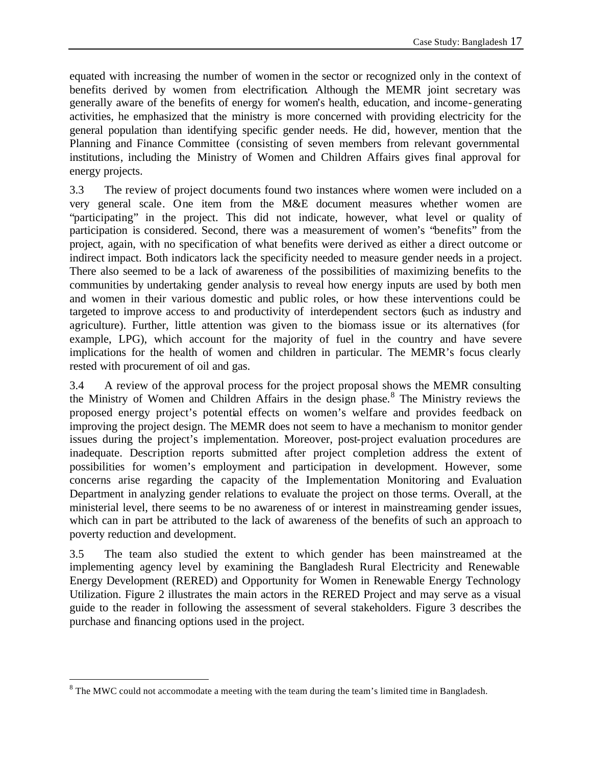equated with increasing the number of women in the sector or recognized only in the context of benefits derived by women from electrification. Although the MEMR joint secretary was generally aware of the benefits of energy for women's health, education, and income-generating activities, he emphasized that the ministry is more concerned with providing electricity for the general population than identifying specific gender needs. He did, however, mention that the Planning and Finance Committee (consisting of seven members from relevant governmental institutions, including the Ministry of Women and Children Affairs gives final approval for energy projects.

3.3 The review of project documents found two instances where women were included on a very general scale. One item from the M&E document measures whether women are "participating" in the project. This did not indicate, however, what level or quality of participation is considered. Second, there was a measurement of women's "benefits" from the project, again, with no specification of what benefits were derived as either a direct outcome or indirect impact. Both indicators lack the specificity needed to measure gender needs in a project. There also seemed to be a lack of awareness of the possibilities of maximizing benefits to the communities by undertaking gender analysis to reveal how energy inputs are used by both men and women in their various domestic and public roles, or how these interventions could be targeted to improve access to and productivity of interdependent sectors (such as industry and agriculture). Further, little attention was given to the biomass issue or its alternatives (for example, LPG), which account for the majority of fuel in the country and have severe implications for the health of women and children in particular. The MEMR's focus clearly rested with procurement of oil and gas.

3.4 A review of the approval process for the project proposal shows the MEMR consulting the Ministry of Women and Children Affairs in the design phase.<sup>8</sup> The Ministry reviews the proposed energy project's potential effects on women's welfare and provides feedback on improving the project design. The MEMR does not seem to have a mechanism to monitor gender issues during the project's implementation. Moreover, post-project evaluation procedures are inadequate. Description reports submitted after project completion address the extent of possibilities for women's employment and participation in development. However, some concerns arise regarding the capacity of the Implementation Monitoring and Evaluation Department in analyzing gender relations to evaluate the project on those terms. Overall, at the ministerial level, there seems to be no awareness of or interest in mainstreaming gender issues, which can in part be attributed to the lack of awareness of the benefits of such an approach to poverty reduction and development.

3.5 The team also studied the extent to which gender has been mainstreamed at the implementing agency level by examining the Bangladesh Rural Electricity and Renewable Energy Development (RERED) and Opportunity for Women in Renewable Energy Technology Utilization. Figure 2 illustrates the main actors in the RERED Project and may serve as a visual guide to the reader in following the assessment of several stakeholders. Figure 3 describes the purchase and financing options used in the project.

 $\overline{a}$ 

 $8$  The MWC could not accommodate a meeting with the team during the team's limited time in Bangladesh.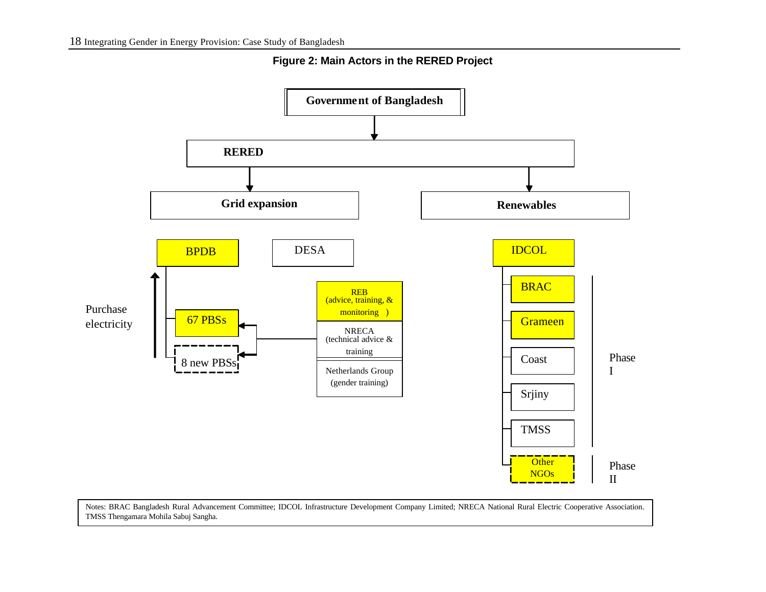

**Figure 2: Main Actors in the RERED Project**

Notes: BRAC Bangladesh Rural Advancement Committee; IDCOL Infrastructure Development Company Limited; NRECA National Rural Electric Cooperative Association. TMSS Thengamara Mohila Sabuj Sangha.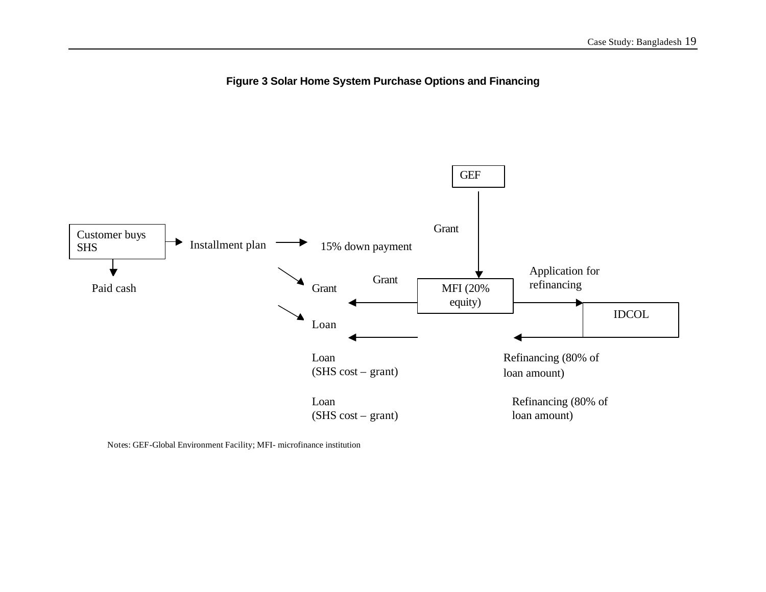



Notes: GEF-Global Environment Facility; MFI- microfinance institution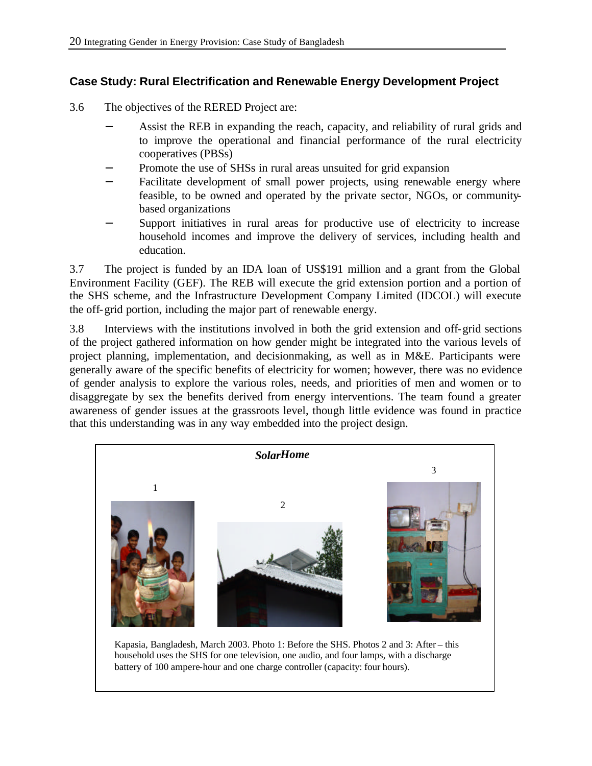#### **Case Study: Rural Electrification and Renewable Energy Development Project**

- 3.6 The objectives of the RERED Project are:
	- Assist the REB in expanding the reach, capacity, and reliability of rural grids and to improve the operational and financial performance of the rural electricity cooperatives (PBSs)
	- Promote the use of SHSs in rural areas unsuited for grid expansion
	- Facilitate development of small power projects, using renewable energy where feasible, to be owned and operated by the private sector, NGOs, or communitybased organizations
	- Support initiatives in rural areas for productive use of electricity to increase household incomes and improve the delivery of services, including health and education.

3.7 The project is funded by an IDA loan of US\$191 million and a grant from the Global Environment Facility (GEF). The REB will execute the grid extension portion and a portion of the SHS scheme, and the Infrastructure Development Company Limited (IDCOL) will execute the off-grid portion, including the major part of renewable energy.

3.8 Interviews with the institutions involved in both the grid extension and off-grid sections of the project gathered information on how gender might be integrated into the various levels of project planning, implementation, and decisionmaking, as well as in M&E. Participants were generally aware of the specific benefits of electricity for women; however, there was no evidence of gender analysis to explore the various roles, needs, and priorities of men and women or to disaggregate by sex the benefits derived from energy interventions. The team found a greater awareness of gender issues at the grassroots level, though little evidence was found in practice that this understanding was in any way embedded into the project design.

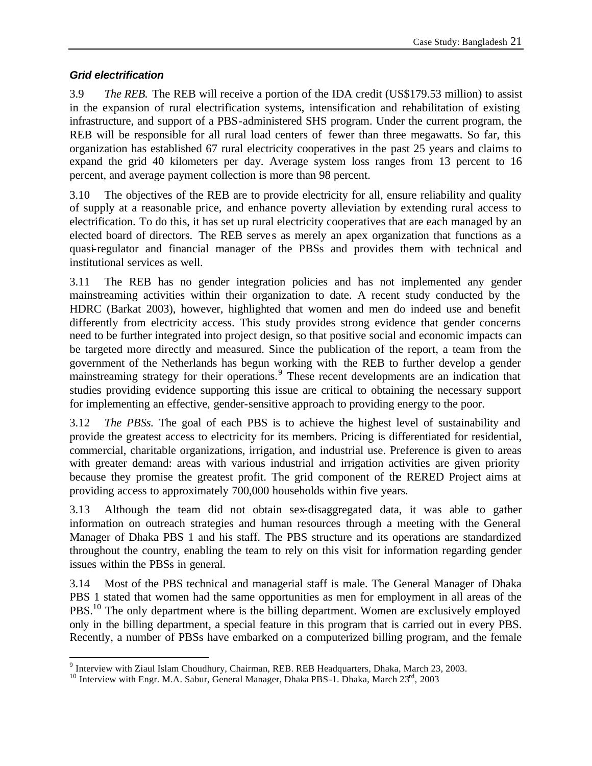#### *Grid electrification*

3.9 *The REB.* The REB will receive a portion of the IDA credit (US\$179.53 million) to assist in the expansion of rural electrification systems, intensification and rehabilitation of existing infrastructure, and support of a PBS-administered SHS program. Under the current program, the REB will be responsible for all rural load centers of fewer than three megawatts. So far, this organization has established 67 rural electricity cooperatives in the past 25 years and claims to expand the grid 40 kilometers per day. Average system loss ranges from 13 percent to 16 percent, and average payment collection is more than 98 percent.

3.10 The objectives of the REB are to provide electricity for all, ensure reliability and quality of supply at a reasonable price, and enhance poverty alleviation by extending rural access to electrification. To do this, it has set up rural electricity cooperatives that are each managed by an elected board of directors. The REB serves as merely an apex organization that functions as a quasi-regulator and financial manager of the PBSs and provides them with technical and institutional services as well.

3.11 The REB has no gender integration policies and has not implemented any gender mainstreaming activities within their organization to date. A recent study conducted by the HDRC (Barkat 2003), however, highlighted that women and men do indeed use and benefit differently from electricity access. This study provides strong evidence that gender concerns need to be further integrated into project design, so that positive social and economic impacts can be targeted more directly and measured. Since the publication of the report, a team from the government of the Netherlands has begun working with the REB to further develop a gender mainstreaming strategy for their operations.<sup>9</sup> These recent developments are an indication that studies providing evidence supporting this issue are critical to obtaining the necessary support for implementing an effective, gender-sensitive approach to providing energy to the poor.

3.12 *The PBSs.* The goal of each PBS is to achieve the highest level of sustainability and provide the greatest access to electricity for its members. Pricing is differentiated for residential, commercial, charitable organizations, irrigation, and industrial use. Preference is given to areas with greater demand: areas with various industrial and irrigation activities are given priority because they promise the greatest profit. The grid component of the RERED Project aims at providing access to approximately 700,000 households within five years.

3.13 Although the team did not obtain sex-disaggregated data, it was able to gather information on outreach strategies and human resources through a meeting with the General Manager of Dhaka PBS 1 and his staff. The PBS structure and its operations are standardized throughout the country, enabling the team to rely on this visit for information regarding gender issues within the PBSs in general.

3.14 Most of the PBS technical and managerial staff is male. The General Manager of Dhaka PBS 1 stated that women had the same opportunities as men for employment in all areas of the PBS.<sup>10</sup> The only department where is the billing department. Women are exclusively employed only in the billing department, a special feature in this program that is carried out in every PBS. Recently, a number of PBSs have embarked on a computerized billing program, and the female

<sup>&</sup>lt;sup>9</sup> Interview with Ziaul Islam Choudhury, Chairman, REB. REB Headquarters, Dhaka, March 23, 2003.

<sup>&</sup>lt;sup>10</sup> Interview with Engr. M.A. Sabur, General Manager, Dhaka PBS-1. Dhaka, March 23rd, 2003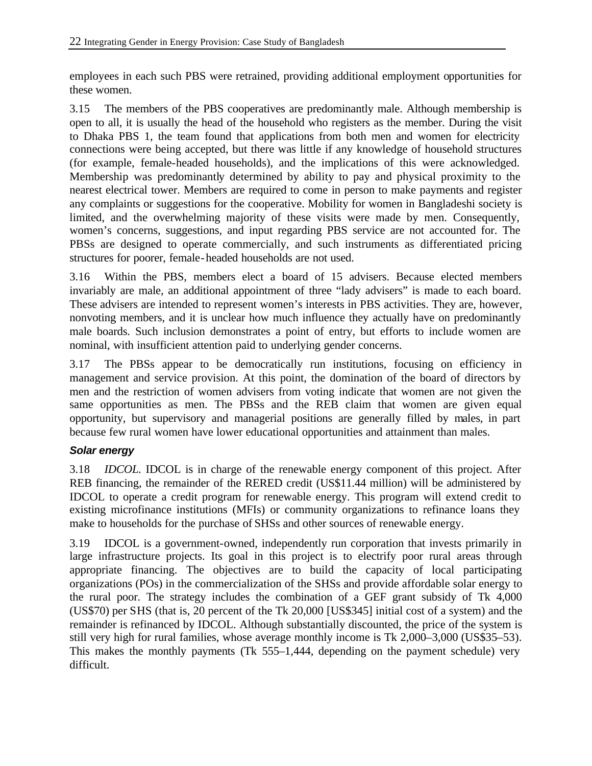employees in each such PBS were retrained, providing additional employment opportunities for these women.

3.15 The members of the PBS cooperatives are predominantly male. Although membership is open to all, it is usually the head of the household who registers as the member. During the visit to Dhaka PBS 1, the team found that applications from both men and women for electricity connections were being accepted, but there was little if any knowledge of household structures (for example, female-headed households), and the implications of this were acknowledged. Membership was predominantly determined by ability to pay and physical proximity to the nearest electrical tower. Members are required to come in person to make payments and register any complaints or suggestions for the cooperative. Mobility for women in Bangladeshi society is limited, and the overwhelming majority of these visits were made by men. Consequently, women's concerns, suggestions, and input regarding PBS service are not accounted for. The PBSs are designed to operate commercially, and such instruments as differentiated pricing structures for poorer, female-headed households are not used.

3.16 Within the PBS, members elect a board of 15 advisers. Because elected members invariably are male, an additional appointment of three "lady advisers" is made to each board. These advisers are intended to represent women's interests in PBS activities. They are, however, nonvoting members, and it is unclear how much influence they actually have on predominantly male boards. Such inclusion demonstrates a point of entry, but efforts to include women are nominal, with insufficient attention paid to underlying gender concerns.

3.17 The PBSs appear to be democratically run institutions, focusing on efficiency in management and service provision. At this point, the domination of the board of directors by men and the restriction of women advisers from voting indicate that women are not given the same opportunities as men. The PBSs and the REB claim that women are given equal opportunity, but supervisory and managerial positions are generally filled by males, in part because few rural women have lower educational opportunities and attainment than males.

#### *Solar energy*

3.18 *IDCOL.* IDCOL is in charge of the renewable energy component of this project. After REB financing, the remainder of the RERED credit (US\$11.44 million) will be administered by IDCOL to operate a credit program for renewable energy. This program will extend credit to existing microfinance institutions (MFIs) or community organizations to refinance loans they make to households for the purchase of SHSs and other sources of renewable energy.

3.19 IDCOL is a government-owned, independently run corporation that invests primarily in large infrastructure projects. Its goal in this project is to electrify poor rural areas through appropriate financing. The objectives are to build the capacity of local participating organizations (POs) in the commercialization of the SHSs and provide affordable solar energy to the rural poor. The strategy includes the combination of a GEF grant subsidy of Tk 4,000 (US\$70) per SHS (that is, 20 percent of the Tk 20,000 [US\$345] initial cost of a system) and the remainder is refinanced by IDCOL. Although substantially discounted, the price of the system is still very high for rural families, whose average monthly income is Tk 2,000–3,000 (US\$35–53). This makes the monthly payments (Tk 555–1,444, depending on the payment schedule) very difficult.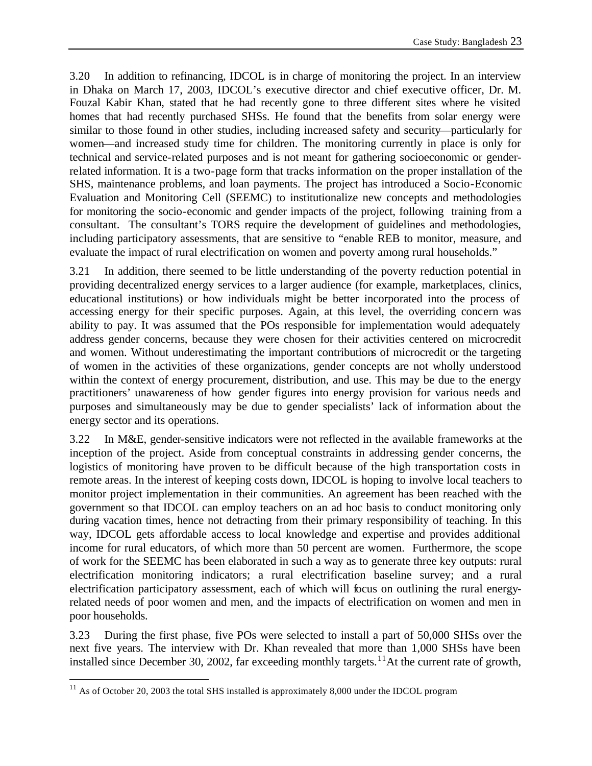3.20 In addition to refinancing, IDCOL is in charge of monitoring the project. In an interview in Dhaka on March 17, 2003, IDCOL's executive director and chief executive officer, Dr. M. Fouzal Kabir Khan, stated that he had recently gone to three different sites where he visited homes that had recently purchased SHSs. He found that the benefits from solar energy were similar to those found in other studies, including increased safety and security—particularly for women—and increased study time for children. The monitoring currently in place is only for technical and service-related purposes and is not meant for gathering socioeconomic or genderrelated information. It is a two-page form that tracks information on the proper installation of the SHS, maintenance problems, and loan payments. The project has introduced a Socio-Economic Evaluation and Monitoring Cell (SEEMC) to institutionalize new concepts and methodologies for monitoring the socio-economic and gender impacts of the project, following training from a consultant. The consultant's TORS require the development of guidelines and methodologies, including participatory assessments, that are sensitive to "enable REB to monitor, measure, and evaluate the impact of rural electrification on women and poverty among rural households."

3.21 In addition, there seemed to be little understanding of the poverty reduction potential in providing decentralized energy services to a larger audience (for example, marketplaces, clinics, educational institutions) or how individuals might be better incorporated into the process of accessing energy for their specific purposes. Again, at this level, the overriding concern was ability to pay. It was assumed that the POs responsible for implementation would adequately address gender concerns, because they were chosen for their activities centered on microcredit and women. Without underestimating the important contributions of microcredit or the targeting of women in the activities of these organizations, gender concepts are not wholly understood within the context of energy procurement, distribution, and use. This may be due to the energy practitioners' unawareness of how gender figures into energy provision for various needs and purposes and simultaneously may be due to gender specialists' lack of information about the energy sector and its operations.

3.22 In M&E, gender-sensitive indicators were not reflected in the available frameworks at the inception of the project. Aside from conceptual constraints in addressing gender concerns, the logistics of monitoring have proven to be difficult because of the high transportation costs in remote areas. In the interest of keeping costs down, IDCOL is hoping to involve local teachers to monitor project implementation in their communities. An agreement has been reached with the government so that IDCOL can employ teachers on an ad hoc basis to conduct monitoring only during vacation times, hence not detracting from their primary responsibility of teaching. In this way, IDCOL gets affordable access to local knowledge and expertise and provides additional income for rural educators, of which more than 50 percent are women. Furthermore, the scope of work for the SEEMC has been elaborated in such a way as to generate three key outputs: rural electrification monitoring indicators; a rural electrification baseline survey; and a rural electrification participatory assessment, each of which will focus on outlining the rural energyrelated needs of poor women and men, and the impacts of electrification on women and men in poor households.

3.23 During the first phase, five POs were selected to install a part of 50,000 SHSs over the next five years. The interview with Dr. Khan revealed that more than 1,000 SHSs have been installed since December 30, 2002, far exceeding monthly targets.<sup>11</sup>At the current rate of growth,

<sup>&</sup>lt;sup>11</sup> As of October 20, 2003 the total SHS installed is approximately 8,000 under the IDCOL program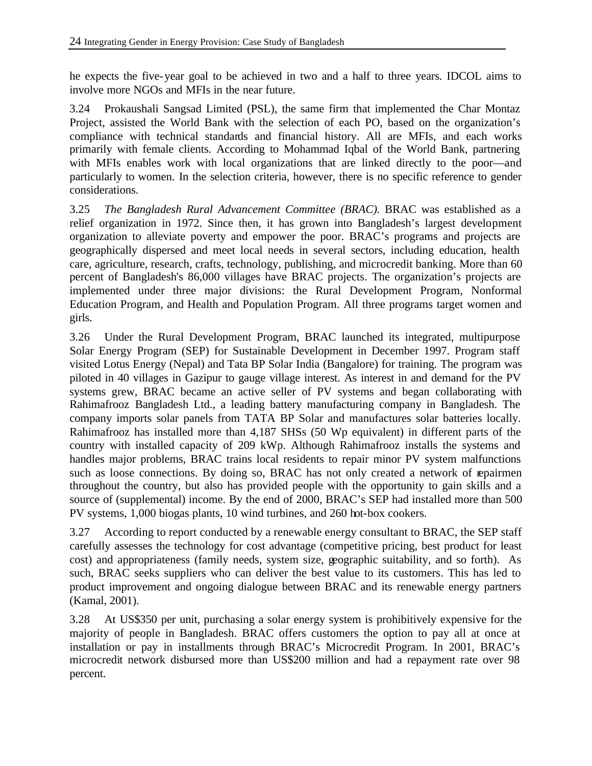he expects the five-year goal to be achieved in two and a half to three years. IDCOL aims to involve more NGOs and MFIs in the near future.

3.24 Prokaushali Sangsad Limited (PSL), the same firm that implemented the Char Montaz Project, assisted the World Bank with the selection of each PO, based on the organization's compliance with technical standards and financial history. All are MFIs, and each works primarily with female clients. According to Mohammad Iqbal of the World Bank, partnering with MFIs enables work with local organizations that are linked directly to the poor—and particularly to women. In the selection criteria, however, there is no specific reference to gender considerations.

3.25 *The Bangladesh Rural Advancement Committee (BRAC).* BRAC was established as a relief organization in 1972. Since then, it has grown into Bangladesh's largest development organization to alleviate poverty and empower the poor. BRAC's programs and projects are geographically dispersed and meet local needs in several sectors, including education, health care, agriculture, research, crafts, technology, publishing, and microcredit banking. More than 60 percent of Bangladesh's 86,000 villages have BRAC projects. The organization's projects are implemented under three major divisions: the Rural Development Program, Nonformal Education Program, and Health and Population Program. All three programs target women and girls.

3.26 Under the Rural Development Program, BRAC launched its integrated, multipurpose Solar Energy Program (SEP) for Sustainable Development in December 1997. Program staff visited Lotus Energy (Nepal) and Tata BP Solar India (Bangalore) for training. The program was piloted in 40 villages in Gazipur to gauge village interest. As interest in and demand for the PV systems grew, BRAC became an active seller of PV systems and began collaborating with Rahimafrooz Bangladesh Ltd., a leading battery manufacturing company in Bangladesh. The company imports solar panels from TATA BP Solar and manufactures solar batteries locally. Rahimafrooz has installed more than 4,187 SHSs (50 Wp equivalent) in different parts of the country with installed capacity of 209 kWp. Although Rahimafrooz installs the systems and handles major problems, BRAC trains local residents to repair minor PV system malfunctions such as loose connections. By doing so, BRAC has not only created a network of repairmen throughout the country, but also has provided people with the opportunity to gain skills and a source of (supplemental) income. By the end of 2000, BRAC's SEP had installed more than 500 PV systems, 1,000 biogas plants, 10 wind turbines, and 260 hot-box cookers.

3.27 According to report conducted by a renewable energy consultant to BRAC, the SEP staff carefully assesses the technology for cost advantage (competitive pricing, best product for least cost) and appropriateness (family needs, system size, geographic suitability, and so forth). As such, BRAC seeks suppliers who can deliver the best value to its customers. This has led to product improvement and ongoing dialogue between BRAC and its renewable energy partners (Kamal, 2001).

3.28 At US\$350 per unit, purchasing a solar energy system is prohibitively expensive for the majority of people in Bangladesh. BRAC offers customers the option to pay all at once at installation or pay in installments through BRAC's Microcredit Program. In 2001, BRAC's microcredit network disbursed more than US\$200 million and had a repayment rate over 98 percent.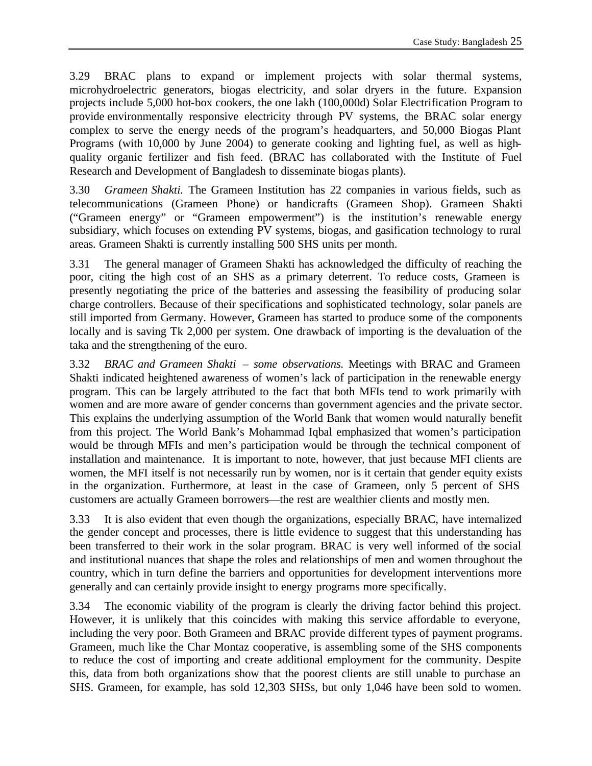3.29 BRAC plans to expand or implement projects with solar thermal systems, microhydroelectric generators, biogas electricity, and solar dryers in the future. Expansion projects include 5,000 hot-box cookers, the one lakh (100,000d) Solar Electrification Program to provide environmentally responsive electricity through PV systems, the BRAC solar energy complex to serve the energy needs of the program's headquarters, and 50,000 Biogas Plant Programs (with 10,000 by June 2004) to generate cooking and lighting fuel, as well as highquality organic fertilizer and fish feed. (BRAC has collaborated with the Institute of Fuel Research and Development of Bangladesh to disseminate biogas plants).

3.30 *Grameen Shakti.* The Grameen Institution has 22 companies in various fields, such as telecommunications (Grameen Phone) or handicrafts (Grameen Shop). Grameen Shakti ("Grameen energy" or "Grameen empowerment") is the institution's renewable energy subsidiary, which focuses on extending PV systems, biogas, and gasification technology to rural areas. Grameen Shakti is currently installing 500 SHS units per month.

3.31 The general manager of Grameen Shakti has acknowledged the difficulty of reaching the poor, citing the high cost of an SHS as a primary deterrent. To reduce costs, Grameen is presently negotiating the price of the batteries and assessing the feasibility of producing solar charge controllers. Because of their specifications and sophisticated technology, solar panels are still imported from Germany. However, Grameen has started to produce some of the components locally and is saving Tk 2,000 per system. One drawback of importing is the devaluation of the taka and the strengthening of the euro.

3.32 *BRAC and Grameen Shakti – some observations.* Meetings with BRAC and Grameen Shakti indicated heightened awareness of women's lack of participation in the renewable energy program. This can be largely attributed to the fact that both MFIs tend to work primarily with women and are more aware of gender concerns than government agencies and the private sector. This explains the underlying assumption of the World Bank that women would naturally benefit from this project. The World Bank's Mohammad Iqbal emphasized that women's participation would be through MFIs and men's participation would be through the technical component of installation and maintenance. It is important to note, however, that just because MFI clients are women, the MFI itself is not necessarily run by women, nor is it certain that gender equity exists in the organization. Furthermore, at least in the case of Grameen, only 5 percent of SHS customers are actually Grameen borrowers—the rest are wealthier clients and mostly men.

3.33 It is also evident that even though the organizations, especially BRAC, have internalized the gender concept and processes, there is little evidence to suggest that this understanding has been transferred to their work in the solar program. BRAC is very well informed of the social and institutional nuances that shape the roles and relationships of men and women throughout the country, which in turn define the barriers and opportunities for development interventions more generally and can certainly provide insight to energy programs more specifically.

3.34 The economic viability of the program is clearly the driving factor behind this project. However, it is unlikely that this coincides with making this service affordable to everyone, including the very poor. Both Grameen and BRAC provide different types of payment programs. Grameen, much like the Char Montaz cooperative, is assembling some of the SHS components to reduce the cost of importing and create additional employment for the community. Despite this, data from both organizations show that the poorest clients are still unable to purchase an SHS. Grameen, for example, has sold 12,303 SHSs, but only 1,046 have been sold to women.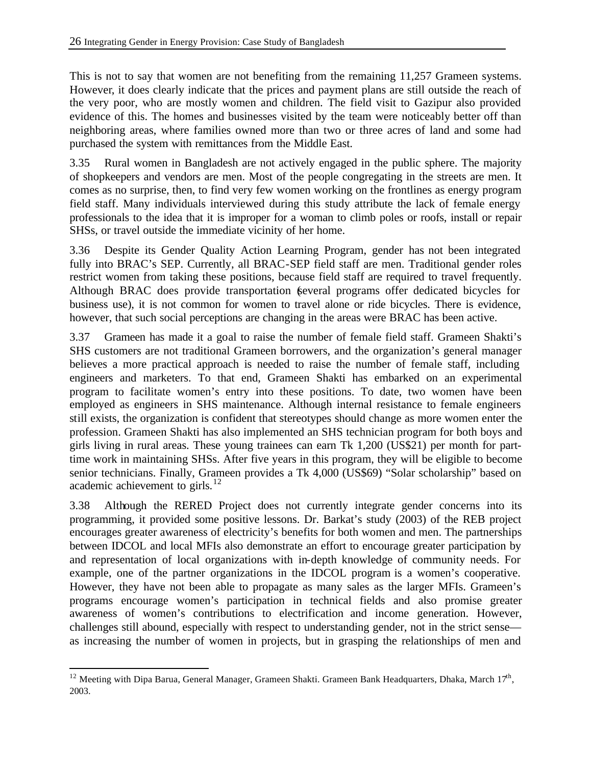This is not to say that women are not benefiting from the remaining 11,257 Grameen systems. However, it does clearly indicate that the prices and payment plans are still outside the reach of the very poor, who are mostly women and children. The field visit to Gazipur also provided evidence of this. The homes and businesses visited by the team were noticeably better off than neighboring areas, where families owned more than two or three acres of land and some had purchased the system with remittances from the Middle East.

3.35 Rural women in Bangladesh are not actively engaged in the public sphere. The majority of shopkeepers and vendors are men. Most of the people congregating in the streets are men. It comes as no surprise, then, to find very few women working on the frontlines as energy program field staff. Many individuals interviewed during this study attribute the lack of female energy professionals to the idea that it is improper for a woman to climb poles or roofs, install or repair SHSs, or travel outside the immediate vicinity of her home.

3.36 Despite its Gender Quality Action Learning Program, gender has not been integrated fully into BRAC's SEP. Currently, all BRAC-SEP field staff are men. Traditional gender roles restrict women from taking these positions, because field staff are required to travel frequently. Although BRAC does provide transportation (several programs offer dedicated bicycles for business use), it is not common for women to travel alone or ride bicycles. There is evidence, however, that such social perceptions are changing in the areas were BRAC has been active.

3.37 Grameen has made it a goal to raise the number of female field staff. Grameen Shakti's SHS customers are not traditional Grameen borrowers, and the organization's general manager believes a more practical approach is needed to raise the number of female staff, including engineers and marketers. To that end, Grameen Shakti has embarked on an experimental program to facilitate women's entry into these positions. To date, two women have been employed as engineers in SHS maintenance. Although internal resistance to female engineers still exists, the organization is confident that stereotypes should change as more women enter the profession. Grameen Shakti has also implemented an SHS technician program for both boys and girls living in rural areas. These young trainees can earn Tk 1,200 (US\$21) per month for parttime work in maintaining SHSs. After five years in this program, they will be eligible to become senior technicians. Finally, Grameen provides a Tk 4,000 (US\$69) "Solar scholarship" based on academic achievement to girls. $^{12}$ 

3.38 Although the RERED Project does not currently integrate gender concerns into its programming, it provided some positive lessons. Dr. Barkat's study (2003) of the REB project encourages greater awareness of electricity's benefits for both women and men. The partnerships between IDCOL and local MFIs also demonstrate an effort to encourage greater participation by and representation of local organizations with in-depth knowledge of community needs. For example, one of the partner organizations in the IDCOL program is a women's cooperative. However, they have not been able to propagate as many sales as the larger MFIs. Grameen's programs encourage women's participation in technical fields and also promise greater awareness of women's contributions to electrification and income generation. However, challenges still abound, especially with respect to understanding gender, not in the strict sense as increasing the number of women in projects, but in grasping the relationships of men and

<sup>&</sup>lt;sup>12</sup> Meeting with Dipa Barua, General Manager, Grameen Shakti. Grameen Bank Headquarters, Dhaka, March 17<sup>th</sup>, 2003.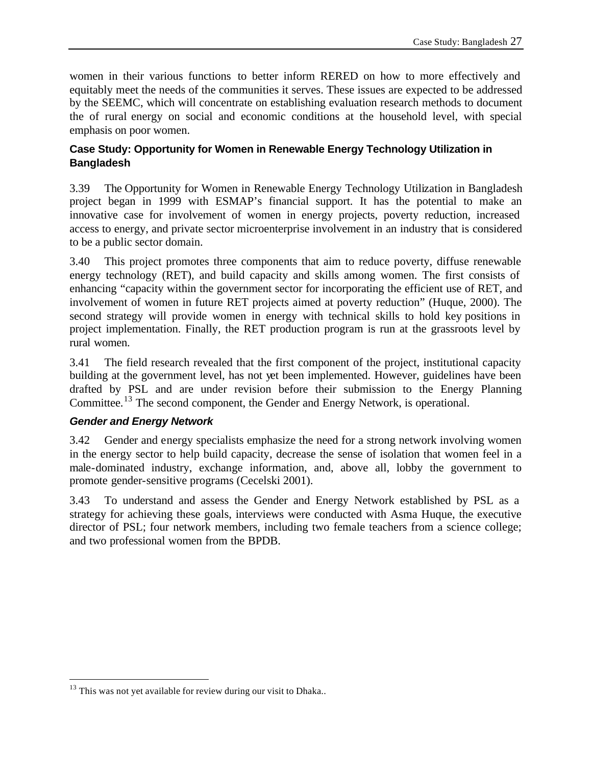women in their various functions to better inform RERED on how to more effectively and equitably meet the needs of the communities it serves. These issues are expected to be addressed by the SEEMC, which will concentrate on establishing evaluation research methods to document the of rural energy on social and economic conditions at the household level, with special emphasis on poor women.

# **Case Study: Opportunity for Women in Renewable Energy Technology Utilization in Bangladesh**

3.39 The Opportunity for Women in Renewable Energy Technology Utilization in Bangladesh project began in 1999 with ESMAP's financial support. It has the potential to make an innovative case for involvement of women in energy projects, poverty reduction, increased access to energy, and private sector microenterprise involvement in an industry that is considered to be a public sector domain.

3.40 This project promotes three components that aim to reduce poverty, diffuse renewable energy technology (RET), and build capacity and skills among women. The first consists of enhancing "capacity within the government sector for incorporating the efficient use of RET, and involvement of women in future RET projects aimed at poverty reduction" (Huque, 2000). The second strategy will provide women in energy with technical skills to hold key positions in project implementation. Finally, the RET production program is run at the grassroots level by rural women.

3.41 The field research revealed that the first component of the project, institutional capacity building at the government level, has not yet been implemented. However, guidelines have been drafted by PSL and are under revision before their submission to the Energy Planning Committee.<sup>13</sup> The second component, the Gender and Energy Network, is operational.

# *Gender and Energy Network*

 $\overline{a}$ 

3.42 Gender and energy specialists emphasize the need for a strong network involving women in the energy sector to help build capacity, decrease the sense of isolation that women feel in a male-dominated industry, exchange information, and, above all, lobby the government to promote gender-sensitive programs (Cecelski 2001).

3.43 To understand and assess the Gender and Energy Network established by PSL as a strategy for achieving these goals, interviews were conducted with Asma Huque, the executive director of PSL; four network members, including two female teachers from a science college; and two professional women from the BPDB.

 $13$  This was not yet available for review during our visit to Dhaka..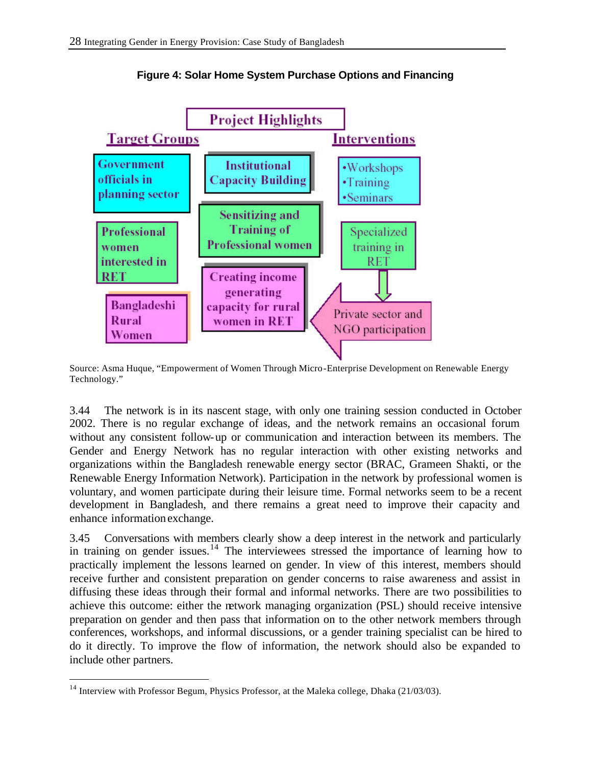

**Figure 4: Solar Home System Purchase Options and Financing**

Source: Asma Huque, "Empowerment of Women Through Micro-Enterprise Development on Renewable Energy Technology."

3.44 The network is in its nascent stage, with only one training session conducted in October 2002. There is no regular exchange of ideas, and the network remains an occasional forum without any consistent follow-up or communication and interaction between its members. The Gender and Energy Network has no regular interaction with other existing networks and organizations within the Bangladesh renewable energy sector (BRAC, Grameen Shakti, or the Renewable Energy Information Network). Participation in the network by professional women is voluntary, and women participate during their leisure time. Formal networks seem to be a recent development in Bangladesh, and there remains a great need to improve their capacity and enhance information exchange.

3.45 Conversations with members clearly show a deep interest in the network and particularly in training on gender issues.<sup>14</sup> The interviewees stressed the importance of learning how to practically implement the lessons learned on gender. In view of this interest, members should receive further and consistent preparation on gender concerns to raise awareness and assist in diffusing these ideas through their formal and informal networks. There are two possibilities to achieve this outcome: either the network managing organization (PSL) should receive intensive preparation on gender and then pass that information on to the other network members through conferences, workshops, and informal discussions, or a gender training specialist can be hired to do it directly. To improve the flow of information, the network should also be expanded to include other partners.

 $14$  Interview with Professor Begum, Physics Professor, at the Maleka college, Dhaka (21/03/03).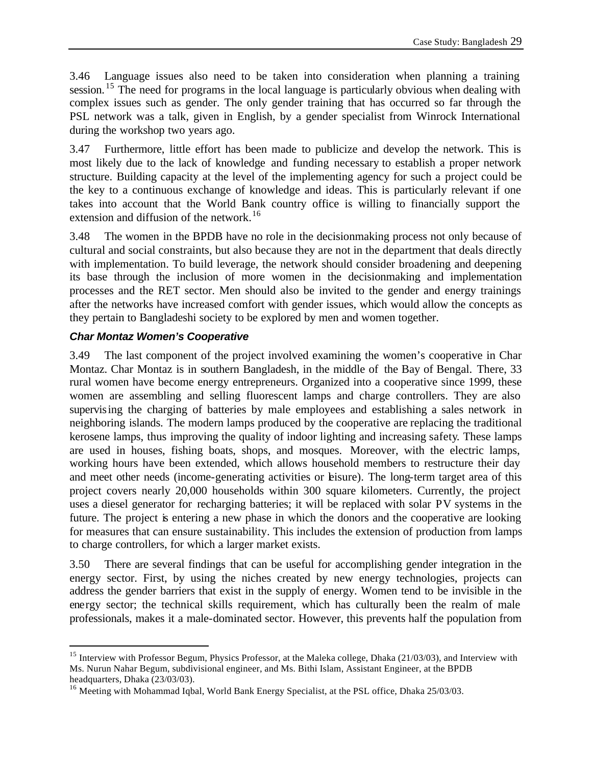3.46 Language issues also need to be taken into consideration when planning a training session.<sup>15</sup> The need for programs in the local language is particularly obvious when dealing with complex issues such as gender. The only gender training that has occurred so far through the PSL network was a talk, given in English, by a gender specialist from Winrock International during the workshop two years ago.

3.47 Furthermore, little effort has been made to publicize and develop the network. This is most likely due to the lack of knowledge and funding necessary to establish a proper network structure. Building capacity at the level of the implementing agency for such a project could be the key to a continuous exchange of knowledge and ideas. This is particularly relevant if one takes into account that the World Bank country office is willing to financially support the extension and diffusion of the network.<sup>16</sup>

3.48 The women in the BPDB have no role in the decisionmaking process not only because of cultural and social constraints, but also because they are not in the department that deals directly with implementation. To build leverage, the network should consider broadening and deepening its base through the inclusion of more women in the decisionmaking and implementation processes and the RET sector. Men should also be invited to the gender and energy trainings after the networks have increased comfort with gender issues, which would allow the concepts as they pertain to Bangladeshi society to be explored by men and women together.

# *Char Montaz Women's Cooperative*

 $\overline{a}$ 

3.49 The last component of the project involved examining the women's cooperative in Char Montaz. Char Montaz is in southern Bangladesh, in the middle of the Bay of Bengal. There, 33 rural women have become energy entrepreneurs. Organized into a cooperative since 1999, these women are assembling and selling fluorescent lamps and charge controllers. They are also supervising the charging of batteries by male employees and establishing a sales network in neighboring islands. The modern lamps produced by the cooperative are replacing the traditional kerosene lamps, thus improving the quality of indoor lighting and increasing safety. These lamps are used in houses, fishing boats, shops, and mosques. Moreover, with the electric lamps, working hours have been extended, which allows household members to restructure their day and meet other needs (income-generating activities or leisure). The long-term target area of this project covers nearly 20,000 households within 300 square kilometers. Currently, the project uses a diesel generator for recharging batteries; it will be replaced with solar PV systems in the future. The project is entering a new phase in which the donors and the cooperative are looking for measures that can ensure sustainability. This includes the extension of production from lamps to charge controllers, for which a larger market exists.

3.50 There are several findings that can be useful for accomplishing gender integration in the energy sector. First, by using the niches created by new energy technologies, projects can address the gender barriers that exist in the supply of energy. Women tend to be invisible in the energy sector; the technical skills requirement, which has culturally been the realm of male professionals, makes it a male-dominated sector. However, this prevents half the population from

<sup>&</sup>lt;sup>15</sup> Interview with Professor Begum, Physics Professor, at the Maleka college, Dhaka (21/03/03), and Interview with Ms. Nurun Nahar Begum, subdivisional engineer, and Ms. Bithi Islam, Assistant Engineer, at the BPDB headquarters, Dhaka (23/03/03).

<sup>&</sup>lt;sup>16</sup> Meeting with Mohammad Iqbal, World Bank Energy Specialist, at the PSL office, Dhaka 25/03/03.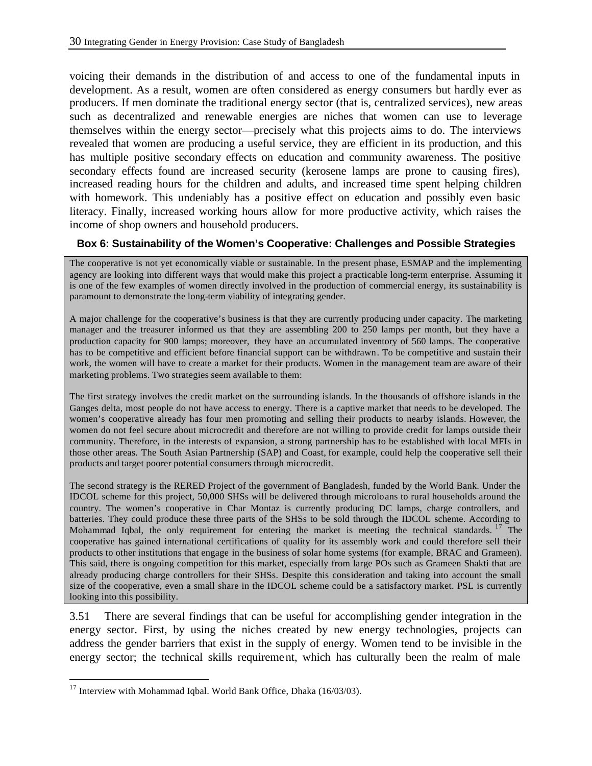voicing their demands in the distribution of and access to one of the fundamental inputs in development. As a result, women are often considered as energy consumers but hardly ever as producers. If men dominate the traditional energy sector (that is, centralized services), new areas such as decentralized and renewable energies are niches that women can use to leverage themselves within the energy sector—precisely what this projects aims to do. The interviews revealed that women are producing a useful service, they are efficient in its production, and this has multiple positive secondary effects on education and community awareness. The positive secondary effects found are increased security (kerosene lamps are prone to causing fires), increased reading hours for the children and adults, and increased time spent helping children with homework. This undeniably has a positive effect on education and possibly even basic literacy. Finally, increased working hours allow for more productive activity, which raises the income of shop owners and household producers.

#### **Box 6: Sustainability of the Women's Cooperative: Challenges and Possible Strategies**

The cooperative is not yet economically viable or sustainable. In the present phase, ESMAP and the implementing agency are looking into different ways that would make this project a practicable long-term enterprise. Assuming it is one of the few examples of women directly involved in the production of commercial energy, its sustainability is paramount to demonstrate the long-term viability of integrating gender.

A major challenge for the cooperative's business is that they are currently producing under capacity. The marketing manager and the treasurer informed us that they are assembling 200 to 250 lamps per month, but they have a production capacity for 900 lamps; moreover, they have an accumulated inventory of 560 lamps. The cooperative has to be competitive and efficient before financial support can be withdrawn. To be competitive and sustain their work, the women will have to create a market for their products. Women in the management team are aware of their marketing problems. Two strategies seem available to them:

The first strategy involves the credit market on the surrounding islands. In the thousands of offshore islands in the Ganges delta, most people do not have access to energy. There is a captive market that needs to be developed. The women's cooperative already has four men promoting and selling their products to nearby islands. However, the women do not feel secure about microcredit and therefore are not willing to provide credit for lamps outside their community. Therefore, in the interests of expansion, a strong partnership has to be established with local MFIs in those other areas. The South Asian Partnership (SAP) and Coast, for example, could help the cooperative sell their products and target poorer potential consumers through microcredit.

The second strategy is the RERED Project of the government of Bangladesh, funded by the World Bank. Under the IDCOL scheme for this project, 50,000 SHSs will be delivered through microloans to rural households around the country. The women's cooperative in Char Montaz is currently producing DC lamps, charge controllers, and batteries. They could produce these three parts of the SHSs to be sold through the IDCOL scheme. According to Mohammad Iqbal, the only requirement for entering the market is meeting the technical standards. <sup>17</sup> The cooperative has gained international certifications of quality for its assembly work and could therefore sell their products to other institutions that engage in the business of solar home systems (for example, BRAC and Grameen). This said, there is ongoing competition for this market, especially from large POs such as Grameen Shakti that are already producing charge controllers for their SHSs. Despite this consideration and taking into account the small size of the cooperative, even a small share in the IDCOL scheme could be a satisfactory market. PSL is currently looking into this possibility.

3.51 There are several findings that can be useful for accomplishing gender integration in the energy sector. First, by using the niches created by new energy technologies, projects can address the gender barriers that exist in the supply of energy. Women tend to be invisible in the energy sector; the technical skills requirement, which has culturally been the realm of male

 $17$  Interview with Mohammad Iqbal. World Bank Office, Dhaka (16/03/03).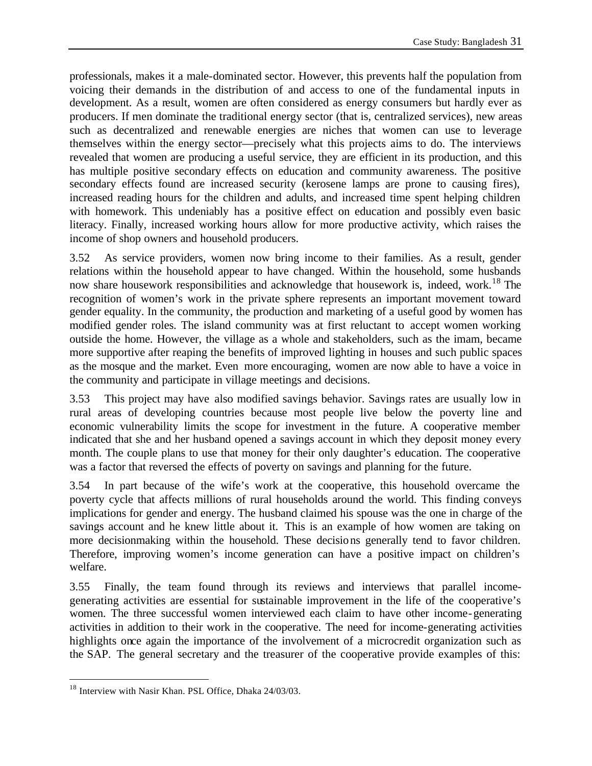professionals, makes it a male-dominated sector. However, this prevents half the population from voicing their demands in the distribution of and access to one of the fundamental inputs in development. As a result, women are often considered as energy consumers but hardly ever as producers. If men dominate the traditional energy sector (that is, centralized services), new areas such as decentralized and renewable energies are niches that women can use to leverage themselves within the energy sector—precisely what this projects aims to do. The interviews revealed that women are producing a useful service, they are efficient in its production, and this has multiple positive secondary effects on education and community awareness. The positive secondary effects found are increased security (kerosene lamps are prone to causing fires), increased reading hours for the children and adults, and increased time spent helping children with homework. This undeniably has a positive effect on education and possibly even basic literacy. Finally, increased working hours allow for more productive activity, which raises the income of shop owners and household producers.

3.52 As service providers, women now bring income to their families. As a result, gender relations within the household appear to have changed. Within the household, some husbands now share housework responsibilities and acknowledge that housework is, indeed, work.<sup>18</sup> The recognition of women's work in the private sphere represents an important movement toward gender equality. In the community, the production and marketing of a useful good by women has modified gender roles. The island community was at first reluctant to accept women working outside the home. However, the village as a whole and stakeholders, such as the imam, became more supportive after reaping the benefits of improved lighting in houses and such public spaces as the mosque and the market. Even more encouraging, women are now able to have a voice in the community and participate in village meetings and decisions.

3.53 This project may have also modified savings behavior. Savings rates are usually low in rural areas of developing countries because most people live below the poverty line and economic vulnerability limits the scope for investment in the future. A cooperative member indicated that she and her husband opened a savings account in which they deposit money every month. The couple plans to use that money for their only daughter's education. The cooperative was a factor that reversed the effects of poverty on savings and planning for the future.

3.54 In part because of the wife's work at the cooperative, this household overcame the poverty cycle that affects millions of rural households around the world. This finding conveys implications for gender and energy. The husband claimed his spouse was the one in charge of the savings account and he knew little about it. This is an example of how women are taking on more decisionmaking within the household. These decisions generally tend to favor children. Therefore, improving women's income generation can have a positive impact on children's welfare.

3.55 Finally, the team found through its reviews and interviews that parallel incomegenerating activities are essential for sustainable improvement in the life of the cooperative's women. The three successful women interviewed each claim to have other income-generating activities in addition to their work in the cooperative. The need for income-generating activities highlights once again the importance of the involvement of a microcredit organization such as the SAP. The general secretary and the treasurer of the cooperative provide examples of this:

<sup>&</sup>lt;sup>18</sup> Interview with Nasir Khan. PSL Office, Dhaka 24/03/03.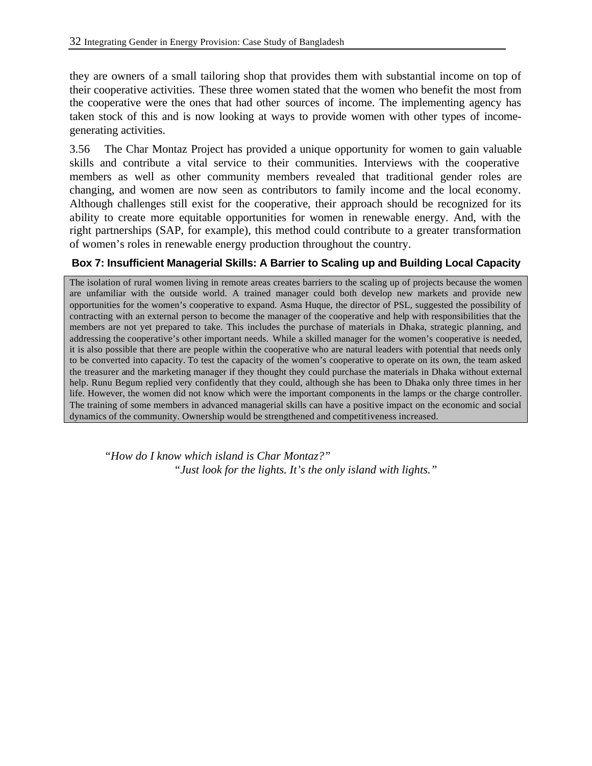they are owners of a small tailoring shop that provides them with substantial income on top of their cooperative activities. These three women stated that the women who benefit the most from the cooperative were the ones that had other sources of income. The implementing agency has taken stock of this and is now looking at ways to provide women with other types of incomegenerating activities.

3.56 The Char Montaz Project has provided a unique opportunity for women to gain valuable skills and contribute a vital service to their communities. Interviews with the cooperative members as well as other community members revealed that traditional gender roles are changing, and women are now seen as contributors to family income and the local economy. Although challenges still exist for the cooperative, their approach should be recognized for its ability to create more equitable opportunities for women in renewable energy. And, with the right partnerships (SAP, for example), this method could contribute to a greater transformation of women's roles in renewable energy production throughout the country.

### **Box 7: Insufficient Managerial Skills: A Barrier to Scaling up and Building Local Capacity**

The isolation of rural women living in remote areas creates barriers to the scaling up of projects because the women are unfamiliar with the outside world. A trained manager could both develop new markets and provide new opportunities for the women's cooperative to expand. Asma Huque, the director of PSL, suggested the possibility of contracting with an external person to become the manager of the cooperative and help with responsibilities that the members are not yet prepared to take. This includes the purchase of materials in Dhaka, strategic planning, and addressing the cooperative's other important needs. While a skilled manager for the women's cooperative is needed, it is also possible that there are people within the cooperative who are natural leaders with potential that needs only to be converted into capacity. To test the capacity of the women's cooperative to operate on its own, the team asked the treasurer and the marketing manager if they thought they could purchase the materials in Dhaka without external help. Runu Begum replied very confidently that they could, although she has been to Dhaka only three times in her life. However, the women did not know which were the important components in the lamps or the charge controller. The training of some members in advanced managerial skills can have a positive impact on the economic and social dynamics of the community. Ownership would be strengthened and competitiveness increased.

*"How do I know which island is Char Montaz?" "Just look for the lights. It's the only island with lights."*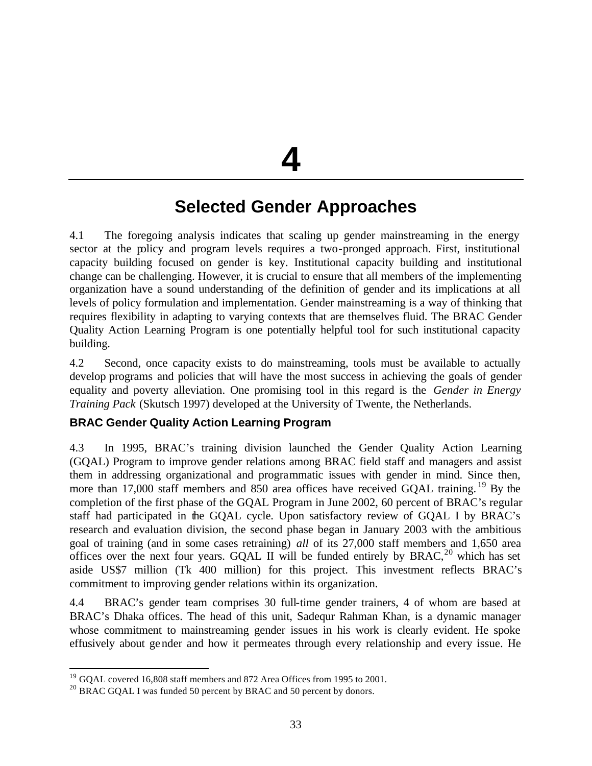**4**

# **Selected Gender Approaches**

4.1 The foregoing analysis indicates that scaling up gender mainstreaming in the energy sector at the policy and program levels requires a two-pronged approach. First, institutional capacity building focused on gender is key. Institutional capacity building and institutional change can be challenging. However, it is crucial to ensure that all members of the implementing organization have a sound understanding of the definition of gender and its implications at all levels of policy formulation and implementation. Gender mainstreaming is a way of thinking that requires flexibility in adapting to varying contexts that are themselves fluid. The BRAC Gender Quality Action Learning Program is one potentially helpful tool for such institutional capacity building.

4.2 Second, once capacity exists to do mainstreaming, tools must be available to actually develop programs and policies that will have the most success in achieving the goals of gender equality and poverty alleviation. One promising tool in this regard is the *Gender in Energy Training Pack* (Skutsch 1997) developed at the University of Twente, the Netherlands.

# **BRAC Gender Quality Action Learning Program**

4.3 In 1995, BRAC's training division launched the Gender Quality Action Learning (GQAL) Program to improve gender relations among BRAC field staff and managers and assist them in addressing organizational and programmatic issues with gender in mind. Since then, more than 17,000 staff members and 850 area offices have received GQAL training. <sup>19</sup> By the completion of the first phase of the GQAL Program in June 2002, 60 percent of BRAC's regular staff had participated in the GQAL cycle. Upon satisfactory review of GQAL I by BRAC's research and evaluation division, the second phase began in January 2003 with the ambitious goal of training (and in some cases retraining) *all* of its 27,000 staff members and 1,650 area offices over the next four years. GQAL II will be funded entirely by  $B RAC$ ,<sup>20</sup> which has set aside US\$7 million (Tk 400 million) for this project. This investment reflects BRAC's commitment to improving gender relations within its organization.

4.4 BRAC's gender team comprises 30 full-time gender trainers, 4 of whom are based at BRAC's Dhaka offices. The head of this unit, Sadequr Rahman Khan, is a dynamic manager whose commitment to mainstreaming gender issues in his work is clearly evident. He spoke effusively about gender and how it permeates through every relationship and every issue. He

 $19$  GQAL covered 16,808 staff members and 872 Area Offices from 1995 to 2001.

<sup>&</sup>lt;sup>20</sup> BRAC GQAL I was funded 50 percent by BRAC and 50 percent by donors.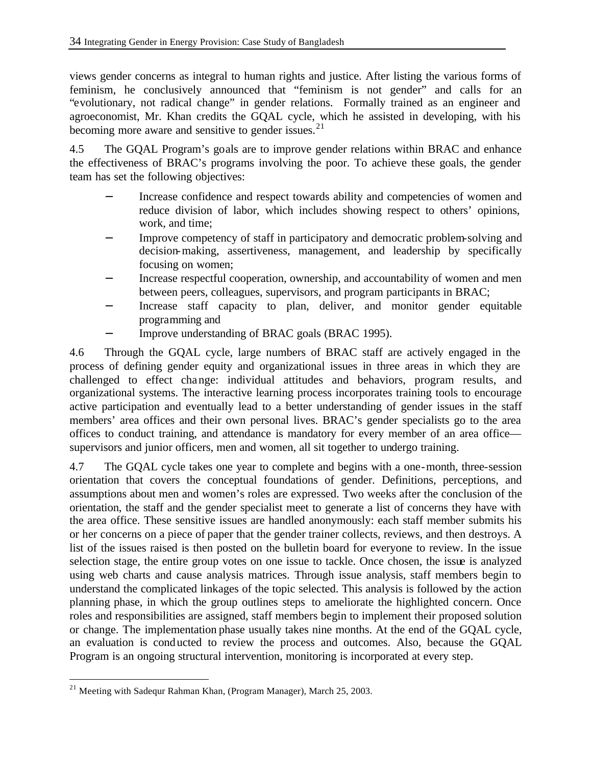views gender concerns as integral to human rights and justice. After listing the various forms of feminism, he conclusively announced that "feminism is not gender" and calls for an "evolutionary, not radical change" in gender relations. Formally trained as an engineer and agroeconomist, Mr. Khan credits the GQAL cycle, which he assisted in developing, with his becoming more aware and sensitive to gender issues. $21$ 

4.5 The GQAL Program's goals are to improve gender relations within BRAC and enhance the effectiveness of BRAC's programs involving the poor. To achieve these goals, the gender team has set the following objectives:

- Increase confidence and respect towards ability and competencies of women and reduce division of labor, which includes showing respect to others' opinions, work, and time;
- Improve competency of staff in participatory and democratic problem-solving and decision-making, assertiveness, management, and leadership by specifically focusing on women;
- Increase respectful cooperation, ownership, and accountability of women and men between peers, colleagues, supervisors, and program participants in BRAC;
- Increase staff capacity to plan, deliver, and monitor gender equitable programming and
	- Improve understanding of BRAC goals (BRAC 1995).

4.6 Through the GQAL cycle, large numbers of BRAC staff are actively engaged in the process of defining gender equity and organizational issues in three areas in which they are challenged to effect change: individual attitudes and behaviors, program results, and organizational systems. The interactive learning process incorporates training tools to encourage active participation and eventually lead to a better understanding of gender issues in the staff members' area offices and their own personal lives. BRAC's gender specialists go to the area offices to conduct training, and attendance is mandatory for every member of an area office supervisors and junior officers, men and women, all sit together to undergo training.

4.7 The GQAL cycle takes one year to complete and begins with a one-month, three-session orientation that covers the conceptual foundations of gender. Definitions, perceptions, and assumptions about men and women's roles are expressed. Two weeks after the conclusion of the orientation, the staff and the gender specialist meet to generate a list of concerns they have with the area office. These sensitive issues are handled anonymously: each staff member submits his or her concerns on a piece of paper that the gender trainer collects, reviews, and then destroys. A list of the issues raised is then posted on the bulletin board for everyone to review. In the issue selection stage, the entire group votes on one issue to tackle. Once chosen, the issue is analyzed using web charts and cause analysis matrices. Through issue analysis, staff members begin to understand the complicated linkages of the topic selected. This analysis is followed by the action planning phase, in which the group outlines steps to ameliorate the highlighted concern. Once roles and responsibilities are assigned, staff members begin to implement their proposed solution or change. The implementation phase usually takes nine months. At the end of the GQAL cycle, an evaluation is conducted to review the process and outcomes. Also, because the GQAL Program is an ongoing structural intervention, monitoring is incorporated at every step.

<sup>&</sup>lt;sup>21</sup> Meeting with Sadequr Rahman Khan, (Program Manager), March 25, 2003.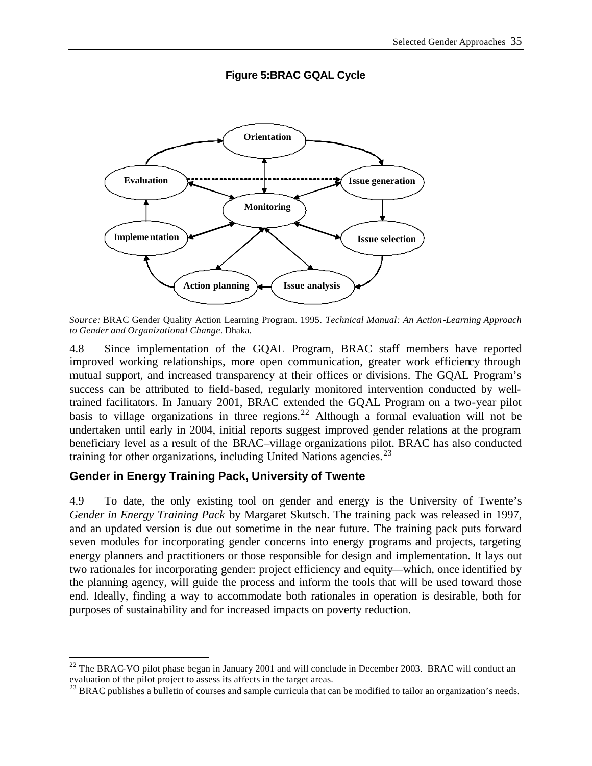

### **Figure 5:BRAC GQAL Cycle**

*Source:* BRAC Gender Quality Action Learning Program. 1995. *Technical Manual: An Action-Learning Approach to Gender and Organizational Change*. Dhaka.

4.8 Since implementation of the GQAL Program, BRAC staff members have reported improved working relationships, more open communication, greater work efficiency through mutual support, and increased transparency at their offices or divisions. The GQAL Program's success can be attributed to field-based, regularly monitored intervention conducted by welltrained facilitators. In January 2001, BRAC extended the GQAL Program on a two-year pilot basis to village organizations in three regions.<sup>22</sup> Although a formal evaluation will not be undertaken until early in 2004, initial reports suggest improved gender relations at the program beneficiary level as a result of the BRAC–village organizations pilot. BRAC has also conducted training for other organizations, including United Nations agencies. $^{23}$ 

# **Gender in Energy Training Pack, University of Twente**

 $\overline{a}$ 

4.9 To date, the only existing tool on gender and energy is the University of Twente's *Gender in Energy Training Pack* by Margaret Skutsch. The training pack was released in 1997, and an updated version is due out sometime in the near future. The training pack puts forward seven modules for incorporating gender concerns into energy programs and projects, targeting energy planners and practitioners or those responsible for design and implementation. It lays out two rationales for incorporating gender: project efficiency and equity—which, once identified by the planning agency, will guide the process and inform the tools that will be used toward those end. Ideally, finding a way to accommodate both rationales in operation is desirable, both for purposes of sustainability and for increased impacts on poverty reduction.

 $^{22}$  The BRAC-VO pilot phase began in January 2001 and will conclude in December 2003. BRAC will conduct an evaluation of the pilot project to assess its affects in the target areas.

 $^{23}$  BRAC publishes a bulletin of courses and sample curricula that can be modified to tailor an organization's needs.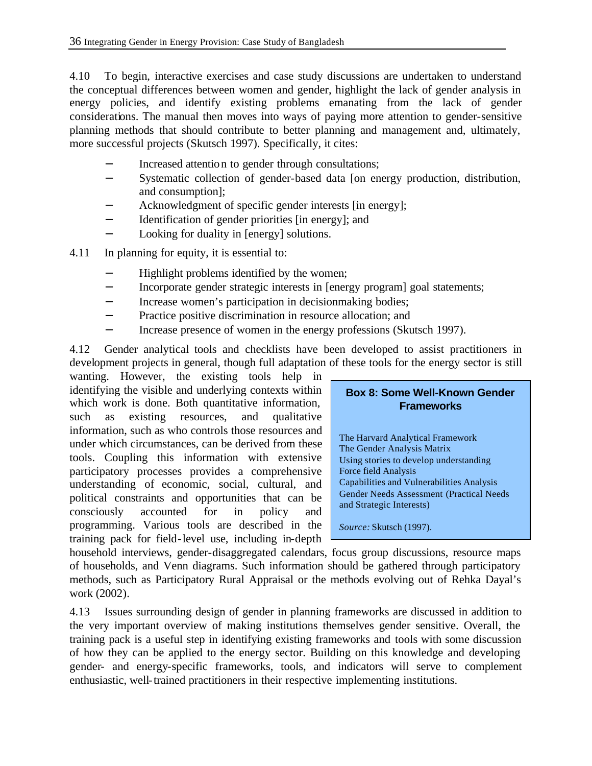4.10 To begin, interactive exercises and case study discussions are undertaken to understand the conceptual differences between women and gender, highlight the lack of gender analysis in energy policies, and identify existing problems emanating from the lack of gender considerations. The manual then moves into ways of paying more attention to gender-sensitive planning methods that should contribute to better planning and management and, ultimately, more successful projects (Skutsch 1997). Specifically, it cites:

- Increased attention to gender through consultations;
- − Systematic collection of gender-based data [on energy production, distribution, and consumption];
- Acknowledgment of specific gender interests [in energy];
- − Identification of gender priorities [in energy]; and
- − Looking for duality in [energy] solutions.
- 4.11 In planning for equity, it is essential to:
	- − Highlight problems identified by the women;
	- − Incorporate gender strategic interests in [energy program] goal statements;
	- − Increase women's participation in decisionmaking bodies;
	- − Practice positive discrimination in resource allocation; and
	- − Increase presence of women in the energy professions (Skutsch 1997).

4.12 Gender analytical tools and checklists have been developed to assist practitioners in development projects in general, though full adaptation of these tools for the energy sector is still

wanting. However, the existing tools help in identifying the visible and underlying contexts within which work is done. Both quantitative information, such as existing resources, and qualitative information, such as who controls those resources and under which circumstances, can be derived from these tools. Coupling this information with extensive participatory processes provides a comprehensive understanding of economic, social, cultural, and political constraints and opportunities that can be consciously accounted for in policy and programming. Various tools are described in the training pack for field-level use, including in-depth

| <b>Box 8: Some Well-Known Gender</b> |
|--------------------------------------|
| <b>Frameworks</b>                    |

The Harvard Analytical Framework The Gender Analysis Matrix Using stories to develop understanding Force field Analysis Capabilities and Vulnerabilities Analysis Gender Needs Assessment (Practical Needs and Strategic Interests)

*Source:* Skutsch (1997).

household interviews, gender-disaggregated calendars, focus group discussions, resource maps of households, and Venn diagrams. Such information should be gathered through participatory methods, such as Participatory Rural Appraisal or the methods evolving out of Rehka Dayal's work (2002).

4.13 Issues surrounding design of gender in planning frameworks are discussed in addition to the very important overview of making institutions themselves gender sensitive. Overall, the training pack is a useful step in identifying existing frameworks and tools with some discussion of how they can be applied to the energy sector. Building on this knowledge and developing gender- and energy-specific frameworks, tools, and indicators will serve to complement enthusiastic, well-trained practitioners in their respective implementing institutions.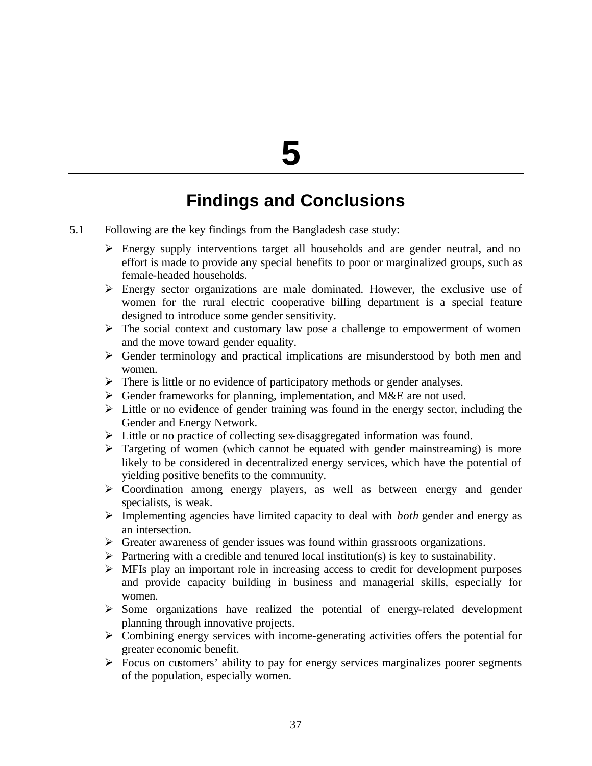# **5**

# **Findings and Conclusions**

- 5.1 Following are the key findings from the Bangladesh case study:
	- $\triangleright$  Energy supply interventions target all households and are gender neutral, and no effort is made to provide any special benefits to poor or marginalized groups, such as female-headed households.
	- $\triangleright$  Energy sector organizations are male dominated. However, the exclusive use of women for the rural electric cooperative billing department is a special feature designed to introduce some gender sensitivity.
	- $\triangleright$  The social context and customary law pose a challenge to empowerment of women and the move toward gender equality.
	- $\triangleright$  Gender terminology and practical implications are misunderstood by both men and women.
	- $\triangleright$  There is little or no evidence of participatory methods or gender analyses.
	- $\triangleright$  Gender frameworks for planning, implementation, and M&E are not used.
	- $\triangleright$  Little or no evidence of gender training was found in the energy sector, including the Gender and Energy Network.
	- > Little or no practice of collecting sex-disaggregated information was found.
	- $\triangleright$  Targeting of women (which cannot be equated with gender mainstreaming) is more likely to be considered in decentralized energy services, which have the potential of yielding positive benefits to the community.
	- ÿ Coordination among energy players, as well as between energy and gender specialists, is weak.
	- ÿ Implementing agencies have limited capacity to deal with *both* gender and energy as an intersection.
	- $\triangleright$  Greater awareness of gender issues was found within grassroots organizations.
	- $\triangleright$  Partnering with a credible and tenured local institution(s) is key to sustainability.
	- $\triangleright$  MFIs play an important role in increasing access to credit for development purposes and provide capacity building in business and managerial skills, especially for women.
	- $\triangleright$  Some organizations have realized the potential of energy-related development planning through innovative projects.
	- $\triangleright$  Combining energy services with income-generating activities offers the potential for greater economic benefit.
	- $\triangleright$  Focus on customers' ability to pay for energy services marginalizes poorer segments of the population, especially women.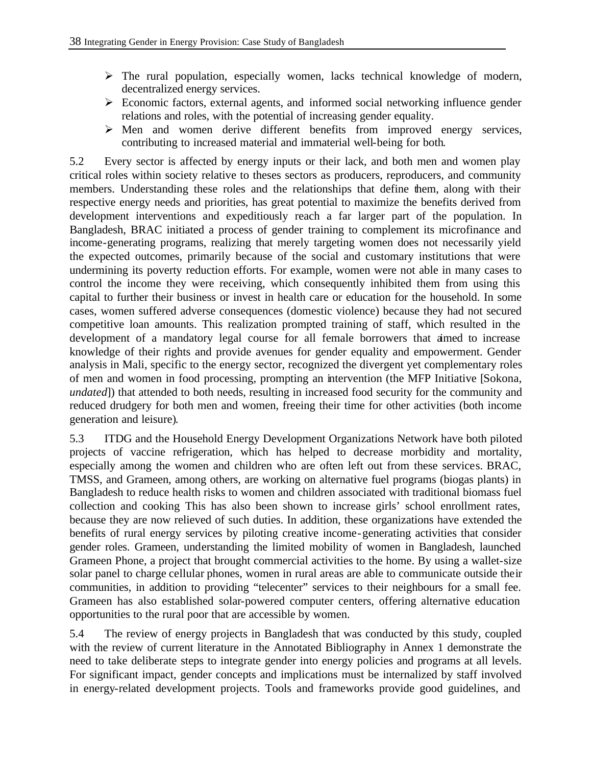- $\triangleright$  The rural population, especially women, lacks technical knowledge of modern, decentralized energy services.
- $\triangleright$  Economic factors, external agents, and informed social networking influence gender relations and roles, with the potential of increasing gender equality.
- $\triangleright$  Men and women derive different benefits from improved energy services, contributing to increased material and immaterial well-being for both.

5.2 Every sector is affected by energy inputs or their lack, and both men and women play critical roles within society relative to theses sectors as producers, reproducers, and community members. Understanding these roles and the relationships that define them, along with their respective energy needs and priorities, has great potential to maximize the benefits derived from development interventions and expeditiously reach a far larger part of the population. In Bangladesh, BRAC initiated a process of gender training to complement its microfinance and income-generating programs, realizing that merely targeting women does not necessarily yield the expected outcomes, primarily because of the social and customary institutions that were undermining its poverty reduction efforts. For example, women were not able in many cases to control the income they were receiving, which consequently inhibited them from using this capital to further their business or invest in health care or education for the household. In some cases, women suffered adverse consequences (domestic violence) because they had not secured competitive loan amounts. This realization prompted training of staff, which resulted in the development of a mandatory legal course for all female borrowers that aimed to increase knowledge of their rights and provide avenues for gender equality and empowerment. Gender analysis in Mali, specific to the energy sector, recognized the divergent yet complementary roles of men and women in food processing, prompting an intervention (the MFP Initiative [Sokona, *undated*]) that attended to both needs, resulting in increased food security for the community and reduced drudgery for both men and women, freeing their time for other activities (both income generation and leisure).

5.3 ITDG and the Household Energy Development Organizations Network have both piloted projects of vaccine refrigeration, which has helped to decrease morbidity and mortality, especially among the women and children who are often left out from these services. BRAC, TMSS, and Grameen, among others, are working on alternative fuel programs (biogas plants) in Bangladesh to reduce health risks to women and children associated with traditional biomass fuel collection and cooking This has also been shown to increase girls' school enrollment rates, because they are now relieved of such duties. In addition, these organizations have extended the benefits of rural energy services by piloting creative income-generating activities that consider gender roles. Grameen, understanding the limited mobility of women in Bangladesh, launched Grameen Phone, a project that brought commercial activities to the home. By using a wallet-size solar panel to charge cellular phones, women in rural areas are able to communicate outside their communities, in addition to providing "telecenter" services to their neighbours for a small fee. Grameen has also established solar-powered computer centers, offering alternative education opportunities to the rural poor that are accessible by women.

5.4 The review of energy projects in Bangladesh that was conducted by this study, coupled with the review of current literature in the Annotated Bibliography in Annex 1 demonstrate the need to take deliberate steps to integrate gender into energy policies and programs at all levels. For significant impact, gender concepts and implications must be internalized by staff involved in energy-related development projects. Tools and frameworks provide good guidelines, and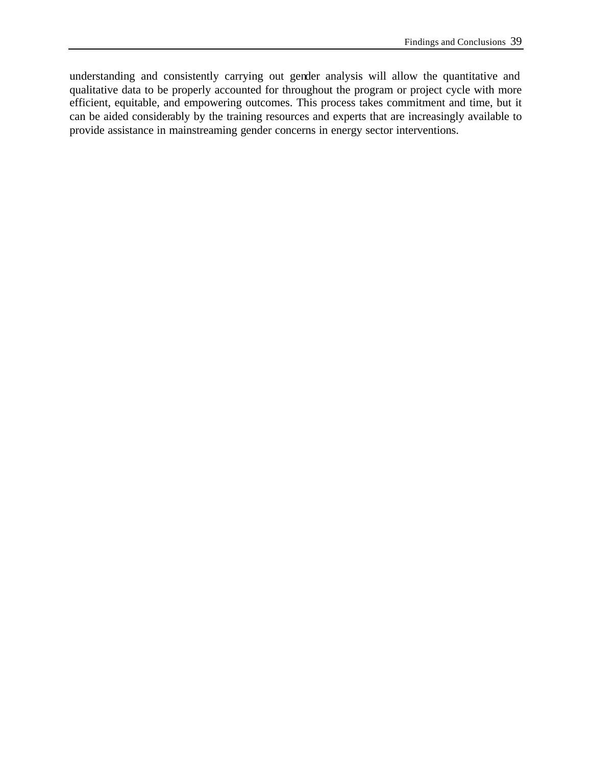understanding and consistently carrying out gender analysis will allow the quantitative and qualitative data to be properly accounted for throughout the program or project cycle with more efficient, equitable, and empowering outcomes. This process takes commitment and time, but it can be aided considerably by the training resources and experts that are increasingly available to provide assistance in mainstreaming gender concerns in energy sector interventions.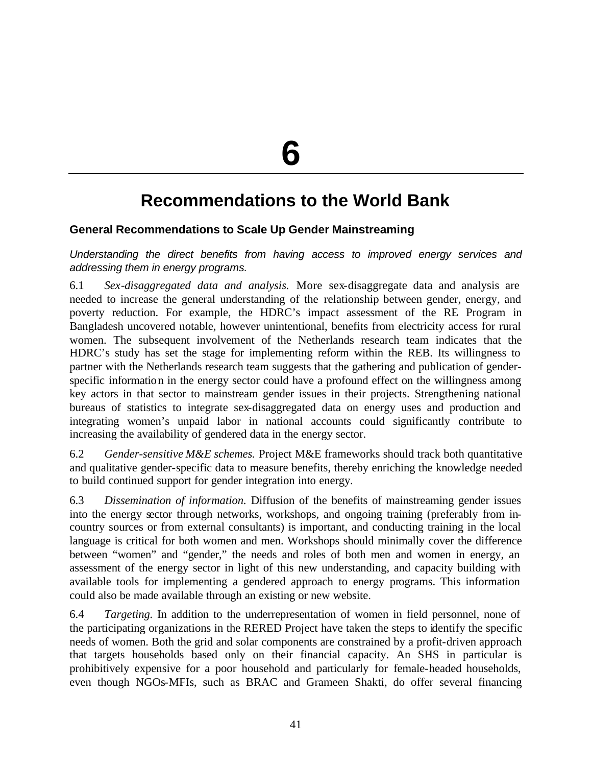**6**

# **Recommendations to the World Bank**

# **General Recommendations to Scale Up Gender Mainstreaming**

*Understanding the direct benefits from having access to improved energy services and addressing them in energy programs.*

6.1 *Sex-disaggregated data and analysis.* More sex-disaggregate data and analysis are needed to increase the general understanding of the relationship between gender, energy, and poverty reduction. For example, the HDRC's impact assessment of the RE Program in Bangladesh uncovered notable, however unintentional, benefits from electricity access for rural women. The subsequent involvement of the Netherlands research team indicates that the HDRC's study has set the stage for implementing reform within the REB. Its willingness to partner with the Netherlands research team suggests that the gathering and publication of genderspecific information in the energy sector could have a profound effect on the willingness among key actors in that sector to mainstream gender issues in their projects. Strengthening national bureaus of statistics to integrate sex-disaggregated data on energy uses and production and integrating women's unpaid labor in national accounts could significantly contribute to increasing the availability of gendered data in the energy sector.

6.2 *Gender-sensitive M&E schemes.* Project M&E frameworks should track both quantitative and qualitative gender-specific data to measure benefits, thereby enriching the knowledge needed to build continued support for gender integration into energy.

6.3 *Dissemination of information.* Diffusion of the benefits of mainstreaming gender issues into the energy sector through networks, workshops, and ongoing training (preferably from incountry sources or from external consultants) is important, and conducting training in the local language is critical for both women and men. Workshops should minimally cover the difference between "women" and "gender," the needs and roles of both men and women in energy, an assessment of the energy sector in light of this new understanding, and capacity building with available tools for implementing a gendered approach to energy programs. This information could also be made available through an existing or new website.

6.4 *Targeting.* In addition to the underrepresentation of women in field personnel, none of the participating organizations in the RERED Project have taken the steps to identify the specific needs of women. Both the grid and solar components are constrained by a profit-driven approach that targets households based only on their financial capacity. An SHS in particular is prohibitively expensive for a poor household and particularly for female-headed households, even though NGOs-MFIs, such as BRAC and Grameen Shakti, do offer several financing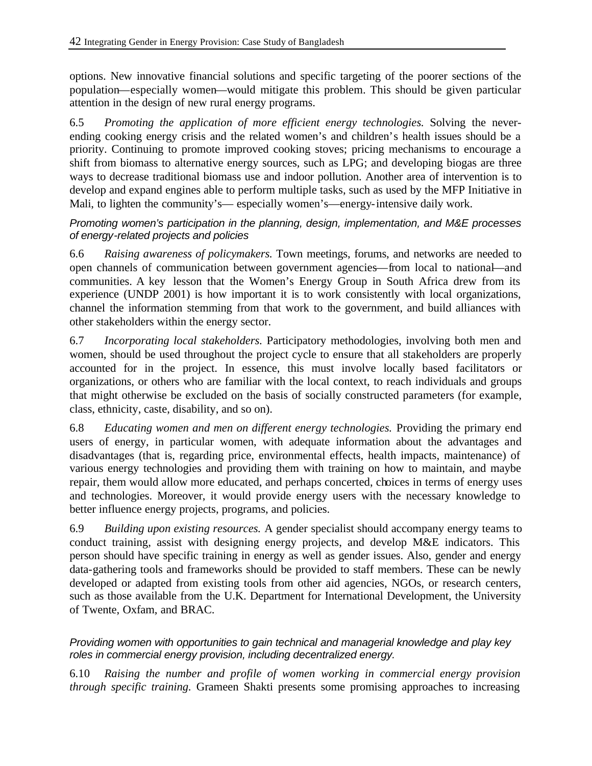options. New innovative financial solutions and specific targeting of the poorer sections of the population—especially women—would mitigate this problem. This should be given particular attention in the design of new rural energy programs.

6.5 *Promoting the application of more efficient energy technologies.* Solving the neverending cooking energy crisis and the related women's and children's health issues should be a priority. Continuing to promote improved cooking stoves; pricing mechanisms to encourage a shift from biomass to alternative energy sources, such as LPG; and developing biogas are three ways to decrease traditional biomass use and indoor pollution. Another area of intervention is to develop and expand engines able to perform multiple tasks, such as used by the MFP Initiative in Mali, to lighten the community's— especially women's—energy-intensive daily work.

### *Promoting women's participation in the planning, design, implementation, and M&E processes of energy-related projects and policies*

6.6 *Raising awareness of policymakers.* Town meetings, forums, and networks are needed to open channels of communication between government agencies—from local to national—and communities. A key lesson that the Women's Energy Group in South Africa drew from its experience (UNDP 2001) is how important it is to work consistently with local organizations, channel the information stemming from that work to the government, and build alliances with other stakeholders within the energy sector.

6.7 *Incorporating local stakeholders.* Participatory methodologies, involving both men and women, should be used throughout the project cycle to ensure that all stakeholders are properly accounted for in the project. In essence, this must involve locally based facilitators or organizations, or others who are familiar with the local context, to reach individuals and groups that might otherwise be excluded on the basis of socially constructed parameters (for example, class, ethnicity, caste, disability, and so on).

6.8 *Educating women and men on different energy technologies.* Providing the primary end users of energy, in particular women, with adequate information about the advantages and disadvantages (that is, regarding price, environmental effects, health impacts, maintenance) of various energy technologies and providing them with training on how to maintain, and maybe repair, them would allow more educated, and perhaps concerted, choices in terms of energy uses and technologies. Moreover, it would provide energy users with the necessary knowledge to better influence energy projects, programs, and policies.

6.9 *Building upon existing resources.* A gender specialist should accompany energy teams to conduct training, assist with designing energy projects, and develop M&E indicators. This person should have specific training in energy as well as gender issues. Also, gender and energy data-gathering tools and frameworks should be provided to staff members. These can be newly developed or adapted from existing tools from other aid agencies, NGOs, or research centers, such as those available from the U.K. Department for International Development, the University of Twente, Oxfam, and BRAC.

# *Providing women with opportunities to gain technical and managerial knowledge and play key roles in commercial energy provision, including decentralized energy.*

6.10 *Raising the number and profile of women working in commercial energy provision through specific training.* Grameen Shakti presents some promising approaches to increasing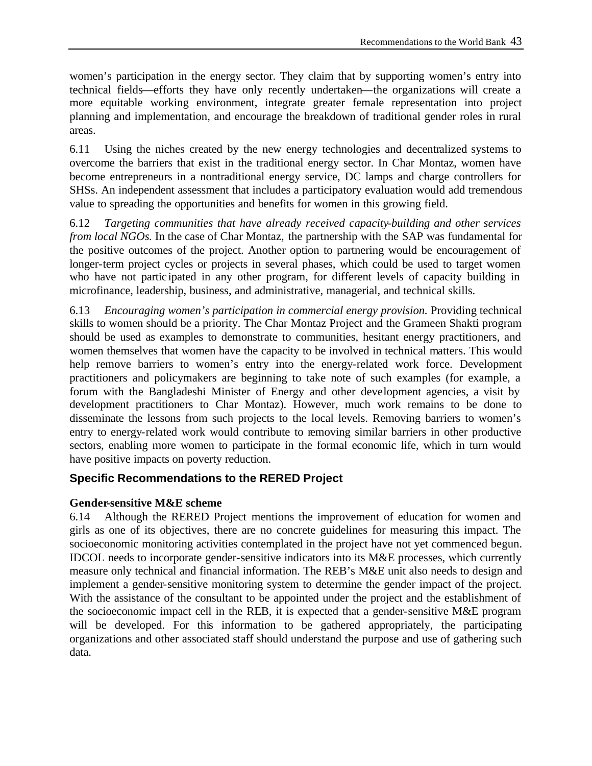women's participation in the energy sector. They claim that by supporting women's entry into technical fields—efforts they have only recently undertaken—the organizations will create a more equitable working environment, integrate greater female representation into project planning and implementation, and encourage the breakdown of traditional gender roles in rural areas.

6.11 Using the niches created by the new energy technologies and decentralized systems to overcome the barriers that exist in the traditional energy sector. In Char Montaz, women have become entrepreneurs in a nontraditional energy service, DC lamps and charge controllers for SHSs. An independent assessment that includes a participatory evaluation would add tremendous value to spreading the opportunities and benefits for women in this growing field.

6.12 *Targeting communities that have already received capacity-building and other services from local NGOs.* In the case of Char Montaz, the partnership with the SAP was fundamental for the positive outcomes of the project. Another option to partnering would be encouragement of longer-term project cycles or projects in several phases, which could be used to target women who have not participated in any other program, for different levels of capacity building in microfinance, leadership, business, and administrative, managerial, and technical skills.

6.13 *Encouraging women's participation in commercial energy provision.* Providing technical skills to women should be a priority. The Char Montaz Project and the Grameen Shakti program should be used as examples to demonstrate to communities, hesitant energy practitioners, and women themselves that women have the capacity to be involved in technical matters. This would help remove barriers to women's entry into the energy-related work force. Development practitioners and policymakers are beginning to take note of such examples (for example, a forum with the Bangladeshi Minister of Energy and other development agencies, a visit by development practitioners to Char Montaz). However, much work remains to be done to disseminate the lessons from such projects to the local levels. Removing barriers to women's entry to energy-related work would contribute to removing similar barriers in other productive sectors, enabling more women to participate in the formal economic life, which in turn would have positive impacts on poverty reduction.

# **Specific Recommendations to the RERED Project**

### **Gender-sensitive M&E scheme**

6.14 Although the RERED Project mentions the improvement of education for women and girls as one of its objectives, there are no concrete guidelines for measuring this impact. The socioeconomic monitoring activities contemplated in the project have not yet commenced begun. IDCOL needs to incorporate gender-sensitive indicators into its M&E processes, which currently measure only technical and financial information. The REB's M&E unit also needs to design and implement a gender-sensitive monitoring system to determine the gender impact of the project. With the assistance of the consultant to be appointed under the project and the establishment of the socioeconomic impact cell in the REB, it is expected that a gender-sensitive M&E program will be developed. For this information to be gathered appropriately, the participating organizations and other associated staff should understand the purpose and use of gathering such data.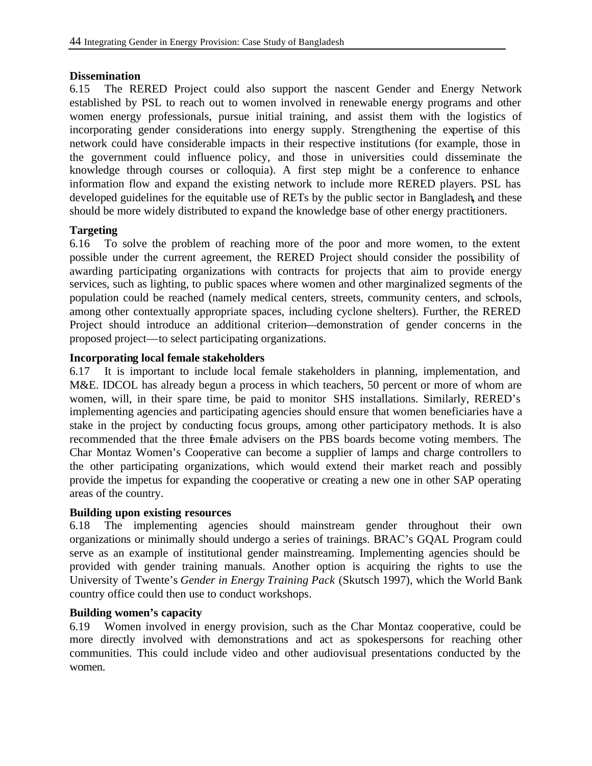#### **Dissemination**

6.15 The RERED Project could also support the nascent Gender and Energy Network established by PSL to reach out to women involved in renewable energy programs and other women energy professionals, pursue initial training, and assist them with the logistics of incorporating gender considerations into energy supply. Strengthening the expertise of this network could have considerable impacts in their respective institutions (for example, those in the government could influence policy, and those in universities could disseminate the knowledge through courses or colloquia). A first step might be a conference to enhance information flow and expand the existing network to include more RERED players. PSL has developed guidelines for the equitable use of RETs by the public sector in Bangladesh**,** and these should be more widely distributed to expand the knowledge base of other energy practitioners.

### **Targeting**

6.16 To solve the problem of reaching more of the poor and more women, to the extent possible under the current agreement, the RERED Project should consider the possibility of awarding participating organizations with contracts for projects that aim to provide energy services, such as lighting, to public spaces where women and other marginalized segments of the population could be reached (namely medical centers, streets, community centers, and schools, among other contextually appropriate spaces, including cyclone shelters). Further, the RERED Project should introduce an additional criterion—demonstration of gender concerns in the proposed project—to select participating organizations.

### **Incorporating local female stakeholders**

6.17 It is important to include local female stakeholders in planning, implementation, and M&E. IDCOL has already begun a process in which teachers, 50 percent or more of whom are women, will, in their spare time, be paid to monitor SHS installations. Similarly, RERED's implementing agencies and participating agencies should ensure that women beneficiaries have a stake in the project by conducting focus groups, among other participatory methods. It is also recommended that the three female advisers on the PBS boards become voting members. The Char Montaz Women's Cooperative can become a supplier of lamps and charge controllers to the other participating organizations, which would extend their market reach and possibly provide the impetus for expanding the cooperative or creating a new one in other SAP operating areas of the country.

### **Building upon existing resources**

6.18 The implementing agencies should mainstream gender throughout their own organizations or minimally should undergo a series of trainings. BRAC's GQAL Program could serve as an example of institutional gender mainstreaming. Implementing agencies should be provided with gender training manuals. Another option is acquiring the rights to use the University of Twente's *Gender in Energy Training Pack* (Skutsch 1997), which the World Bank country office could then use to conduct workshops.

### **Building women's capacity**

6.19 Women involved in energy provision, such as the Char Montaz cooperative, could be more directly involved with demonstrations and act as spokespersons for reaching other communities. This could include video and other audiovisual presentations conducted by the women.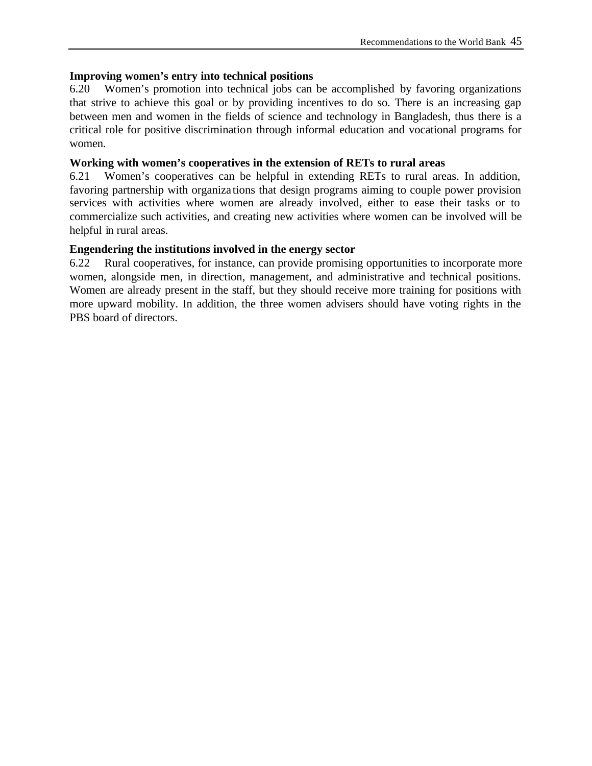### **Improving women's entry into technical positions**

6.20 Women's promotion into technical jobs can be accomplished by favoring organizations that strive to achieve this goal or by providing incentives to do so. There is an increasing gap between men and women in the fields of science and technology in Bangladesh, thus there is a critical role for positive discrimination through informal education and vocational programs for women.

#### **Working with women's cooperatives in the extension of RETs to rural areas**

6.21 Women's cooperatives can be helpful in extending RETs to rural areas. In addition, favoring partnership with organiza tions that design programs aiming to couple power provision services with activities where women are already involved, either to ease their tasks or to commercialize such activities, and creating new activities where women can be involved will be helpful in rural areas.

### **Engendering the institutions involved in the energy sector**

6.22 Rural cooperatives, for instance, can provide promising opportunities to incorporate more women, alongside men, in direction, management, and administrative and technical positions. Women are already present in the staff, but they should receive more training for positions with more upward mobility. In addition, the three women advisers should have voting rights in the PBS board of directors.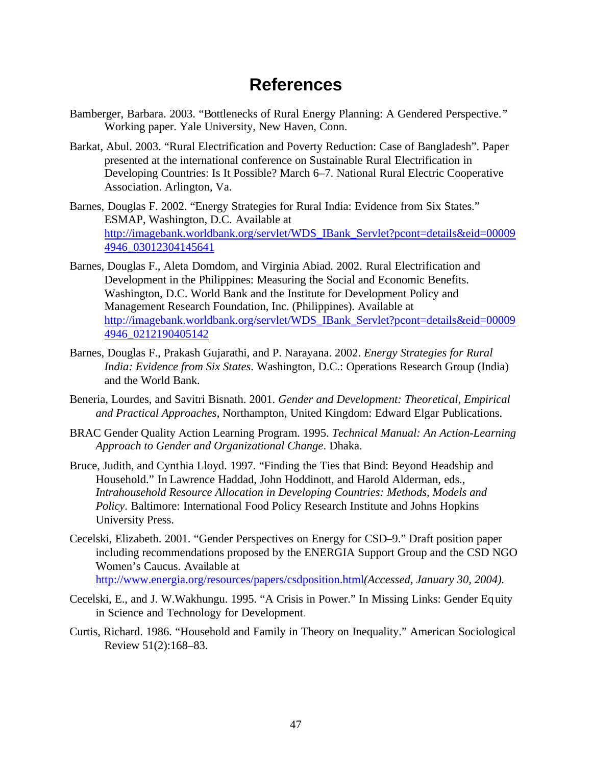# **References**

- Bamberger, Barbara. 2003. "Bottlenecks of Rural Energy Planning: A Gendered Perspective*.*" Working paper. Yale University, New Haven, Conn.
- Barkat, Abul. 2003. "Rural Electrification and Poverty Reduction: Case of Bangladesh". Paper presented at the international conference on Sustainable Rural Electrification in Developing Countries: Is It Possible? March 6–7. National Rural Electric Cooperative Association. Arlington, Va.
- Barnes, Douglas F. 2002. "Energy Strategies for Rural India: Evidence from Six States." ESMAP, Washington, D.C. Available at http://imagebank.worldbank.org/servlet/WDS\_IBank\_Servlet?pcont=details&eid=00009 4946\_03012304145641
- Barnes, Douglas F., Aleta Domdom, and Virginia Abiad. 2002. Rural Electrification and Development in the Philippines: Measuring the Social and Economic Benefits. Washington, D.C. World Bank and the Institute for Development Policy and Management Research Foundation, Inc. (Philippines). Available at http://imagebank.worldbank.org/servlet/WDS\_IBank\_Servlet?pcont=details&eid=00009 4946\_0212190405142
- Barnes, Douglas F., Prakash Gujarathi, and P. Narayana. 2002. *Energy Strategies for Rural India: Evidence from Six States*. Washington, D.C.: Operations Research Group (India) and the World Bank.
- Beneria, Lourdes, and Savitri Bisnath. 2001. *Gender and Development: Theoretical, Empirical and Practical Approaches,* Northampton, United Kingdom: Edward Elgar Publications.
- BRAC Gender Quality Action Learning Program. 1995. *Technical Manual: An Action-Learning Approach to Gender and Organizational Change*. Dhaka.
- Bruce, Judith, and Cynthia Lloyd. 1997. "Finding the Ties that Bind: Beyond Headship and Household." In Lawrence Haddad, John Hoddinott, and Harold Alderman, eds., *Intrahousehold Resource Allocation in Developing Countries: Methods, Models and Policy*. Baltimore: International Food Policy Research Institute and Johns Hopkins University Press.
- Cecelski, Elizabeth. 2001. "Gender Perspectives on Energy for CSD–9." Draft position paper including recommendations proposed by the ENERGIA Support Group and the CSD NGO Women's Caucus. Available at http://www.energia.org/resources/papers/csdposition.html*(Accessed, January 30, 2004).*
- Cecelski, E., and J. W.Wakhungu. 1995. "A Crisis in Power." In Missing Links: Gender Equity in Science and Technology for Development.
- Curtis, Richard. 1986. "Household and Family in Theory on Inequality." American Sociological Review 51(2):168–83.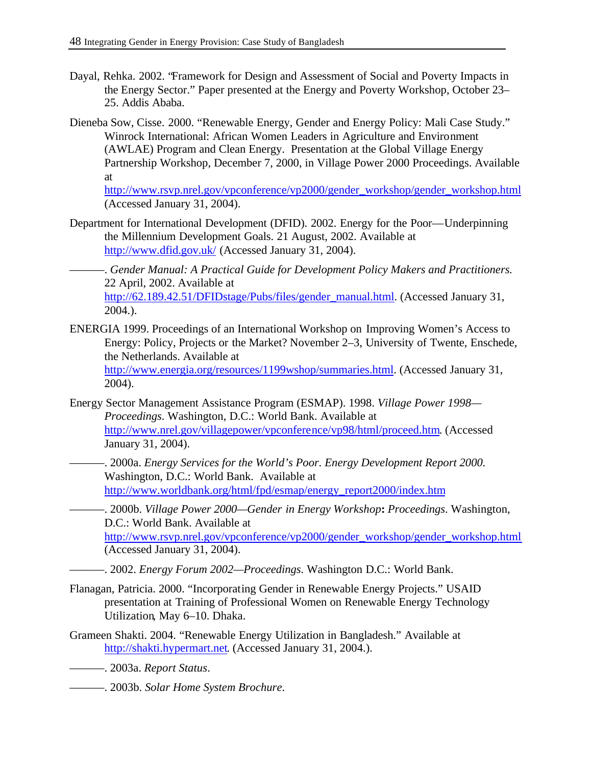- Dayal, Rehka. 2002. "Framework for Design and Assessment of Social and Poverty Impacts in the Energy Sector." Paper presented at the Energy and Poverty Workshop, October 23– 25. Addis Ababa.
- Dieneba Sow, Cisse. 2000. "Renewable Energy, Gender and Energy Policy: Mali Case Study." Winrock International: African Women Leaders in Agriculture and Environment (AWLAE) Program and Clean Energy. Presentation at the Global Village Energy Partnership Workshop, December 7, 2000, in Village Power 2000 Proceedings. Available at

http://www.rsvp.nrel.gov/vpconference/vp2000/gender\_workshop/gender\_workshop.html (Accessed January 31, 2004).

- Department for International Development (DFID). 2002. Energy for the Poor—Underpinning the Millennium Development Goals. 21 August, 2002. Available at http://www.dfid.gov.uk/ (Accessed January 31, 2004).
	- ———. *Gender Manual: A Practical Guide for Development Policy Makers and Practitioners.* 22 April, 2002. Available at http://62.189.42.51/DFIDstage/Pubs/files/gender\_manual.html. (Accessed January 31, 2004.).
- ENERGIA 1999. Proceedings of an International Workshop on Improving Women's Access to Energy: Policy, Projects or the Market? November 2–3, University of Twente, Enschede, the Netherlands. Available at http://www.energia.org/resources/1199wshop/summaries.html. (Accessed January 31, 2004).
- Energy Sector Management Assistance Program (ESMAP). 1998. *Village Power 1998— Proceedings*. Washington, D.C.: World Bank. Available at http://www.nrel.gov/villagepower/vpconference/vp98/html/proceed.htm. (Accessed January 31, 2004).
- ———. 2000a. *Energy Services for the World's Poor. Energy Development Report 2000.* Washington, D.C.: World Bank. Available at http://www.worldbank.org/html/fpd/esmap/energy\_report2000/index.htm
	- ———. 2000b. *Village Power 2000—Gender in Energy Workshop***:** *Proceedings*. Washington, D.C.: World Bank. Available at http://www.rsvp.nrel.gov/vpconference/vp2000/gender\_workshop/gender\_workshop.html (Accessed January 31, 2004).
	- ———. 2002. *Energy Forum 2002—Proceedings*. Washington D.C.: World Bank.
- Flanagan, Patricia. 2000. "Incorporating Gender in Renewable Energy Projects." USAID presentation at Training of Professional Women on Renewable Energy Technology Utilization, May 6–10. Dhaka.
- Grameen Shakti. 2004. "Renewable Energy Utilization in Bangladesh." Available at http://shakti.hypermart.net. (Accessed January 31, 2004.).
- ———. 2003a. *Report Status*.
- ———. 2003b. *Solar Home System Brochure*.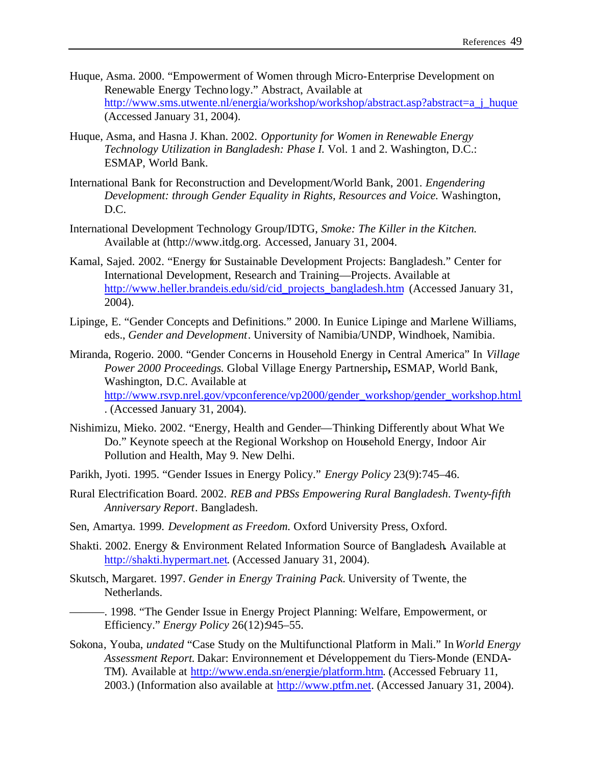- Huque, Asma. 2000. "Empowerment of Women through Micro-Enterprise Development on Renewable Energy Technology." Abstract, Available at http://www.sms.utwente.nl/energia/workshop/workshop/abstract.asp?abstract=a\_j\_huque (Accessed January 31, 2004).
- Huque, Asma, and Hasna J. Khan. 2002. *Opportunity for Women in Renewable Energy Technology Utilization in Bangladesh: Phase I.* Vol. 1 and 2. Washington, D.C.: ESMAP, World Bank.
- International Bank for Reconstruction and Development/World Bank, 2001. *Engendering Development: through Gender Equality in Rights, Resources and Voice.* Washington, D.C.
- International Development Technology Group/IDTG, *Smoke: The Killer in the Kitchen.*  Available at (http://www.itdg.org. Accessed, January 31, 2004.
- Kamal, Sajed. 2002. "Energy for Sustainable Development Projects: Bangladesh." Center for International Development, Research and Training—Projects. Available at http://www.heller.brandeis.edu/sid/cid\_projects\_bangladesh.htm (Accessed January 31, 2004).
- Lipinge, E. "Gender Concepts and Definitions." 2000. In Eunice Lipinge and Marlene Williams, eds., *Gender and Development*. University of Namibia/UNDP, Windhoek, Namibia.
- Miranda, Rogerio. 2000. "Gender Concerns in Household Energy in Central America" In *Village Power 2000 Proceedings.* Global Village Energy Partnership**,** ESMAP, World Bank, Washington, D.C. Available at http://www.rsvp.nrel.gov/vpconference/vp2000/gender\_workshop/gender\_workshop.html . (Accessed January 31, 2004).
- Nishimizu, Mieko. 2002. "Energy, Health and Gender—Thinking Differently about What We Do." Keynote speech at the Regional Workshop on Household Energy, Indoor Air Pollution and Health, May 9. New Delhi.
- Parikh, Jyoti. 1995. "Gender Issues in Energy Policy." *Energy Policy* 23(9):745–46.
- Rural Electrification Board. 2002. *REB and PBSs Empowering Rural Bangladesh*. *Twenty-fifth Anniversary Report*. Bangladesh.
- Sen, Amartya. 1999. *Development as Freedom.* Oxford University Press, Oxford.
- Shakti. 2002. Energy & Environment Related Information Source of Bangladesh**.** Available at http://shakti.hypermart.net. (Accessed January 31, 2004).
- Skutsch, Margaret. 1997. *Gender in Energy Training Pack.* University of Twente, the Netherlands.
- ———. 1998. "The Gender Issue in Energy Project Planning: Welfare, Empowerment, or Efficiency." *Energy Policy* 26(12):945–55.
- Sokona, Youba, *undated* "Case Study on the Multifunctional Platform in Mali." In *World Energy Assessment Report.* Dakar: Environnement et Développement du Tiers-Monde (ENDA-TM). Available at http://www.enda.sn/energie/platform.htm. (Accessed February 11, 2003.) (Information also available at http://www.ptfm.net. (Accessed January 31, 2004).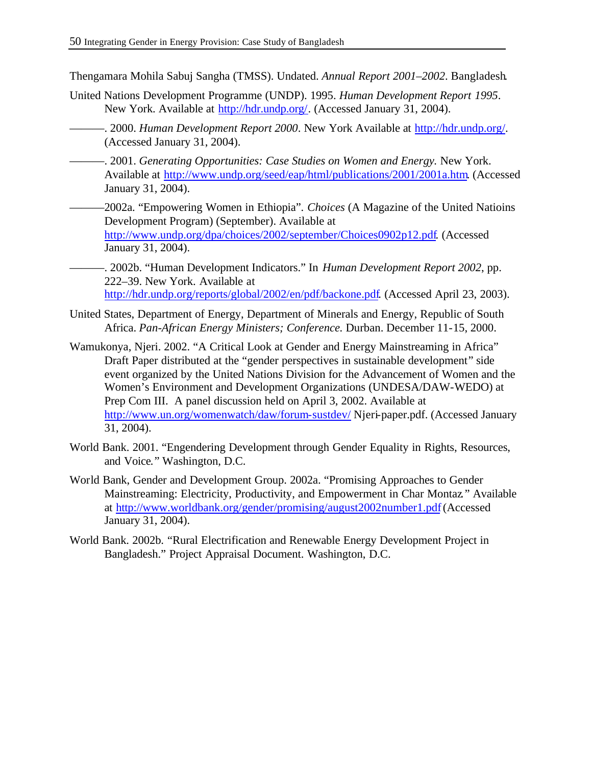Thengamara Mohila Sabuj Sangha (TMSS). Undated. *Annual Report 2001–2002*. Bangladesh.

- United Nations Development Programme (UNDP). 1995. *Human Development Report 1995*. New York. Available at http://hdr.undp.org/. (Accessed January 31, 2004).
- ———. 2000. *Human Development Report 2000*. New York Available at http://hdr.undp.org/. (Accessed January 31, 2004).
- ———. 2001. *Generating Opportunities: Case Studies on Women and Energy.* New York. Available at http://www.undp.org/seed/eap/html/publications/2001/2001a.htm. (Accessed January 31, 2004).
- ———2002a. "Empowering Women in Ethiopia". *Choices* (A Magazine of the United Natioins Development Program) (September). Available at http://www.undp.org/dpa/choices/2002/september/Choices0902p12.pdf. (Accessed January 31, 2004).
- ———. 2002b. "Human Development Indicators." In *Human Development Report 2002*, pp. 222–39. New York. Available at http://hdr.undp.org/reports/global/2002/en/pdf/backone.pdf. (Accessed April 23, 2003).
- United States, Department of Energy, Department of Minerals and Energy, Republic of South Africa. *Pan-African Energy Ministers; Conference.* Durban. December 11-15, 2000.
- Wamukonya, Njeri. 2002. "A Critical Look at Gender and Energy Mainstreaming in Africa" Draft Paper distributed at the "gender perspectives in sustainable development" side event organized by the United Nations Division for the Advancement of Women and the Women's Environment and Development Organizations (UNDESA/DAW-WEDO) at Prep Com III. A panel discussion held on April 3, 2002. Available at http://www.un.org/womenwatch/daw/forum-sustdev/ Njeri-paper.pdf. (Accessed January 31, 2004).
- World Bank. 2001. "Engendering Development through Gender Equality in Rights, Resources, and Voice*.*" Washington, D.C.
- World Bank, Gender and Development Group. 2002a. "Promising Approaches to Gender Mainstreaming: Electricity, Productivity, and Empowerment in Char Montaz*.*" Available at http://www.worldbank.org/gender/promising/august2002number1.pdf (Accessed January 31, 2004).
- World Bank. 2002b. "Rural Electrification and Renewable Energy Development Project in Bangladesh." Project Appraisal Document. Washington, D.C.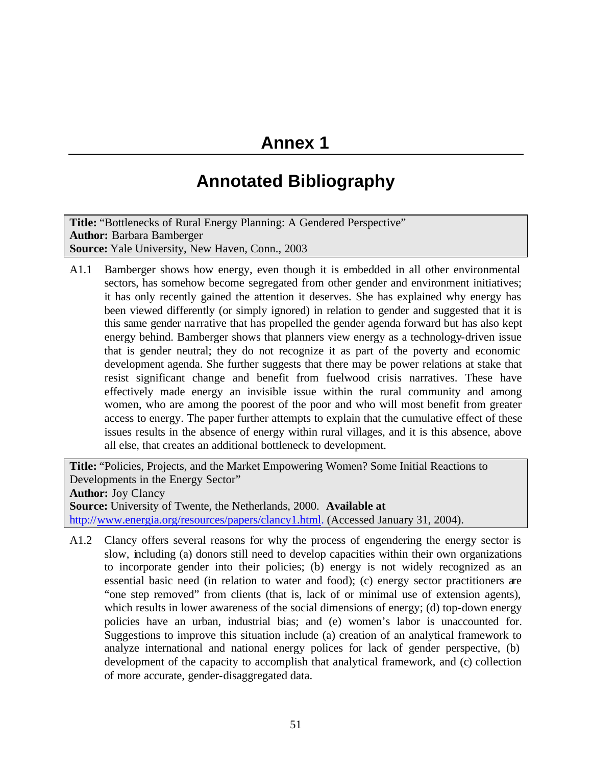# **Annex 1**

# **Annotated Bibliography**

**Title:** "Bottlenecks of Rural Energy Planning: A Gendered Perspective" **Author:** Barbara Bamberger **Source:** Yale University, New Haven, Conn., 2003

A1.1 Bamberger shows how energy, even though it is embedded in all other environmental sectors, has somehow become segregated from other gender and environment initiatives; it has only recently gained the attention it deserves. She has explained why energy has been viewed differently (or simply ignored) in relation to gender and suggested that it is this same gender narrative that has propelled the gender agenda forward but has also kept energy behind. Bamberger shows that planners view energy as a technology-driven issue that is gender neutral; they do not recognize it as part of the poverty and economic development agenda. She further suggests that there may be power relations at stake that resist significant change and benefit from fuelwood crisis narratives. These have effectively made energy an invisible issue within the rural community and among women, who are among the poorest of the poor and who will most benefit from greater access to energy. The paper further attempts to explain that the cumulative effect of these issues results in the absence of energy within rural villages, and it is this absence, above all else, that creates an additional bottleneck to development.

**Title:** "Policies, Projects, and the Market Empowering Women? Some Initial Reactions to Developments in the Energy Sector" **Author:** Joy Clancy **Source:** University of Twente, the Netherlands, 2000. **Available at** http://www.energia.org/resources/papers/clancy1.html. (Accessed January 31, 2004).

A1.2 Clancy offers several reasons for why the process of engendering the energy sector is slow, including (a) donors still need to develop capacities within their own organizations to incorporate gender into their policies; (b) energy is not widely recognized as an essential basic need (in relation to water and food); (c) energy sector practitioners are "one step removed" from clients (that is, lack of or minimal use of extension agents), which results in lower awareness of the social dimensions of energy; (d) top-down energy policies have an urban, industrial bias; and (e) women's labor is unaccounted for. Suggestions to improve this situation include (a) creation of an analytical framework to analyze international and national energy polices for lack of gender perspective, (b) development of the capacity to accomplish that analytical framework, and (c) collection of more accurate, gender-disaggregated data.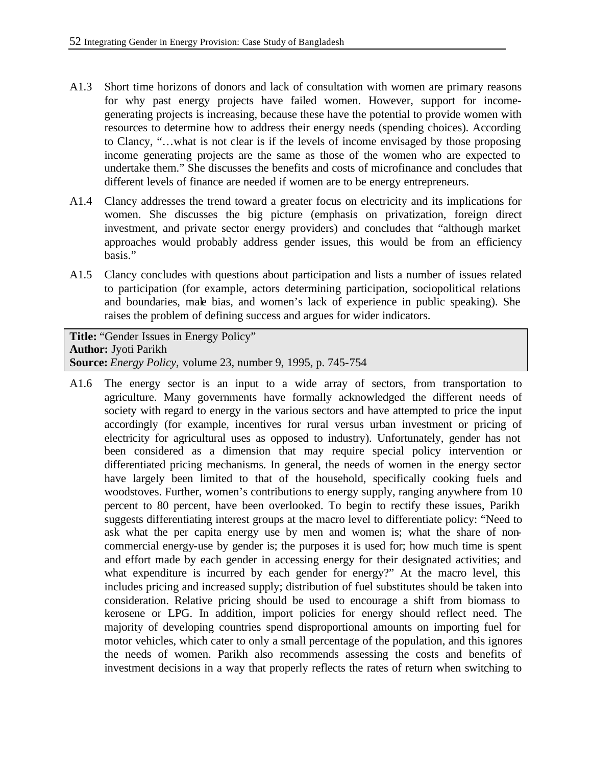- A1.3 Short time horizons of donors and lack of consultation with women are primary reasons for why past energy projects have failed women. However, support for incomegenerating projects is increasing, because these have the potential to provide women with resources to determine how to address their energy needs (spending choices). According to Clancy, "…what is not clear is if the levels of income envisaged by those proposing income generating projects are the same as those of the women who are expected to undertake them." She discusses the benefits and costs of microfinance and concludes that different levels of finance are needed if women are to be energy entrepreneurs.
- A1.4 Clancy addresses the trend toward a greater focus on electricity and its implications for women. She discusses the big picture (emphasis on privatization, foreign direct investment, and private sector energy providers) and concludes that "although market approaches would probably address gender issues, this would be from an efficiency basis."
- A1.5 Clancy concludes with questions about participation and lists a number of issues related to participation (for example, actors determining participation, sociopolitical relations and boundaries, male bias, and women's lack of experience in public speaking). She raises the problem of defining success and argues for wider indicators.

**Title:** "Gender Issues in Energy Policy" **Author:** Jyoti Parikh **Source:** *Energy Policy,* volume 23, number 9, 1995, p. 745-754

A1.6 The energy sector is an input to a wide array of sectors, from transportation to agriculture. Many governments have formally acknowledged the different needs of society with regard to energy in the various sectors and have attempted to price the input accordingly (for example, incentives for rural versus urban investment or pricing of electricity for agricultural uses as opposed to industry). Unfortunately, gender has not been considered as a dimension that may require special policy intervention or differentiated pricing mechanisms. In general, the needs of women in the energy sector have largely been limited to that of the household, specifically cooking fuels and woodstoves. Further, women's contributions to energy supply, ranging anywhere from 10 percent to 80 percent, have been overlooked. To begin to rectify these issues, Parikh suggests differentiating interest groups at the macro level to differentiate policy: "Need to ask what the per capita energy use by men and women is; what the share of noncommercial energy-use by gender is; the purposes it is used for; how much time is spent and effort made by each gender in accessing energy for their designated activities; and what expenditure is incurred by each gender for energy?" At the macro level, this includes pricing and increased supply; distribution of fuel substitutes should be taken into consideration. Relative pricing should be used to encourage a shift from biomass to kerosene or LPG. In addition, import policies for energy should reflect need. The majority of developing countries spend disproportional amounts on importing fuel for motor vehicles, which cater to only a small percentage of the population, and this ignores the needs of women. Parikh also recommends assessing the costs and benefits of investment decisions in a way that properly reflects the rates of return when switching to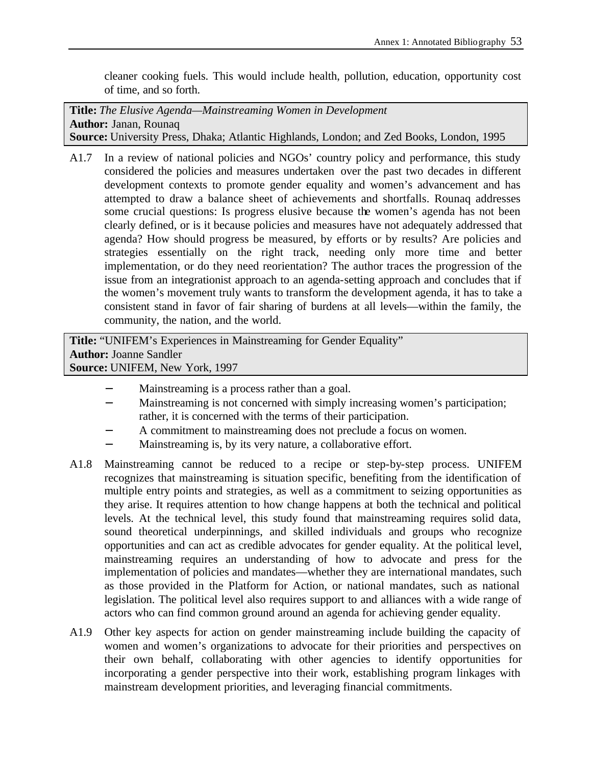cleaner cooking fuels. This would include health, pollution, education, opportunity cost of time, and so forth.

**Title:** *The Elusive Agenda—Mainstreaming Women in Development* **Author:** Janan, Rounaq **Source:** University Press, Dhaka; Atlantic Highlands, London; and Zed Books, London, 1995

A1.7 In a review of national policies and NGOs' country policy and performance, this study considered the policies and measures undertaken over the past two decades in different development contexts to promote gender equality and women's advancement and has attempted to draw a balance sheet of achievements and shortfalls. Rounaq addresses some crucial questions: Is progress elusive because the women's agenda has not been clearly defined, or is it because policies and measures have not adequately addressed that agenda? How should progress be measured, by efforts or by results? Are policies and strategies essentially on the right track, needing only more time and better implementation, or do they need reorientation? The author traces the progression of the issue from an integrationist approach to an agenda-setting approach and concludes that if the women's movement truly wants to transform the development agenda, it has to take a consistent stand in favor of fair sharing of burdens at all levels—within the family, the community, the nation, and the world.

**Title:** "UNIFEM's Experiences in Mainstreaming for Gender Equality" **Author:** Joanne Sandler **Source:** UNIFEM, New York, 1997

- Mainstreaming is a process rather than a goal.
- − Mainstreaming is not concerned with simply increasing women's participation; rather, it is concerned with the terms of their participation.
- A commitment to mainstreaming does not preclude a focus on women.
- Mainstreaming is, by its very nature, a collaborative effort.
- A1.8 Mainstreaming cannot be reduced to a recipe or step-by-step process. UNIFEM recognizes that mainstreaming is situation specific, benefiting from the identification of multiple entry points and strategies, as well as a commitment to seizing opportunities as they arise. It requires attention to how change happens at both the technical and political levels. At the technical level, this study found that mainstreaming requires solid data, sound theoretical underpinnings, and skilled individuals and groups who recognize opportunities and can act as credible advocates for gender equality. At the political level, mainstreaming requires an understanding of how to advocate and press for the implementation of policies and mandates—whether they are international mandates, such as those provided in the Platform for Action, or national mandates, such as national legislation. The political level also requires support to and alliances with a wide range of actors who can find common ground around an agenda for achieving gender equality.
- A1.9 Other key aspects for action on gender mainstreaming include building the capacity of women and women's organizations to advocate for their priorities and perspectives on their own behalf, collaborating with other agencies to identify opportunities for incorporating a gender perspective into their work, establishing program linkages with mainstream development priorities, and leveraging financial commitments.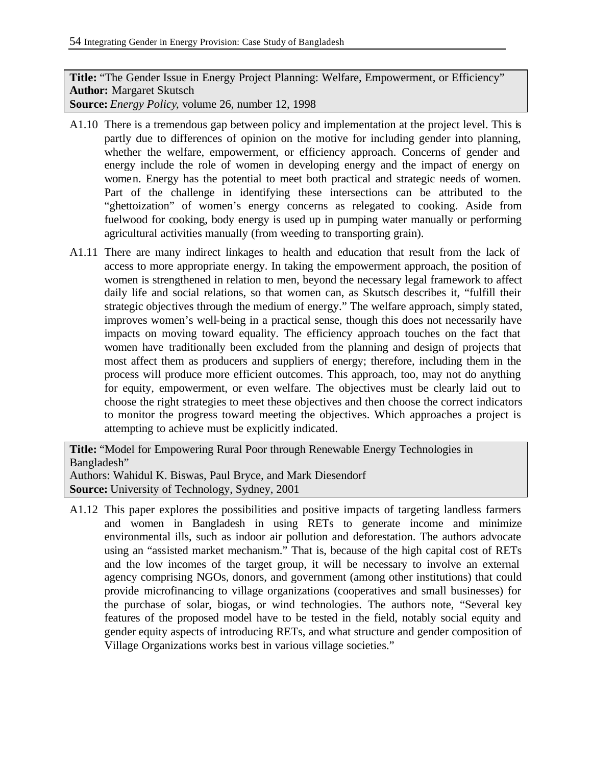**Title:** "The Gender Issue in Energy Project Planning: Welfare, Empowerment, or Efficiency" **Author:** Margaret Skutsch

**Source:** *Energy Policy*, volume 26, number 12, 1998

- A1.10 There is a tremendous gap between policy and implementation at the project level. This is partly due to differences of opinion on the motive for including gender into planning, whether the welfare, empowerment, or efficiency approach. Concerns of gender and energy include the role of women in developing energy and the impact of energy on women. Energy has the potential to meet both practical and strategic needs of women. Part of the challenge in identifying these intersections can be attributed to the "ghettoization" of women's energy concerns as relegated to cooking. Aside from fuelwood for cooking, body energy is used up in pumping water manually or performing agricultural activities manually (from weeding to transporting grain).
- A1.11 There are many indirect linkages to health and education that result from the lack of access to more appropriate energy. In taking the empowerment approach, the position of women is strengthened in relation to men, beyond the necessary legal framework to affect daily life and social relations, so that women can, as Skutsch describes it, "fulfill their strategic objectives through the medium of energy." The welfare approach, simply stated, improves women's well-being in a practical sense, though this does not necessarily have impacts on moving toward equality. The efficiency approach touches on the fact that women have traditionally been excluded from the planning and design of projects that most affect them as producers and suppliers of energy; therefore, including them in the process will produce more efficient outcomes. This approach, too, may not do anything for equity, empowerment, or even welfare. The objectives must be clearly laid out to choose the right strategies to meet these objectives and then choose the correct indicators to monitor the progress toward meeting the objectives. Which approaches a project is attempting to achieve must be explicitly indicated.

**Title:** "Model for Empowering Rural Poor through Renewable Energy Technologies in Bangladesh" Authors: Wahidul K. Biswas, Paul Bryce, and Mark Diesendorf **Source:** University of Technology, Sydney, 2001

A1.12 This paper explores the possibilities and positive impacts of targeting landless farmers and women in Bangladesh in using RETs to generate income and minimize environmental ills, such as indoor air pollution and deforestation. The authors advocate using an "assisted market mechanism." That is, because of the high capital cost of RETs and the low incomes of the target group, it will be necessary to involve an external agency comprising NGOs, donors, and government (among other institutions) that could provide microfinancing to village organizations (cooperatives and small businesses) for the purchase of solar, biogas, or wind technologies. The authors note, "Several key features of the proposed model have to be tested in the field, notably social equity and gender equity aspects of introducing RETs, and what structure and gender composition of Village Organizations works best in various village societies."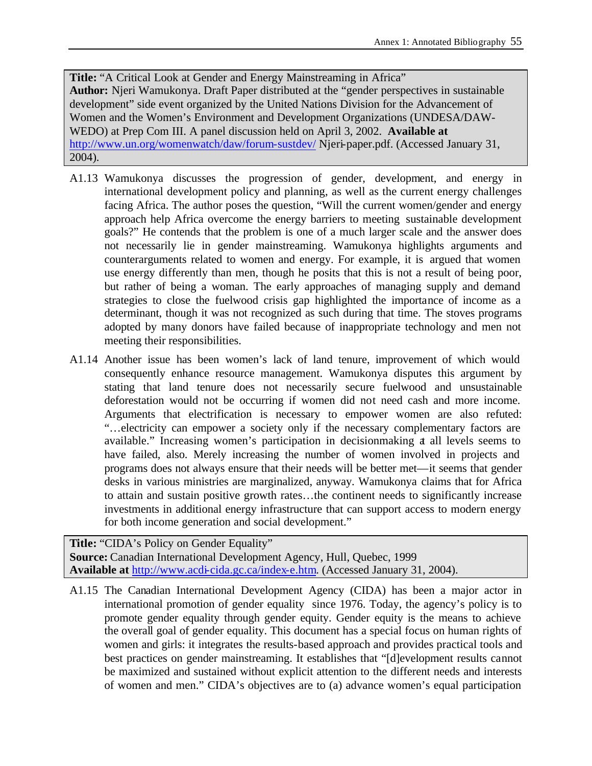**Title:** "A Critical Look at Gender and Energy Mainstreaming in Africa" **Author:** Njeri Wamukonya. Draft Paper distributed at the "gender perspectives in sustainable development" side event organized by the United Nations Division for the Advancement of Women and the Women's Environment and Development Organizations (UNDESA/DAW-WEDO) at Prep Com III. A panel discussion held on April 3, 2002. **Available at** http://www.un.org/womenwatch/daw/forum-sustdev/ Njeri-paper.pdf. (Accessed January 31, 2004).

- A1.13 Wamukonya discusses the progression of gender, development, and energy in international development policy and planning, as well as the current energy challenges facing Africa. The author poses the question, "Will the current women/gender and energy approach help Africa overcome the energy barriers to meeting sustainable development goals?" He contends that the problem is one of a much larger scale and the answer does not necessarily lie in gender mainstreaming. Wamukonya highlights arguments and counterarguments related to women and energy. For example, it is argued that women use energy differently than men, though he posits that this is not a result of being poor, but rather of being a woman. The early approaches of managing supply and demand strategies to close the fuelwood crisis gap highlighted the importance of income as a determinant, though it was not recognized as such during that time. The stoves programs adopted by many donors have failed because of inappropriate technology and men not meeting their responsibilities.
- A1.14 Another issue has been women's lack of land tenure, improvement of which would consequently enhance resource management. Wamukonya disputes this argument by stating that land tenure does not necessarily secure fuelwood and unsustainable deforestation would not be occurring if women did not need cash and more income. Arguments that electrification is necessary to empower women are also refuted: "…electricity can empower a society only if the necessary complementary factors are available." Increasing women's participation in decisionmaking at all levels seems to have failed, also. Merely increasing the number of women involved in projects and programs does not always ensure that their needs will be better met—it seems that gender desks in various ministries are marginalized, anyway. Wamukonya claims that for Africa to attain and sustain positive growth rates…the continent needs to significantly increase investments in additional energy infrastructure that can support access to modern energy for both income generation and social development."

**Title:** "CIDA's Policy on Gender Equality" **Source:** Canadian International Development Agency, Hull, Quebec, 1999 **Available at** http://www.acdi-cida.gc.ca/index-e.htm. (Accessed January 31, 2004).

A1.15 The Canadian International Development Agency (CIDA) has been a major actor in international promotion of gender equality since 1976. Today, the agency's policy is to promote gender equality through gender equity. Gender equity is the means to achieve the overall goal of gender equality. This document has a special focus on human rights of women and girls: it integrates the results-based approach and provides practical tools and best practices on gender mainstreaming. It establishes that "[d]evelopment results cannot be maximized and sustained without explicit attention to the different needs and interests of women and men." CIDA's objectives are to (a) advance women's equal participation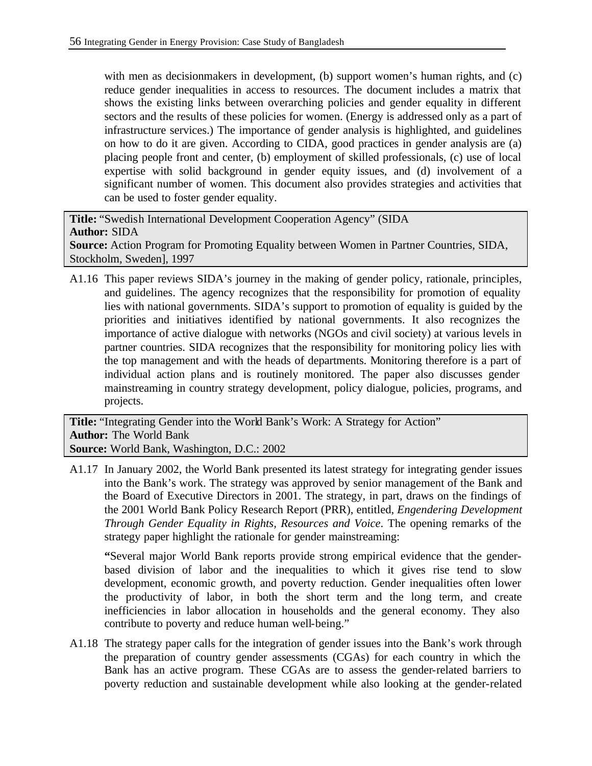with men as decisionmakers in development, (b) support women's human rights, and (c) reduce gender inequalities in access to resources. The document includes a matrix that shows the existing links between overarching policies and gender equality in different sectors and the results of these policies for women. (Energy is addressed only as a part of infrastructure services.) The importance of gender analysis is highlighted, and guidelines on how to do it are given. According to CIDA, good practices in gender analysis are (a) placing people front and center, (b) employment of skilled professionals, (c) use of local expertise with solid background in gender equity issues, and (d) involvement of a significant number of women. This document also provides strategies and activities that can be used to foster gender equality.

**Title:** "Swedish International Development Cooperation Agency" (SIDA **Author:** SIDA **Source:** Action Program for Promoting Equality between Women in Partner Countries, SIDA, Stockholm, Sweden], 1997

A1.16 This paper reviews SIDA's journey in the making of gender policy, rationale, principles, and guidelines. The agency recognizes that the responsibility for promotion of equality lies with national governments. SIDA's support to promotion of equality is guided by the priorities and initiatives identified by national governments. It also recognizes the importance of active dialogue with networks (NGOs and civil society) at various levels in partner countries. SIDA recognizes that the responsibility for monitoring policy lies with the top management and with the heads of departments. Monitoring therefore is a part of individual action plans and is routinely monitored. The paper also discusses gender mainstreaming in country strategy development, policy dialogue, policies, programs, and projects.

**Title:** "Integrating Gender into the World Bank's Work: A Strategy for Action" **Author:** The World Bank **Source:** World Bank, Washington, D.C.: 2002

A1.17 In January 2002, the World Bank presented its latest strategy for integrating gender issues into the Bank's work. The strategy was approved by senior management of the Bank and the Board of Executive Directors in 2001. The strategy, in part, draws on the findings of the 2001 World Bank Policy Research Report (PRR), entitled, *Engendering Development Through Gender Equality in Rights, Resources and Voice*. The opening remarks of the strategy paper highlight the rationale for gender mainstreaming:

**"**Several major World Bank reports provide strong empirical evidence that the genderbased division of labor and the inequalities to which it gives rise tend to slow development, economic growth, and poverty reduction. Gender inequalities often lower the productivity of labor, in both the short term and the long term, and create inefficiencies in labor allocation in households and the general economy. They also contribute to poverty and reduce human well-being."

A1.18 The strategy paper calls for the integration of gender issues into the Bank's work through the preparation of country gender assessments (CGAs) for each country in which the Bank has an active program. These CGAs are to assess the gender-related barriers to poverty reduction and sustainable development while also looking at the gender-related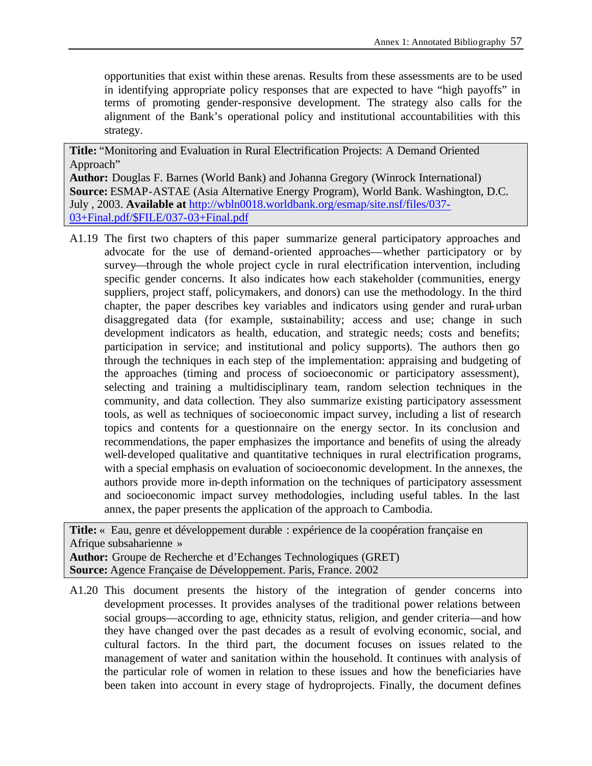opportunities that exist within these arenas. Results from these assessments are to be used in identifying appropriate policy responses that are expected to have "high payoffs" in terms of promoting gender-responsive development. The strategy also calls for the alignment of the Bank's operational policy and institutional accountabilities with this strategy.

**Title:** "Monitoring and Evaluation in Rural Electrification Projects: A Demand Oriented Approach"

**Author:** Douglas F. Barnes (World Bank) and Johanna Gregory (Winrock International) **Source:** ESMAP-ASTAE (Asia Alternative Energy Program), World Bank. Washington, D.C. July , 2003. **Available at** http://wbln0018.worldbank.org/esmap/site.nsf/files/037- 03+Final.pdf/\$FILE/037-03+Final.pdf

A1.19 The first two chapters of this paper summarize general participatory approaches and advocate for the use of demand-oriented approaches—whether participatory or by survey—through the whole project cycle in rural electrification intervention, including specific gender concerns. It also indicates how each stakeholder (communities, energy suppliers, project staff, policymakers, and donors) can use the methodology. In the third chapter, the paper describes key variables and indicators using gender and rural-urban disaggregated data (for example, sustainability; access and use; change in such development indicators as health, education, and strategic needs; costs and benefits; participation in service; and institutional and policy supports). The authors then go through the techniques in each step of the implementation: appraising and budgeting of the approaches (timing and process of socioeconomic or participatory assessment), selecting and training a multidisciplinary team, random selection techniques in the community, and data collection. They also summarize existing participatory assessment tools, as well as techniques of socioeconomic impact survey, including a list of research topics and contents for a questionnaire on the energy sector. In its conclusion and recommendations, the paper emphasizes the importance and benefits of using the already well-developed qualitative and quantitative techniques in rural electrification programs, with a special emphasis on evaluation of socioeconomic development. In the annexes, the authors provide more in-depth information on the techniques of participatory assessment and socioeconomic impact survey methodologies, including useful tables. In the last annex, the paper presents the application of the approach to Cambodia.

**Title:** « Eau, genre et développement durable : expérience de la coopération française en Afrique subsaharienne » **Author:** Groupe de Recherche et d'Echanges Technologiques (GRET)

**Source:** Agence Française de Développement. Paris, France. 2002

A1.20 This document presents the history of the integration of gender concerns into development processes. It provides analyses of the traditional power relations between social groups—according to age, ethnicity status, religion, and gender criteria—and how they have changed over the past decades as a result of evolving economic, social, and cultural factors. In the third part, the document focuses on issues related to the management of water and sanitation within the household. It continues with analysis of the particular role of women in relation to these issues and how the beneficiaries have been taken into account in every stage of hydroprojects. Finally, the document defines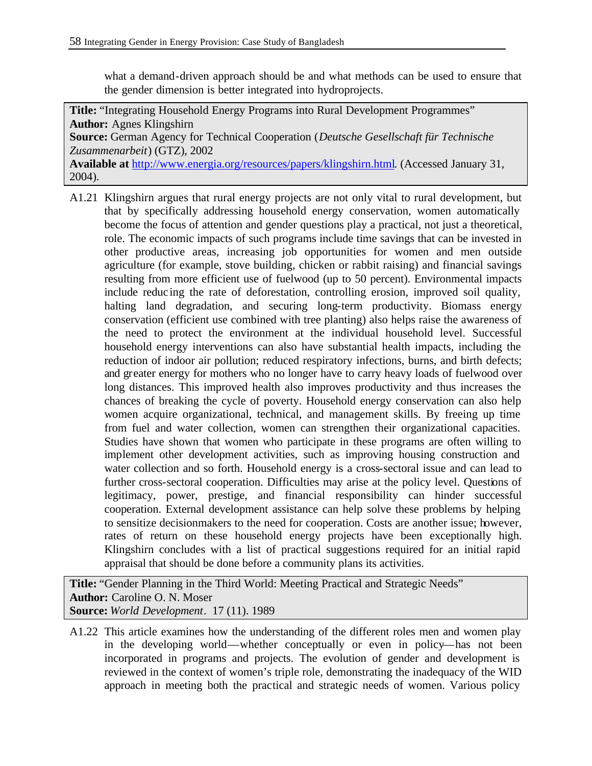what a demand-driven approach should be and what methods can be used to ensure that the gender dimension is better integrated into hydroprojects.

**Title:** "Integrating Household Energy Programs into Rural Development Programmes" **Author:** Agnes Klingshirn **Source:** German Agency for Technical Cooperation (*Deutsche Gesellschaft für Technische Zusammenarbeit*) (GTZ), 2002 **Available at** http://www.energia.org/resources/papers/klingshirn.html. (Accessed January 31, 2004).

A1.21 Klingshirn argues that rural energy projects are not only vital to rural development, but that by specifically addressing household energy conservation, women automatically become the focus of attention and gender questions play a practical, not just a theoretical, role. The economic impacts of such programs include time savings that can be invested in other productive areas, increasing job opportunities for women and men outside agriculture (for example, stove building, chicken or rabbit raising) and financial savings resulting from more efficient use of fuelwood (up to 50 percent). Environmental impacts include reduc ing the rate of deforestation, controlling erosion, improved soil quality, halting land degradation, and securing long-term productivity. Biomass energy conservation (efficient use combined with tree planting) also helps raise the awareness of the need to protect the environment at the individual household level. Successful household energy interventions can also have substantial health impacts, including the reduction of indoor air pollution; reduced respiratory infections, burns, and birth defects; and greater energy for mothers who no longer have to carry heavy loads of fuelwood over long distances. This improved health also improves productivity and thus increases the chances of breaking the cycle of poverty. Household energy conservation can also help women acquire organizational, technical, and management skills. By freeing up time from fuel and water collection, women can strengthen their organizational capacities. Studies have shown that women who participate in these programs are often willing to implement other development activities, such as improving housing construction and water collection and so forth. Household energy is a cross-sectoral issue and can lead to further cross-sectoral cooperation. Difficulties may arise at the policy level. Questions of legitimacy, power, prestige, and financial responsibility can hinder successful cooperation. External development assistance can help solve these problems by helping to sensitize decisionmakers to the need for cooperation. Costs are another issue; however, rates of return on these household energy projects have been exceptionally high. Klingshirn concludes with a list of practical suggestions required for an initial rapid appraisal that should be done before a community plans its activities.

**Title:** "Gender Planning in the Third World: Meeting Practical and Strategic Needs" **Author:** Caroline O. N. Moser **Source:** *World Development*. 17 (11). 1989

A1.22 This article examines how the understanding of the different roles men and women play in the developing world—whether conceptually or even in policy—has not been incorporated in programs and projects. The evolution of gender and development is reviewed in the context of women's triple role, demonstrating the inadequacy of the WID approach in meeting both the practical and strategic needs of women. Various policy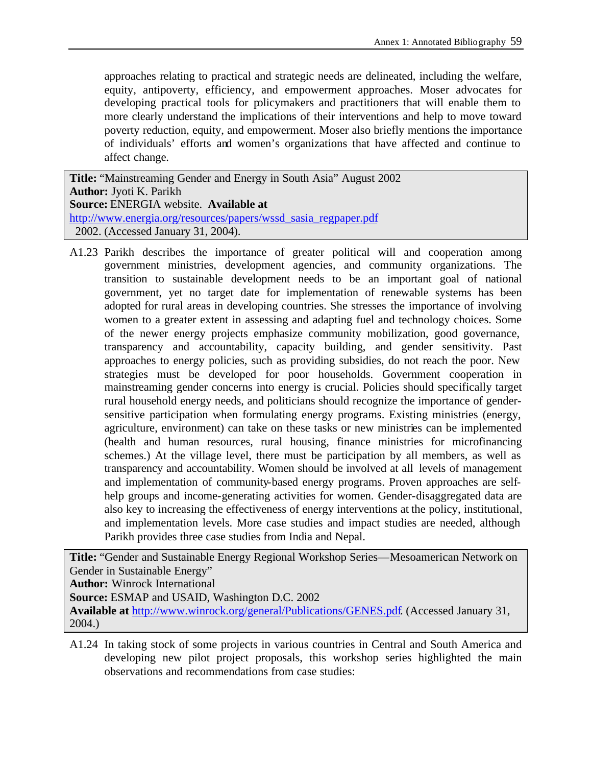approaches relating to practical and strategic needs are delineated, including the welfare, equity, antipoverty, efficiency, and empowerment approaches. Moser advocates for developing practical tools for policymakers and practitioners that will enable them to more clearly understand the implications of their interventions and help to move toward poverty reduction, equity, and empowerment. Moser also briefly mentions the importance of individuals' efforts and women's organizations that have affected and continue to affect change.

**Title:** "Mainstreaming Gender and Energy in South Asia" August 2002 **Author:** Jyoti K. Parikh **Source:** ENERGIA website. **Available at** http://www.energia.org/resources/papers/wssd\_sasia\_regpaper.pdf 2002. (Accessed January 31, 2004).

A1.23 Parikh describes the importance of greater political will and cooperation among government ministries, development agencies, and community organizations. The transition to sustainable development needs to be an important goal of national government, yet no target date for implementation of renewable systems has been adopted for rural areas in developing countries. She stresses the importance of involving women to a greater extent in assessing and adapting fuel and technology choices. Some of the newer energy projects emphasize community mobilization, good governance, transparency and accountability, capacity building, and gender sensitivity. Past approaches to energy policies, such as providing subsidies, do not reach the poor. New strategies must be developed for poor households. Government cooperation in mainstreaming gender concerns into energy is crucial. Policies should specifically target rural household energy needs, and politicians should recognize the importance of gendersensitive participation when formulating energy programs. Existing ministries (energy, agriculture, environment) can take on these tasks or new ministries can be implemented (health and human resources, rural housing, finance ministries for microfinancing schemes.) At the village level, there must be participation by all members, as well as transparency and accountability. Women should be involved at all levels of management and implementation of community-based energy programs. Proven approaches are selfhelp groups and income-generating activities for women. Gender-disaggregated data are also key to increasing the effectiveness of energy interventions at the policy, institutional, and implementation levels. More case studies and impact studies are needed, although Parikh provides three case studies from India and Nepal.

**Title:** "Gender and Sustainable Energy Regional Workshop Series—Mesoamerican Network on Gender in Sustainable Energy"

**Author:** Winrock International

**Source:** ESMAP and USAID, Washington D.C. 2002

**Available at** http://www.winrock.org/general/Publications/GENES.pdf. (Accessed January 31, 2004.)

A1.24 In taking stock of some projects in various countries in Central and South America and developing new pilot project proposals, this workshop series highlighted the main observations and recommendations from case studies: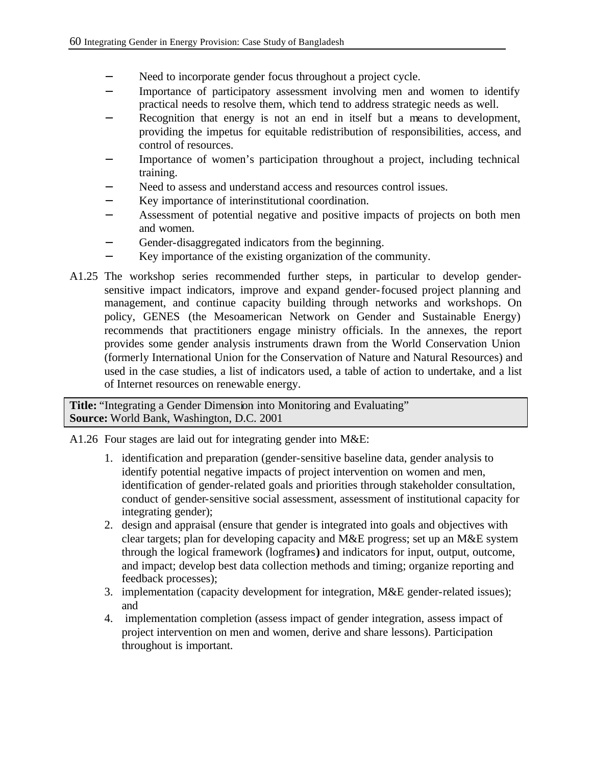- − Need to incorporate gender focus throughout a project cycle.
- Importance of participatory assessment involving men and women to identify practical needs to resolve them, which tend to address strategic needs as well.
- Recognition that energy is not an end in itself but a means to development, providing the impetus for equitable redistribution of responsibilities, access, and control of resources.
- Importance of women's participation throughout a project, including technical training.
- Need to assess and understand access and resources control issues.
- − Key importance of interinstitutional coordination.
- Assessment of potential negative and positive impacts of projects on both men and women.
- Gender-disaggregated indicators from the beginning.
- Key importance of the existing organization of the community.
- A1.25 The workshop series recommended further steps, in particular to develop gendersensitive impact indicators, improve and expand gender-focused project planning and management, and continue capacity building through networks and workshops. On policy, GENES (the Mesoamerican Network on Gender and Sustainable Energy) recommends that practitioners engage ministry officials. In the annexes, the report provides some gender analysis instruments drawn from the World Conservation Union (formerly International Union for the Conservation of Nature and Natural Resources) and used in the case studies, a list of indicators used, a table of action to undertake, and a list of Internet resources on renewable energy.

**Title:** "Integrating a Gender Dimension into Monitoring and Evaluating" **Source:** World Bank, Washington, D.C. 2001

A1.26 Four stages are laid out for integrating gender into M&E:

- 1. identification and preparation (gender-sensitive baseline data, gender analysis to identify potential negative impacts of project intervention on women and men, identification of gender-related goals and priorities through stakeholder consultation, conduct of gender-sensitive social assessment, assessment of institutional capacity for integrating gender);
- 2. design and appraisal (ensure that gender is integrated into goals and objectives with clear targets; plan for developing capacity and M&E progress; set up an M&E system through the logical framework (logframes**)** and indicators for input, output, outcome, and impact; develop best data collection methods and timing; organize reporting and feedback processes);
- 3. implementation (capacity development for integration, M&E gender-related issues); and
- 4. implementation completion (assess impact of gender integration, assess impact of project intervention on men and women, derive and share lessons). Participation throughout is important.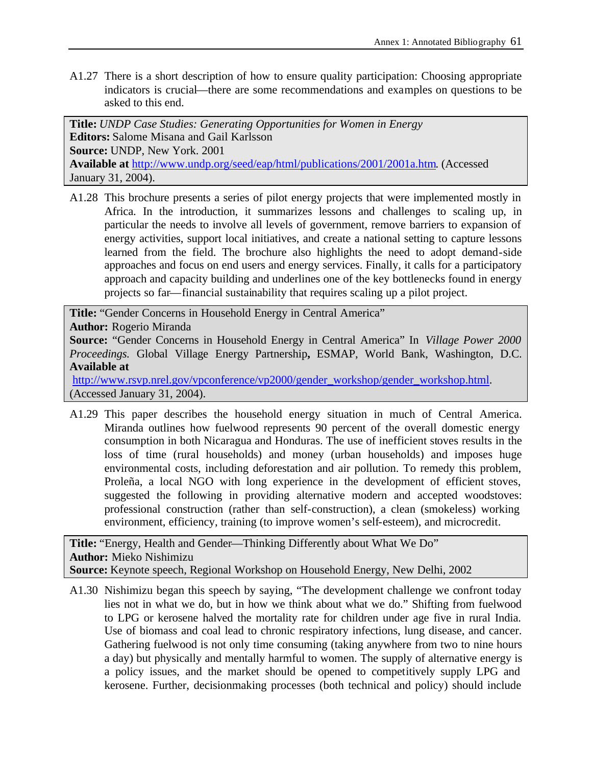A1.27 There is a short description of how to ensure quality participation: Choosing appropriate indicators is crucial—there are some recommendations and examples on questions to be asked to this end.

**Title:** *UNDP Case Studies: Generating Opportunities for Women in Energy* **Editors:** Salome Misana and Gail Karlsson **Source:** UNDP, New York. 2001 **Available at** http://www.undp.org/seed/eap/html/publications/2001/2001a.htm. (Accessed January 31, 2004).

A1.28 This brochure presents a series of pilot energy projects that were implemented mostly in Africa. In the introduction, it summarizes lessons and challenges to scaling up, in particular the needs to involve all levels of government, remove barriers to expansion of energy activities, support local initiatives, and create a national setting to capture lessons learned from the field. The brochure also highlights the need to adopt demand-side approaches and focus on end users and energy services. Finally, it calls for a participatory approach and capacity building and underlines one of the key bottlenecks found in energy projects so far—financial sustainability that requires scaling up a pilot project.

**Title:** "Gender Concerns in Household Energy in Central America" **Author:** Rogerio Miranda **Source:** "Gender Concerns in Household Energy in Central America" In *Village Power 2000 Proceedings.* Global Village Energy Partnership**,** ESMAP, World Bank, Washington, D.C. **Available at**

http://www.rsvp.nrel.gov/vpconference/vp2000/gender\_workshop/gender\_workshop.html. (Accessed January 31, 2004).

A1.29 This paper describes the household energy situation in much of Central America. Miranda outlines how fuelwood represents 90 percent of the overall domestic energy consumption in both Nicaragua and Honduras. The use of inefficient stoves results in the loss of time (rural households) and money (urban households) and imposes huge environmental costs, including deforestation and air pollution. To remedy this problem, Proleña, a local NGO with long experience in the development of efficient stoves, suggested the following in providing alternative modern and accepted woodstoves: professional construction (rather than self-construction), a clean (smokeless) working environment, efficiency, training (to improve women's self-esteem), and microcredit.

**Title:** "Energy, Health and Gender—Thinking Differently about What We Do" **Author:** Mieko Nishimizu **Source:** Keynote speech, Regional Workshop on Household Energy, New Delhi, 2002

A1.30 Nishimizu began this speech by saying, "The development challenge we confront today lies not in what we do, but in how we think about what we do." Shifting from fuelwood to LPG or kerosene halved the mortality rate for children under age five in rural India. Use of biomass and coal lead to chronic respiratory infections, lung disease, and cancer. Gathering fuelwood is not only time consuming (taking anywhere from two to nine hours a day) but physically and mentally harmful to women. The supply of alternative energy is a policy issues, and the market should be opened to competitively supply LPG and kerosene. Further, decisionmaking processes (both technical and policy) should include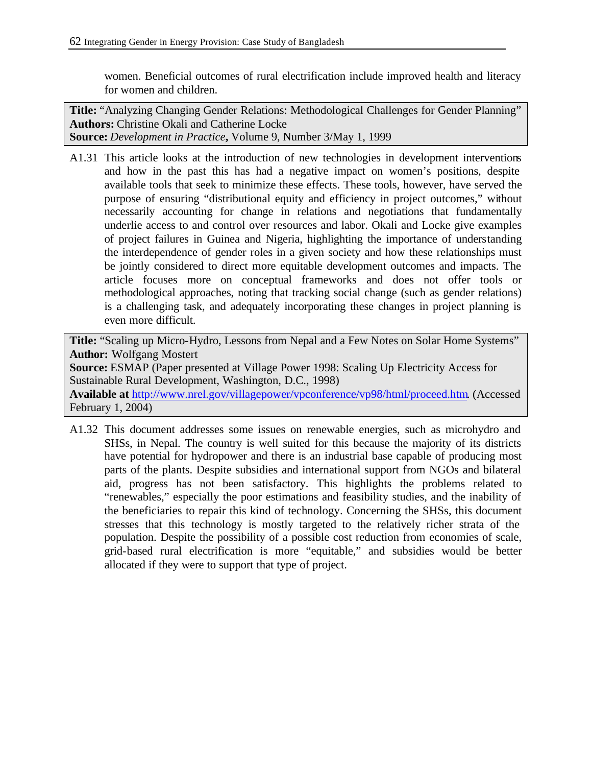women. Beneficial outcomes of rural electrification include improved health and literacy for women and children.

**Title:** "Analyzing Changing Gender Relations: Methodological Challenges for Gender Planning" **Authors:** Christine Okali and Catherine Locke **Source:** *Development in Practice***,** Volume 9, Number 3/May 1, 1999

A1.31 This article looks at the introduction of new technologies in development interventions and how in the past this has had a negative impact on women's positions, despite available tools that seek to minimize these effects. These tools, however, have served the purpose of ensuring "distributional equity and efficiency in project outcomes," without necessarily accounting for change in relations and negotiations that fundamentally underlie access to and control over resources and labor. Okali and Locke give examples of project failures in Guinea and Nigeria, highlighting the importance of understanding the interdependence of gender roles in a given society and how these relationships must be jointly considered to direct more equitable development outcomes and impacts. The article focuses more on conceptual frameworks and does not offer tools or methodological approaches, noting that tracking social change (such as gender relations) is a challenging task, and adequately incorporating these changes in project planning is even more difficult.

**Title:** "Scaling up Micro-Hydro, Lessons from Nepal and a Few Notes on Solar Home Systems" **Author:** Wolfgang Mostert **Source:** ESMAP (Paper presented at Village Power 1998: Scaling Up Electricity Access for Sustainable Rural Development, Washington, D.C., 1998) **Available at** http://www.nrel.gov/villagepower/vpconference/vp98/html/proceed.htm. (Accessed

February 1, 2004)

A1.32 This document addresses some issues on renewable energies, such as microhydro and SHSs, in Nepal. The country is well suited for this because the majority of its districts have potential for hydropower and there is an industrial base capable of producing most parts of the plants. Despite subsidies and international support from NGOs and bilateral aid, progress has not been satisfactory. This highlights the problems related to "renewables," especially the poor estimations and feasibility studies, and the inability of the beneficiaries to repair this kind of technology. Concerning the SHSs, this document stresses that this technology is mostly targeted to the relatively richer strata of the population. Despite the possibility of a possible cost reduction from economies of scale, grid-based rural electrification is more "equitable," and subsidies would be better allocated if they were to support that type of project.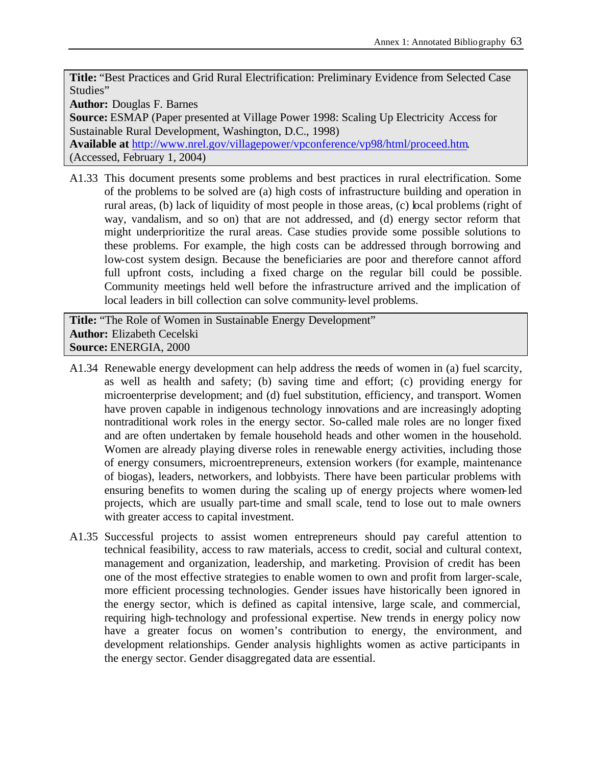**Title:** "Best Practices and Grid Rural Electrification: Preliminary Evidence from Selected Case Studies"

**Author:** Douglas F. Barnes

**Source:** ESMAP (Paper presented at Village Power 1998: Scaling Up Electricity Access for Sustainable Rural Development, Washington, D.C., 1998)

**Available at** http://www.nrel.gov/villagepower/vpconference/vp98/html/proceed.htm. (Accessed, February 1, 2004)

A1.33 This document presents some problems and best practices in rural electrification. Some of the problems to be solved are (a) high costs of infrastructure building and operation in rural areas, (b) lack of liquidity of most people in those areas, (c) local problems (right of way, vandalism, and so on) that are not addressed, and (d) energy sector reform that might underprioritize the rural areas. Case studies provide some possible solutions to these problems. For example, the high costs can be addressed through borrowing and low-cost system design. Because the beneficiaries are poor and therefore cannot afford full upfront costs, including a fixed charge on the regular bill could be possible. Community meetings held well before the infrastructure arrived and the implication of local leaders in bill collection can solve community-level problems.

**Title:** "The Role of Women in Sustainable Energy Development" **Author:** Elizabeth Cecelski **Source:** ENERGIA, 2000

- A1.34 Renewable energy development can help address the needs of women in (a) fuel scarcity, as well as health and safety; (b) saving time and effort; (c) providing energy for microenterprise development; and (d) fuel substitution, efficiency, and transport. Women have proven capable in indigenous technology innovations and are increasingly adopting nontraditional work roles in the energy sector. So-called male roles are no longer fixed and are often undertaken by female household heads and other women in the household. Women are already playing diverse roles in renewable energy activities, including those of energy consumers, microentrepreneurs, extension workers (for example, maintenance of biogas), leaders, networkers, and lobbyists. There have been particular problems with ensuring benefits to women during the scaling up of energy projects where women-led projects, which are usually part-time and small scale, tend to lose out to male owners with greater access to capital investment.
- A1.35 Successful projects to assist women entrepreneurs should pay careful attention to technical feasibility, access to raw materials, access to credit, social and cultural context, management and organization, leadership, and marketing. Provision of credit has been one of the most effective strategies to enable women to own and profit from larger-scale, more efficient processing technologies. Gender issues have historically been ignored in the energy sector, which is defined as capital intensive, large scale, and commercial, requiring high-technology and professional expertise. New trends in energy policy now have a greater focus on women's contribution to energy, the environment, and development relationships. Gender analysis highlights women as active participants in the energy sector. Gender disaggregated data are essential.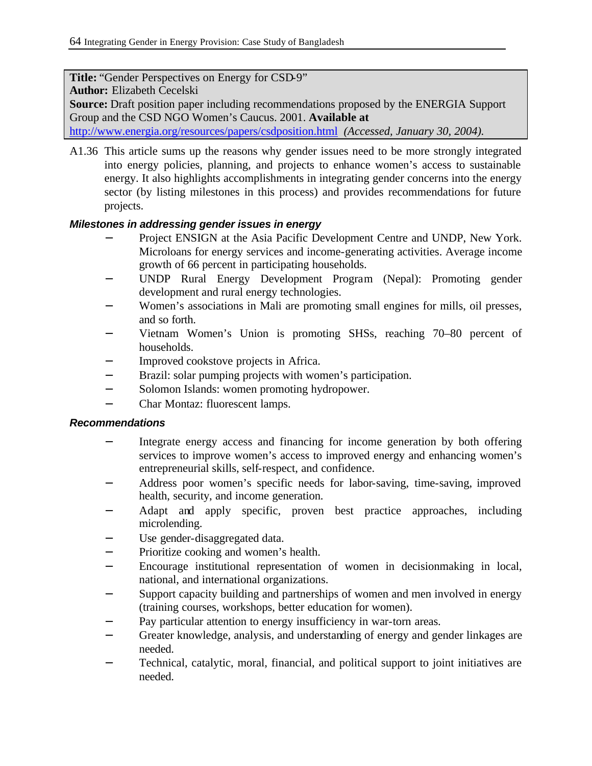**Title:** "Gender Perspectives on Energy for CSD-9" **Author:** Elizabeth Cecelski **Source:** Draft position paper including recommendations proposed by the ENERGIA Support Group and the CSD NGO Women's Caucus. 2001. **Available at** http://www.energia.org/resources/papers/csdposition.html *(Accessed, January 30, 2004).*

A1.36 This article sums up the reasons why gender issues need to be more strongly integrated into energy policies, planning, and projects to enhance women's access to sustainable energy. It also highlights accomplishments in integrating gender concerns into the energy sector (by listing milestones in this process) and provides recommendations for future projects.

# *Milestones in addressing gender issues in energy*

- Project ENSIGN at the Asia Pacific Development Centre and UNDP, New York. Microloans for energy services and income-generating activities. Average income growth of 66 percent in participating households.
- UNDP Rural Energy Development Program (Nepal): Promoting gender development and rural energy technologies.
- Women's associations in Mali are promoting small engines for mills, oil presses, and so forth.
- Vietnam Women's Union is promoting SHSs, reaching 70–80 percent of households.
- − Improved cookstove projects in Africa.
- − Brazil: solar pumping projects with women's participation.
- − Solomon Islands: women promoting hydropower.
- − Char Montaz: fluorescent lamps.

# *Recommendations*

- Integrate energy access and financing for income generation by both offering services to improve women's access to improved energy and enhancing women's entrepreneurial skills, self-respect, and confidence.
- Address poor women's specific needs for labor-saving, time-saving, improved health, security, and income generation.
- Adapt and apply specific, proven best practice approaches, including microlending.
- Use gender-disaggregated data.
- Prioritize cooking and women's health.
- Encourage institutional representation of women in decisionmaking in local, national, and international organizations.
- − Support capacity building and partnerships of women and men involved in energy (training courses, workshops, better education for women).
- Pay particular attention to energy insufficiency in war-torn areas.
- − Greater knowledge, analysis, and understanding of energy and gender linkages are needed.
- − Technical, catalytic, moral, financial, and political support to joint initiatives are needed.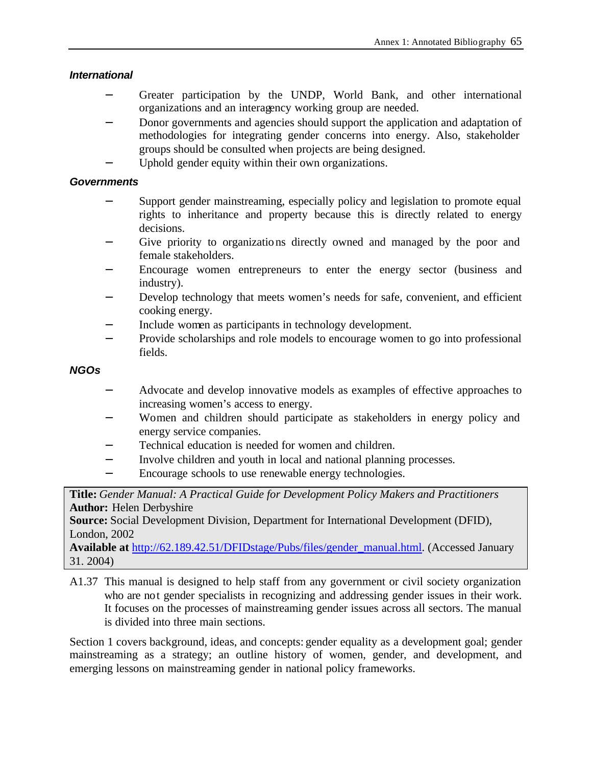# *International*

- Greater participation by the UNDP, World Bank, and other international organizations and an interagency working group are needed.
- Donor governments and agencies should support the application and adaptation of methodologies for integrating gender concerns into energy. Also, stakeholder groups should be consulted when projects are being designed.
- Uphold gender equity within their own organizations.

# *Governments*

- Support gender mainstreaming, especially policy and legislation to promote equal rights to inheritance and property because this is directly related to energy decisions.
- − Give priority to organizations directly owned and managed by the poor and female stakeholders.
- Encourage women entrepreneurs to enter the energy sector (business and industry).
- Develop technology that meets women's needs for safe, convenient, and efficient cooking energy.
- − Include women as participants in technology development.
- − Provide scholarships and role models to encourage women to go into professional fields.

# *NGOs*

- − Advocate and develop innovative models as examples of effective approaches to increasing women's access to energy.
- − Women and children should participate as stakeholders in energy policy and energy service companies.
- Technical education is needed for women and children.
- Involve children and youth in local and national planning processes.
- − Encourage schools to use renewable energy technologies.

**Title:** *Gender Manual: A Practical Guide for Development Policy Makers and Practitioners* **Author:** Helen Derbyshire

**Source:** Social Development Division, Department for International Development (DFID), London, 2002

**Available at** http://62.189.42.51/DFIDstage/Pubs/files/gender\_manual.html. (Accessed January 31. 2004)

A1.37 This manual is designed to help staff from any government or civil society organization who are not gender specialists in recognizing and addressing gender issues in their work. It focuses on the processes of mainstreaming gender issues across all sectors. The manual is divided into three main sections.

Section 1 covers background, ideas, and concepts: gender equality as a development goal; gender mainstreaming as a strategy; an outline history of women, gender, and development, and emerging lessons on mainstreaming gender in national policy frameworks.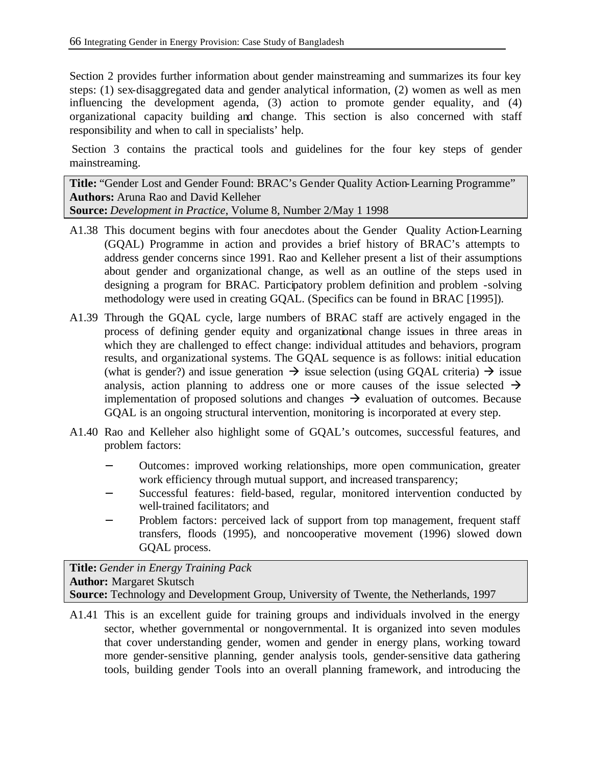Section 2 provides further information about gender mainstreaming and summarizes its four key steps: (1) sex-disaggregated data and gender analytical information, (2) women as well as men influencing the development agenda, (3) action to promote gender equality, and (4) organizational capacity building and change. This section is also concerned with staff responsibility and when to call in specialists' help.

Section 3 contains the practical tools and guidelines for the four key steps of gender mainstreaming.

**Title:** "Gender Lost and Gender Found: BRAC's Gender Quality Action-Learning Programme" **Authors:** Aruna Rao and David Kelleher **Source:** *Development in Practice*, Volume 8, Number 2/May 1 1998

- A1.38 This document begins with four anecdotes about the Gender Quality Action-Learning (GQAL) Programme in action and provides a brief history of BRAC's attempts to address gender concerns since 1991. Rao and Kelleher present a list of their assumptions about gender and organizational change, as well as an outline of the steps used in designing a program for BRAC. Participatory problem definition and problem -solving methodology were used in creating GQAL. (Specifics can be found in BRAC [1995]).
- A1.39 Through the GQAL cycle, large numbers of BRAC staff are actively engaged in the process of defining gender equity and organizational change issues in three areas in which they are challenged to effect change: individual attitudes and behaviors, program results, and organizational systems. The GQAL sequence is as follows: initial education (what is gender?) and issue generation  $\rightarrow$  issue selection (using GQAL criteria)  $\rightarrow$  issue analysis, action planning to address one or more causes of the issue selected  $\rightarrow$ implementation of proposed solutions and changes  $\rightarrow$  evaluation of outcomes. Because GQAL is an ongoing structural intervention, monitoring is incorporated at every step.
- A1.40 Rao and Kelleher also highlight some of GQAL's outcomes, successful features, and problem factors:
	- − Outcomes: improved working relationships, more open communication, greater work efficiency through mutual support, and increased transparency;
	- Successful features: field-based, regular, monitored intervention conducted by well-trained facilitators; and
	- Problem factors: perceived lack of support from top management, frequent staff transfers, floods (1995), and noncooperative movement (1996) slowed down GQAL process.

**Title:** *Gender in Energy Training Pack* **Author:** Margaret Skutsch **Source:** Technology and Development Group, University of Twente, the Netherlands, 1997

A1.41 This is an excellent guide for training groups and individuals involved in the energy sector, whether governmental or nongovernmental. It is organized into seven modules that cover understanding gender, women and gender in energy plans, working toward more gender-sensitive planning, gender analysis tools, gender-sensitive data gathering tools, building gender Tools into an overall planning framework, and introducing the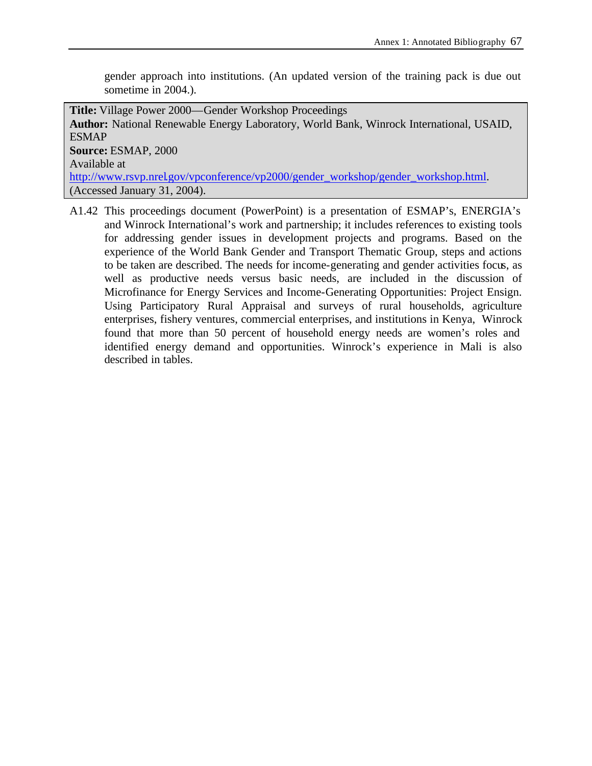gender approach into institutions. (An updated version of the training pack is due out sometime in 2004.).

**Title:** Village Power 2000—Gender Workshop Proceedings **Author:** National Renewable Energy Laboratory, World Bank, Winrock International, USAID, ESMAP **Source:** ESMAP, 2000 Available at http://www.rsvp.nrel.gov/vpconference/vp2000/gender\_workshop/gender\_workshop.html. (Accessed January 31, 2004).

A1.42 This proceedings document (PowerPoint) is a presentation of ESMAP's, ENERGIA's and Winrock International's work and partnership; it includes references to existing tools for addressing gender issues in development projects and programs. Based on the experience of the World Bank Gender and Transport Thematic Group, steps and actions to be taken are described. The needs for income-generating and gender activities focus, as well as productive needs versus basic needs, are included in the discussion of Microfinance for Energy Services and Income-Generating Opportunities: Project Ensign. Using Participatory Rural Appraisal and surveys of rural households, agriculture enterprises, fishery ventures, commercial enterprises, and institutions in Kenya, Winrock found that more than 50 percent of household energy needs are women's roles and identified energy demand and opportunities. Winrock's experience in Mali is also described in tables.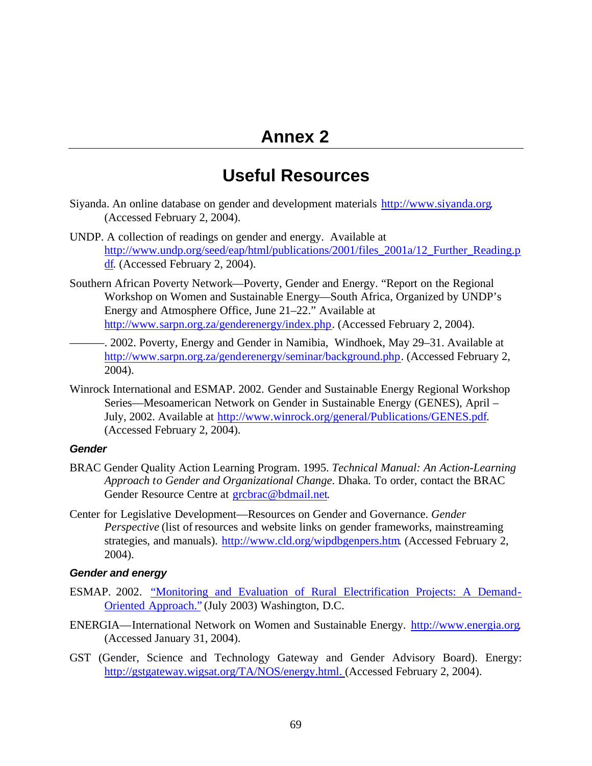# **Annex 2**

# **Useful Resources**

- Siyanda. An online database on gender and development materials http://www.siyanda.org. (Accessed February 2, 2004).
- UNDP. A collection of readings on gender and energy. Available at http://www.undp.org/seed/eap/html/publications/2001/files\_2001a/12\_Further\_Reading.p df. (Accessed February 2, 2004).
- Southern African Poverty Network—Poverty, Gender and Energy. "Report on the Regional Workshop on Women and Sustainable Energy—South Africa, Organized by UNDP's Energy and Atmosphere Office, June 21–22." Available at http://www.sarpn.org.za/genderenergy/index.php. (Accessed February 2, 2004).
- -. 2002. Poverty, Energy and Gender in Namibia, Windhoek, May 29–31. Available at http://www.sarpn.org.za/genderenergy/seminar/background.php. (Accessed February 2, 2004).
- Winrock International and ESMAP. 2002. Gender and Sustainable Energy Regional Workshop Series—Mesoamerican Network on Gender in Sustainable Energy (GENES), April – July, 2002. Available at http://www.winrock.org/general/Publications/GENES.pdf. (Accessed February 2, 2004).

#### *Gender*

- BRAC Gender Quality Action Learning Program. 1995. *Technical Manual: An Action-Learning Approach to Gender and Organizational Change*. Dhaka. To order, contact the BRAC Gender Resource Centre at grcbrac@bdmail.net.
- Center for Legislative Development—Resources on Gender and Governance. *Gender Perspective* (list of resources and website links on gender frameworks, mainstreaming strategies, and manuals). http://www.cld.org/wipdbgenpers.htm. (Accessed February 2, 2004).

#### *Gender and energy*

- ESMAP. 2002. "Monitoring and Evaluation of Rural Electrification Projects: A Demand-Oriented Approach." (July 2003) Washington, D.C.
- ENERGIA—International Network on Women and Sustainable Energy. http://www.energia.org. (Accessed January 31, 2004).
- GST (Gender, Science and Technology Gateway and Gender Advisory Board). Energy: http://gstgateway.wigsat.org/TA/NOS/energy.html. (Accessed February 2, 2004).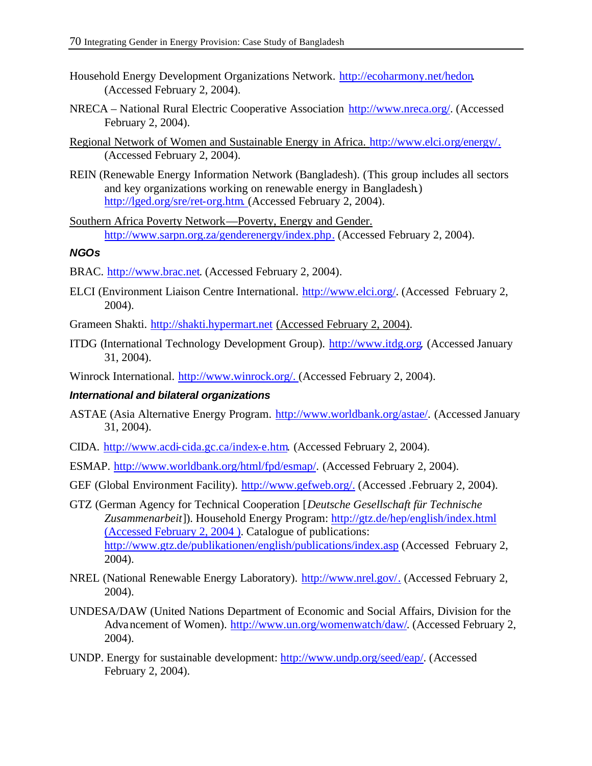- Household Energy Development Organizations Network. http://ecoharmony.net/hedon. (Accessed February 2, 2004).
- NRECA National Rural Electric Cooperative Association http://www.nreca.org/. (Accessed February 2, 2004).
- Regional Network of Women and Sustainable Energy in Africa. http://www.elci.org/energy/. (Accessed February 2, 2004).
- REIN (Renewable Energy Information Network (Bangladesh). (This group includes all sectors and key organizations working on renewable energy in Bangladesh.) http://lged.org/sre/ret-org.htm. (Accessed February 2, 2004).
- Southern Africa Poverty Network—Poverty, Energy and Gender. http://www.sarpn.org.za/genderenergy/index.php. (Accessed February 2, 2004).

# *NGOs*

- BRAC. http://www.brac.net. (Accessed February 2, 2004).
- ELCI (Environment Liaison Centre International. http://www.elci.org/. (Accessed February 2, 2004).
- Grameen Shakti. http://shakti.hypermart.net (Accessed February 2, 2004).
- ITDG (International Technology Development Group). http://www.itdg.org. (Accessed January 31, 2004).

Winrock International. http://www.winrock.org/. (Accessed February 2, 2004).

## *International and bilateral organizations*

- ASTAE (Asia Alternative Energy Program. http://www.worldbank.org/astae/. (Accessed January 31, 2004).
- CIDA. http://www.acdi-cida.gc.ca/index-e.htm. (Accessed February 2, 2004).
- ESMAP. http://www.worldbank.org/html/fpd/esmap/. (Accessed February 2, 2004).
- GEF (Global Environment Facility). http://www.gefweb.org/. (Accessed .February 2, 2004).
- GTZ (German Agency for Technical Cooperation [*Deutsche Gesellschaft für Technische Zusammenarbeit*]). Household Energy Program: http://gtz.de/hep/english/index.html (Accessed February 2, 2004 ). Catalogue of publications: http://www.gtz.de/publikationen/english/publications/index.asp (Accessed February 2, 2004).
- NREL (National Renewable Energy Laboratory). http://www.nrel.gov/. (Accessed February 2, 2004).
- UNDESA/DAW (United Nations Department of Economic and Social Affairs, Division for the Advancement of Women). http://www.un.org/womenwatch/daw/. (Accessed February 2, 2004).
- UNDP. Energy for sustainable development: http://www.undp.org/seed/eap/. (Accessed February 2, 2004).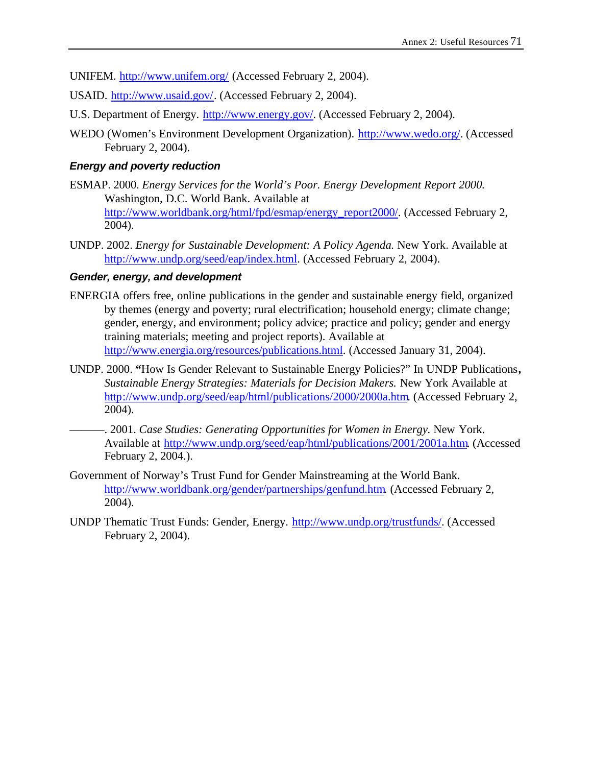UNIFEM. http://www.unifem.org/ (Accessed February 2, 2004).

- USAID. http://www.usaid.gov/. (Accessed February 2, 2004).
- U.S. Department of Energy. http://www.energy.gov/. (Accessed February 2, 2004).
- WEDO (Women's Environment Development Organization). http://www.wedo.org/. (Accessed February 2, 2004).

#### *Energy and poverty reduction*

- ESMAP. 2000. *Energy Services for the World's Poor. Energy Development Report 2000.* Washington, D.C. World Bank. Available at http://www.worldbank.org/html/fpd/esmap/energy\_report2000/. (Accessed February 2, 2004).
- UNDP. 2002. *Energy for Sustainable Development: A Policy Agenda.* New York. Available at http://www.undp.org/seed/eap/index.html. (Accessed February 2, 2004).

## *Gender, energy, and development*

- ENERGIA offers free, online publications in the gender and sustainable energy field, organized by themes (energy and poverty; rural electrification; household energy; climate change; gender, energy, and environment; policy advice; practice and policy; gender and energy training materials; meeting and project reports). Available at http://www.energia.org/resources/publications.html. (Accessed January 31, 2004).
- UNDP. 2000. **"**How Is Gender Relevant to Sustainable Energy Policies?" In UNDP Publications**,**  *Sustainable Energy Strategies: Materials for Decision Makers.* New York Available at http://www.undp.org/seed/eap/html/publications/2000/2000a.htm. (Accessed February 2, 2004).
	- ———. 2001. *Case Studies: Generating Opportunities for Women in Energy.* New York. Available at http://www.undp.org/seed/eap/html/publications/2001/2001a.htm. (Accessed February 2, 2004.).
- Government of Norway's Trust Fund for Gender Mainstreaming at the World Bank. http://www.worldbank.org/gender/partnerships/genfund.htm. (Accessed February 2, 2004).
- UNDP Thematic Trust Funds: Gender, Energy. http://www.undp.org/trustfunds/. (Accessed February 2, 2004).